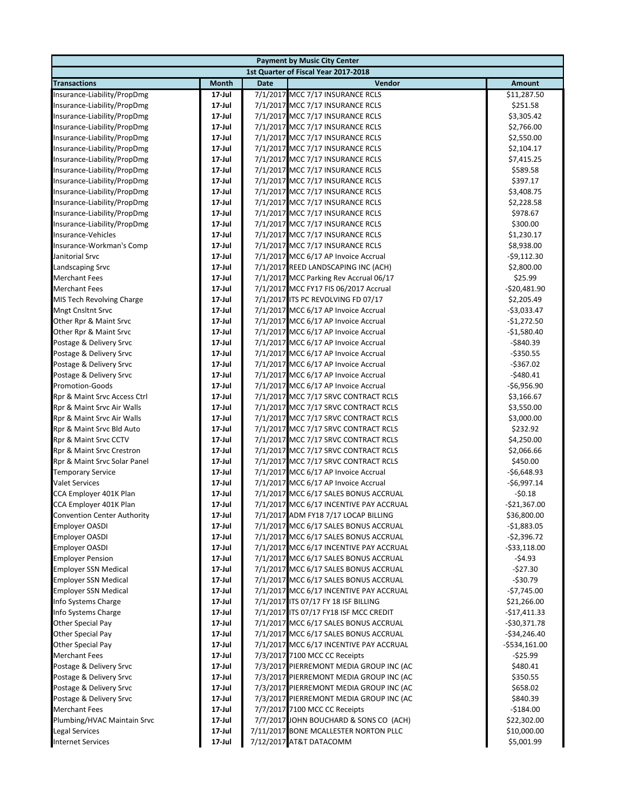| <b>Payment by Music City Center</b>                |                  |                                                                                 |                                 |  |  |
|----------------------------------------------------|------------------|---------------------------------------------------------------------------------|---------------------------------|--|--|
| 1st Quarter of Fiscal Year 2017-2018               |                  |                                                                                 |                                 |  |  |
| <b>Transactions</b>                                | <b>Month</b>     | <b>Date</b><br>Vendor                                                           | Amount                          |  |  |
| Insurance-Liability/PropDmg                        | $17$ -Jul        | 7/1/2017 MCC 7/17 INSURANCE RCLS                                                | \$11,287.50                     |  |  |
| Insurance-Liability/PropDmg                        | 17-Jul           | 7/1/2017 MCC 7/17 INSURANCE RCLS                                                | \$251.58                        |  |  |
| Insurance-Liability/PropDmg                        | 17-Jul           | 7/1/2017 MCC 7/17 INSURANCE RCLS                                                | \$3,305.42                      |  |  |
| Insurance-Liability/PropDmg                        | $17$ -Jul        | 7/1/2017 MCC 7/17 INSURANCE RCLS                                                | \$2,766.00                      |  |  |
| Insurance-Liability/PropDmg                        | $17$ -Jul        | 7/1/2017 MCC 7/17 INSURANCE RCLS                                                | \$2,550.00                      |  |  |
| Insurance-Liability/PropDmg                        | $17$ -Jul        | 7/1/2017 MCC 7/17 INSURANCE RCLS                                                | \$2,104.17                      |  |  |
| Insurance-Liability/PropDmg                        | $17$ -Jul        | 7/1/2017 MCC 7/17 INSURANCE RCLS                                                | \$7,415.25                      |  |  |
| Insurance-Liability/PropDmg                        | $17$ -Jul        | 7/1/2017 MCC 7/17 INSURANCE RCLS                                                | \$589.58                        |  |  |
| Insurance-Liability/PropDmg                        | $17$ -Jul        | 7/1/2017 MCC 7/17 INSURANCE RCLS                                                | \$397.17                        |  |  |
| Insurance-Liability/PropDmg                        | $17$ -Jul        | 7/1/2017 MCC 7/17 INSURANCE RCLS                                                | \$3,408.75                      |  |  |
| Insurance-Liability/PropDmg                        | $17$ -Jul        | 7/1/2017 MCC 7/17 INSURANCE RCLS                                                | \$2,228.58                      |  |  |
| Insurance-Liability/PropDmg                        | $17$ -Jul        | 7/1/2017 MCC 7/17 INSURANCE RCLS                                                | \$978.67                        |  |  |
| Insurance-Liability/PropDmg                        | 17-Jul           | 7/1/2017 MCC 7/17 INSURANCE RCLS                                                | \$300.00                        |  |  |
| Insurance-Vehicles                                 | $17$ -Jul        | 7/1/2017 MCC 7/17 INSURANCE RCLS                                                | \$1,230.17                      |  |  |
| Insurance-Workman's Comp                           | 17-Jul           | 7/1/2017 MCC 7/17 INSURANCE RCLS                                                | \$8,938.00                      |  |  |
| Janitorial Srvc                                    | $17$ -Jul        | 7/1/2017 MCC 6/17 AP Invoice Accrual                                            | $-59,112.30$                    |  |  |
| Landscaping Srvc                                   | $17$ -Jul        | 7/1/2017 REED LANDSCAPING INC (ACH)                                             | \$2,800.00                      |  |  |
| <b>Merchant Fees</b>                               | $17$ -Jul        | 7/1/2017 MCC Parking Rev Accrual 06/17                                          | \$25.99                         |  |  |
| <b>Merchant Fees</b>                               | $17$ -Jul        | 7/1/2017 MCC FY17 FIS 06/2017 Accrual                                           | $-520,481.90$                   |  |  |
| MIS Tech Revolving Charge                          | $17$ -Jul        | 7/1/2017 ITS PC REVOLVING FD 07/17                                              | \$2,205.49                      |  |  |
| <b>Mngt Cnsltnt Srvc</b>                           | $17$ -Jul        | 7/1/2017 MCC 6/17 AP Invoice Accrual                                            | $-$3,033.47$                    |  |  |
| Other Rpr & Maint Srvc                             | $17$ -Jul        | 7/1/2017 MCC 6/17 AP Invoice Accrual                                            | $-$1,272.50$                    |  |  |
| Other Rpr & Maint Srvc                             | $17$ -Jul        | 7/1/2017 MCC 6/17 AP Invoice Accrual                                            | $-$1,580.40$                    |  |  |
| Postage & Delivery Srvc                            | $17$ -Jul        | 7/1/2017 MCC 6/17 AP Invoice Accrual                                            | $-$ \$840.39                    |  |  |
| Postage & Delivery Srvc                            | $17$ -Jul        | 7/1/2017 MCC 6/17 AP Invoice Accrual                                            | $-$ \$350.55                    |  |  |
| Postage & Delivery Srvc                            | $17$ -Jul        | 7/1/2017 MCC 6/17 AP Invoice Accrual                                            | $-5367.02$                      |  |  |
| Postage & Delivery Srvc                            | $17$ -Jul        | 7/1/2017 MCC 6/17 AP Invoice Accrual                                            | $-5480.41$                      |  |  |
| <b>Promotion-Goods</b>                             | $17$ -Jul        | 7/1/2017 MCC 6/17 AP Invoice Accrual                                            | $-$6,956.90$                    |  |  |
| Rpr & Maint Srvc Access Ctrl                       | $17$ -Jul        | 7/1/2017 MCC 7/17 SRVC CONTRACT RCLS                                            | \$3,166.67                      |  |  |
| Rpr & Maint Srvc Air Walls                         | $17$ -Jul        | 7/1/2017 MCC 7/17 SRVC CONTRACT RCLS                                            | \$3,550.00                      |  |  |
| Rpr & Maint Srvc Air Walls                         | $17$ -Jul        | 7/1/2017 MCC 7/17 SRVC CONTRACT RCLS                                            | \$3,000.00                      |  |  |
| Rpr & Maint Srvc Bld Auto                          | $17$ -Jul        | 7/1/2017 MCC 7/17 SRVC CONTRACT RCLS                                            | \$232.92                        |  |  |
| Rpr & Maint Srvc CCTV                              | $17$ -Jul        | 7/1/2017 MCC 7/17 SRVC CONTRACT RCLS                                            | \$4,250.00                      |  |  |
| Rpr & Maint Srvc Crestron                          | $17$ -Jul        | 7/1/2017 MCC 7/17 SRVC CONTRACT RCLS                                            | \$2,066.66                      |  |  |
| Rpr & Maint Srvc Solar Panel                       | $17$ -Jul        | 7/1/2017 MCC 7/17 SRVC CONTRACT RCLS                                            | \$450.00                        |  |  |
| <b>Temporary Service</b>                           | $17$ -Jul        | 7/1/2017 MCC 6/17 AP Invoice Accrual                                            | $-56,648.93$                    |  |  |
| <b>Valet Services</b>                              | $17$ -Jul        | 7/1/2017 MCC 6/17 AP Invoice Accrual                                            | $-$6,997.14$                    |  |  |
| CCA Employer 401K Plan                             | 17-Jul           | 7/1/2017 MCC 6/17 SALES BONUS ACCRUAL                                           | $-50.18$                        |  |  |
| CCA Employer 401K Plan                             | $17$ -Jul        | 7/1/2017 MCC 6/17 INCENTIVE PAY ACCRUAL                                         | $-$21,367.00$                   |  |  |
| Convention Center Authority                        | 17-Jul           | 7/1/2017 ADM FY18 7/17 LOCAP BILLING                                            | \$36,800.00                     |  |  |
| <b>Employer OASDI</b>                              | 17-Jul           | 7/1/2017 MCC 6/17 SALES BONUS ACCRUAL                                           | $-$1,883.05$                    |  |  |
| <b>Employer OASDI</b>                              | $17$ -Jul        | 7/1/2017 MCC 6/17 SALES BONUS ACCRUAL                                           | $-$ \$2,396.72                  |  |  |
| <b>Employer OASDI</b>                              | 17-Jul           | 7/1/2017 MCC 6/17 INCENTIVE PAY ACCRUAL                                         | $-$ \$33,118.00                 |  |  |
| <b>Employer Pension</b>                            | 17-Jul           | 7/1/2017 MCC 6/17 SALES BONUS ACCRUAL<br>7/1/2017 MCC 6/17 SALES BONUS ACCRUAL  | $-54.93$<br>$-527.30$           |  |  |
| <b>Employer SSN Medical</b>                        | 17-Jul           |                                                                                 |                                 |  |  |
| <b>Employer SSN Medical</b>                        | 17-Jul           | 7/1/2017 MCC 6/17 SALES BONUS ACCRUAL                                           | $-530.79$                       |  |  |
| <b>Employer SSN Medical</b><br>Info Systems Charge | 17-Jul           | 7/1/2017 MCC 6/17 INCENTIVE PAY ACCRUAL<br>7/1/2017 ITS 07/17 FY 18 ISF BILLING | $-57,745.00$                    |  |  |
| Info Systems Charge                                | 17-Jul<br>17-Jul | 7/1/2017 ITS 07/17 FY18 ISF MCC CREDIT                                          | \$21,266.00<br>$-$17,411.33$    |  |  |
| Other Special Pay                                  | 17-Jul           | 7/1/2017 MCC 6/17 SALES BONUS ACCRUAL                                           |                                 |  |  |
| Other Special Pay                                  | 17-Jul           | 7/1/2017 MCC 6/17 SALES BONUS ACCRUAL                                           | -\$30,371.78<br>$-$ \$34,246.40 |  |  |
| Other Special Pay                                  | 17-Jul           | 7/1/2017 MCC 6/17 INCENTIVE PAY ACCRUAL                                         | -\$534,161.00                   |  |  |
| <b>Merchant Fees</b>                               | 17-Jul           | 7/3/2017 7100 MCC CC Receipts                                                   | $-$ \$25.99                     |  |  |
| Postage & Delivery Srvc                            | $17$ -Jul        | 7/3/2017 PIERREMONT MEDIA GROUP INC (AC                                         | \$480.41                        |  |  |
| Postage & Delivery Srvc                            | $17$ -Jul        | 7/3/2017 PIERREMONT MEDIA GROUP INC (AC                                         | \$350.55                        |  |  |
| Postage & Delivery Srvc                            | 17-Jul           | 7/3/2017 PIERREMONT MEDIA GROUP INC (AC                                         | \$658.02                        |  |  |
| Postage & Delivery Srvc                            | 17-Jul           | 7/3/2017 PIERREMONT MEDIA GROUP INC (AC                                         | \$840.39                        |  |  |
| <b>Merchant Fees</b>                               | 17-Jul           | 7/7/2017 7100 MCC CC Receipts                                                   | $-$184.00$                      |  |  |
| Plumbing/HVAC Maintain Srvc                        | 17-Jul           | 7/7/2017 JOHN BOUCHARD & SONS CO (ACH)                                          | \$22,302.00                     |  |  |
| Legal Services                                     | 17-Jul           | 7/11/2017 BONE MCALLESTER NORTON PLLC                                           | \$10,000.00                     |  |  |
| <b>Internet Services</b>                           | $17$ -Jul        | 7/12/2017 AT&T DATACOMM                                                         | \$5,001.99                      |  |  |
|                                                    |                  |                                                                                 |                                 |  |  |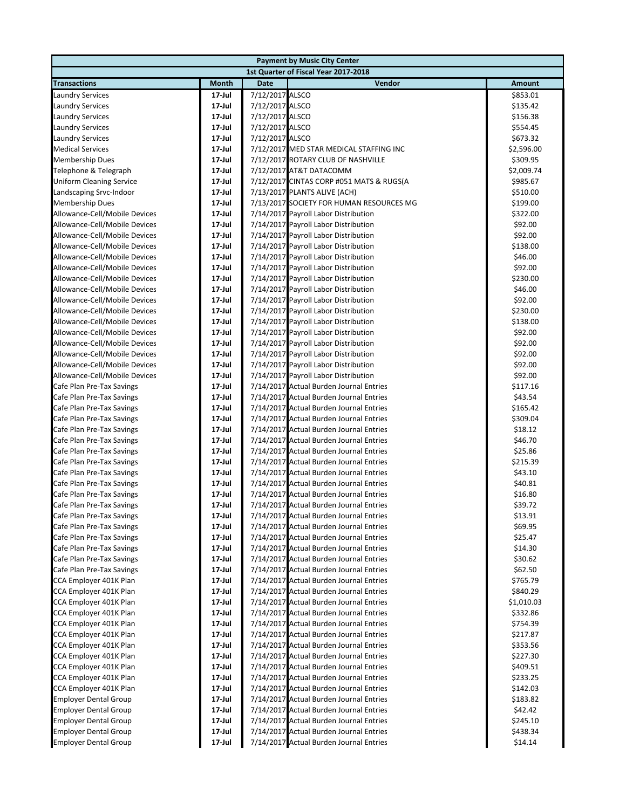|                                                        |                     |                 | <b>Payment by Music City Center</b>                                                |                    |  |  |
|--------------------------------------------------------|---------------------|-----------------|------------------------------------------------------------------------------------|--------------------|--|--|
| 1st Quarter of Fiscal Year 2017-2018                   |                     |                 |                                                                                    |                    |  |  |
| <b>Transactions</b>                                    | <b>Month</b>        | <b>Date</b>     | Vendor                                                                             | Amount             |  |  |
| <b>Laundry Services</b>                                | 17-Jul              | 7/12/2017 ALSCO |                                                                                    | \$853.01           |  |  |
| <b>Laundry Services</b>                                | $17$ -Jul           | 7/12/2017 ALSCO |                                                                                    | \$135.42           |  |  |
| <b>Laundry Services</b>                                | $17$ -Jul           | 7/12/2017 ALSCO |                                                                                    | \$156.38           |  |  |
| <b>Laundry Services</b>                                | $17$ -Jul           | 7/12/2017 ALSCO |                                                                                    | \$554.45           |  |  |
| <b>Laundry Services</b>                                | $17$ -Jul           | 7/12/2017 ALSCO |                                                                                    | \$673.32           |  |  |
| <b>Medical Services</b>                                | 17-Jul              |                 | 7/12/2017 MED STAR MEDICAL STAFFING INC                                            | \$2,596.00         |  |  |
| <b>Membership Dues</b>                                 | $17$ -Jul           |                 | 7/12/2017 ROTARY CLUB OF NASHVILLE                                                 | \$309.95           |  |  |
| Telephone & Telegraph                                  | $17$ -Jul           |                 | 7/12/2017 AT&T DATACOMM                                                            | \$2,009.74         |  |  |
| <b>Uniform Cleaning Service</b>                        | $17$ -Jul           |                 | 7/12/2017 CINTAS CORP #051 MATS & RUGS(A                                           | \$985.67           |  |  |
| Landscaping Srvc-Indoor                                | 17-Jul              |                 | 7/13/2017 PLANTS ALIVE (ACH)                                                       | \$510.00           |  |  |
| <b>Membership Dues</b>                                 | $17$ -Jul           |                 | 7/13/2017 SOCIETY FOR HUMAN RESOURCES MG                                           | \$199.00           |  |  |
| Allowance-Cell/Mobile Devices                          | 17-Jul              |                 | 7/14/2017 Payroll Labor Distribution                                               | \$322.00           |  |  |
| Allowance-Cell/Mobile Devices                          | $17$ -Jul           |                 | 7/14/2017 Payroll Labor Distribution                                               | \$92.00            |  |  |
| Allowance-Cell/Mobile Devices                          | 17-Jul              |                 | 7/14/2017 Payroll Labor Distribution                                               | \$92.00            |  |  |
| Allowance-Cell/Mobile Devices                          | $17$ -Jul           |                 | 7/14/2017 Payroll Labor Distribution                                               | \$138.00           |  |  |
| Allowance-Cell/Mobile Devices                          | 17-Jul              |                 | 7/14/2017 Payroll Labor Distribution                                               | \$46.00            |  |  |
| Allowance-Cell/Mobile Devices                          | 17-Jul              |                 | 7/14/2017 Payroll Labor Distribution                                               | \$92.00            |  |  |
| Allowance-Cell/Mobile Devices                          | $17$ -Jul           |                 | 7/14/2017 Payroll Labor Distribution                                               | \$230.00           |  |  |
| Allowance-Cell/Mobile Devices                          | 17-Jul              |                 | 7/14/2017 Payroll Labor Distribution                                               | \$46.00            |  |  |
| Allowance-Cell/Mobile Devices                          | $17$ -Jul           |                 | 7/14/2017 Payroll Labor Distribution                                               | \$92.00            |  |  |
| Allowance-Cell/Mobile Devices                          | 17-Jul              |                 | 7/14/2017 Payroll Labor Distribution                                               | \$230.00           |  |  |
| Allowance-Cell/Mobile Devices                          | 17-Jul              |                 | 7/14/2017 Payroll Labor Distribution                                               | \$138.00           |  |  |
| Allowance-Cell/Mobile Devices                          | $17$ -Jul           |                 | 7/14/2017 Payroll Labor Distribution                                               | \$92.00            |  |  |
| Allowance-Cell/Mobile Devices                          | $17$ -Jul           |                 | 7/14/2017 Payroll Labor Distribution                                               | \$92.00            |  |  |
| Allowance-Cell/Mobile Devices                          | $17$ -Jul           |                 | 7/14/2017 Payroll Labor Distribution                                               | \$92.00            |  |  |
| Allowance-Cell/Mobile Devices                          | $17$ -Jul           |                 | 7/14/2017 Payroll Labor Distribution                                               | \$92.00            |  |  |
| Allowance-Cell/Mobile Devices                          | $17$ -Jul           |                 | 7/14/2017 Payroll Labor Distribution                                               | \$92.00            |  |  |
| Cafe Plan Pre-Tax Savings                              | $17$ -Jul           |                 | 7/14/2017 Actual Burden Journal Entries                                            | \$117.16           |  |  |
| Cafe Plan Pre-Tax Savings                              | $17$ -Jul           |                 | 7/14/2017 Actual Burden Journal Entries                                            | \$43.54            |  |  |
| Cafe Plan Pre-Tax Savings                              | $17$ -Jul           |                 | 7/14/2017 Actual Burden Journal Entries                                            | \$165.42           |  |  |
| Cafe Plan Pre-Tax Savings                              | $17$ -Jul           |                 | 7/14/2017 Actual Burden Journal Entries                                            | \$309.04           |  |  |
| Cafe Plan Pre-Tax Savings                              | $17$ -Jul           |                 | 7/14/2017 Actual Burden Journal Entries                                            | \$18.12            |  |  |
| Cafe Plan Pre-Tax Savings                              | $17$ -Jul           |                 | 7/14/2017 Actual Burden Journal Entries                                            | \$46.70            |  |  |
| Cafe Plan Pre-Tax Savings                              | $17$ -Jul           |                 | 7/14/2017 Actual Burden Journal Entries                                            | \$25.86            |  |  |
| Cafe Plan Pre-Tax Savings                              | 17-Jul              |                 | 7/14/2017 Actual Burden Journal Entries                                            | \$215.39           |  |  |
| Cafe Plan Pre-Tax Savings                              | $17$ -Jul           |                 | 7/14/2017 Actual Burden Journal Entries                                            | \$43.10            |  |  |
| Cafe Plan Pre-Tax Savings                              | 17-Jul<br>$17$ -Jul |                 | 7/14/2017 Actual Burden Journal Entries                                            | \$40.81            |  |  |
| Cafe Plan Pre-Tax Savings                              | 17-Jul              |                 | 7/14/2017 Actual Burden Journal Entries                                            | \$16.80            |  |  |
| Cafe Plan Pre-Tax Savings                              | 17-Jul              |                 | 7/14/2017 Actual Burden Journal Entries                                            | \$39.72            |  |  |
| Cafe Plan Pre-Tax Savings<br>Cafe Plan Pre-Tax Savings | 17-Jul              |                 | 7/14/2017 Actual Burden Journal Entries<br>7/14/2017 Actual Burden Journal Entries | \$13.91<br>\$69.95 |  |  |
| Cafe Plan Pre-Tax Savings                              | $17$ -Jul           |                 | 7/14/2017 Actual Burden Journal Entries                                            | \$25.47            |  |  |
| Cafe Plan Pre-Tax Savings                              | $17$ -Jul           |                 | 7/14/2017 Actual Burden Journal Entries                                            | \$14.30            |  |  |
| Cafe Plan Pre-Tax Savings                              | 17-Jul              |                 | 7/14/2017 Actual Burden Journal Entries                                            | \$30.62            |  |  |
| Cafe Plan Pre-Tax Savings                              | 17-Jul              |                 | 7/14/2017 Actual Burden Journal Entries                                            | \$62.50            |  |  |
| CCA Employer 401K Plan                                 | $17$ -Jul           |                 | 7/14/2017 Actual Burden Journal Entries                                            | \$765.79           |  |  |
| CCA Employer 401K Plan                                 | $17$ -Jul           |                 | 7/14/2017 Actual Burden Journal Entries                                            | \$840.29           |  |  |
| CCA Employer 401K Plan                                 | $17$ -Jul           |                 | 7/14/2017 Actual Burden Journal Entries                                            | \$1,010.03         |  |  |
| CCA Employer 401K Plan                                 | $17$ -Jul           |                 | 7/14/2017 Actual Burden Journal Entries                                            | \$332.86           |  |  |
| CCA Employer 401K Plan                                 | $17$ -Jul           |                 | 7/14/2017 Actual Burden Journal Entries                                            | \$754.39           |  |  |
| CCA Employer 401K Plan                                 | $17$ -Jul           |                 | 7/14/2017 Actual Burden Journal Entries                                            | \$217.87           |  |  |
| CCA Employer 401K Plan                                 | $17$ -Jul           |                 | 7/14/2017 Actual Burden Journal Entries                                            | \$353.56           |  |  |
| CCA Employer 401K Plan                                 | 17-Jul              |                 | 7/14/2017 Actual Burden Journal Entries                                            | \$227.30           |  |  |
| CCA Employer 401K Plan                                 | 17-Jul              |                 | 7/14/2017 Actual Burden Journal Entries                                            | \$409.51           |  |  |
| CCA Employer 401K Plan                                 | $17$ -Jul           |                 | 7/14/2017 Actual Burden Journal Entries                                            | \$233.25           |  |  |
| CCA Employer 401K Plan                                 | $17$ -Jul           |                 | 7/14/2017 Actual Burden Journal Entries                                            | \$142.03           |  |  |
| <b>Employer Dental Group</b>                           | $17$ -Jul           |                 | 7/14/2017 Actual Burden Journal Entries                                            | \$183.82           |  |  |
| <b>Employer Dental Group</b>                           | $17$ -Jul           |                 | 7/14/2017 Actual Burden Journal Entries                                            | \$42.42            |  |  |
| <b>Employer Dental Group</b>                           | $17$ -Jul           |                 | 7/14/2017 Actual Burden Journal Entries                                            | \$245.10           |  |  |
| <b>Employer Dental Group</b>                           | 17-Jul              |                 | 7/14/2017 Actual Burden Journal Entries                                            | \$438.34           |  |  |
| <b>Employer Dental Group</b>                           | 17-Jul              |                 | 7/14/2017 Actual Burden Journal Entries                                            | \$14.14            |  |  |
|                                                        |                     |                 |                                                                                    |                    |  |  |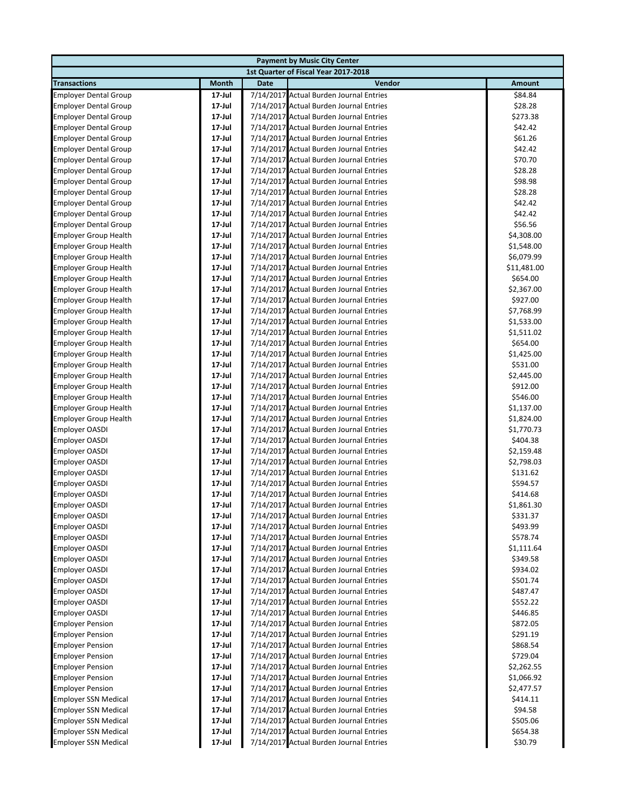| <b>Payment by Music City Center</b>  |              |                                         |               |  |  |
|--------------------------------------|--------------|-----------------------------------------|---------------|--|--|
| 1st Quarter of Fiscal Year 2017-2018 |              |                                         |               |  |  |
| <b>Transactions</b>                  | <b>Month</b> | <b>Date</b><br>Vendor                   | <b>Amount</b> |  |  |
| <b>Employer Dental Group</b>         | $17$ -Jul    | 7/14/2017 Actual Burden Journal Entries | \$84.84       |  |  |
| <b>Employer Dental Group</b>         | $17$ -Jul    | 7/14/2017 Actual Burden Journal Entries | \$28.28       |  |  |
| <b>Employer Dental Group</b>         | $17$ -Jul    | 7/14/2017 Actual Burden Journal Entries | \$273.38      |  |  |
| <b>Employer Dental Group</b>         | $17$ -Jul    | 7/14/2017 Actual Burden Journal Entries | \$42.42       |  |  |
| <b>Employer Dental Group</b>         | $17$ -Jul    | 7/14/2017 Actual Burden Journal Entries | \$61.26       |  |  |
| <b>Employer Dental Group</b>         | $17$ -Jul    | 7/14/2017 Actual Burden Journal Entries | \$42.42       |  |  |
| <b>Employer Dental Group</b>         | $17$ -Jul    | 7/14/2017 Actual Burden Journal Entries | \$70.70       |  |  |
| <b>Employer Dental Group</b>         | $17$ -Jul    | 7/14/2017 Actual Burden Journal Entries | \$28.28       |  |  |
| <b>Employer Dental Group</b>         | $17$ -Jul    | 7/14/2017 Actual Burden Journal Entries | \$98.98       |  |  |
| <b>Employer Dental Group</b>         | $17$ -Jul    | 7/14/2017 Actual Burden Journal Entries | \$28.28       |  |  |
| <b>Employer Dental Group</b>         | $17$ -Jul    | 7/14/2017 Actual Burden Journal Entries | \$42.42       |  |  |
| <b>Employer Dental Group</b>         | $17$ -Jul    | 7/14/2017 Actual Burden Journal Entries | \$42.42       |  |  |
| <b>Employer Dental Group</b>         | $17$ -Jul    | 7/14/2017 Actual Burden Journal Entries | \$56.56       |  |  |
| <b>Employer Group Health</b>         | $17$ -Jul    | 7/14/2017 Actual Burden Journal Entries | \$4,308.00    |  |  |
| <b>Employer Group Health</b>         | $17$ -Jul    | 7/14/2017 Actual Burden Journal Entries | \$1,548.00    |  |  |
| <b>Employer Group Health</b>         | $17$ -Jul    | 7/14/2017 Actual Burden Journal Entries | \$6,079.99    |  |  |
| <b>Employer Group Health</b>         | $17$ -Jul    | 7/14/2017 Actual Burden Journal Entries | \$11,481.00   |  |  |
| <b>Employer Group Health</b>         | $17$ -Jul    | 7/14/2017 Actual Burden Journal Entries | \$654.00      |  |  |
| <b>Employer Group Health</b>         | $17$ -Jul    | 7/14/2017 Actual Burden Journal Entries | \$2,367.00    |  |  |
| <b>Employer Group Health</b>         | $17$ -Jul    | 7/14/2017 Actual Burden Journal Entries | \$927.00      |  |  |
| <b>Employer Group Health</b>         | $17$ -Jul    | 7/14/2017 Actual Burden Journal Entries | \$7,768.99    |  |  |
| <b>Employer Group Health</b>         | $17$ -Jul    | 7/14/2017 Actual Burden Journal Entries | \$1,533.00    |  |  |
| <b>Employer Group Health</b>         | $17$ -Jul    | 7/14/2017 Actual Burden Journal Entries | \$1,511.02    |  |  |
| <b>Employer Group Health</b>         | $17$ -Jul    | 7/14/2017 Actual Burden Journal Entries | \$654.00      |  |  |
| <b>Employer Group Health</b>         | $17$ -Jul    | 7/14/2017 Actual Burden Journal Entries | \$1,425.00    |  |  |
| <b>Employer Group Health</b>         | $17$ -Jul    | 7/14/2017 Actual Burden Journal Entries | \$531.00      |  |  |
| <b>Employer Group Health</b>         | $17$ -Jul    | 7/14/2017 Actual Burden Journal Entries | \$2,445.00    |  |  |
| <b>Employer Group Health</b>         | $17$ -Jul    | 7/14/2017 Actual Burden Journal Entries | \$912.00      |  |  |
| <b>Employer Group Health</b>         | $17$ -Jul    | 7/14/2017 Actual Burden Journal Entries | \$546.00      |  |  |
| <b>Employer Group Health</b>         | $17$ -Jul    | 7/14/2017 Actual Burden Journal Entries | \$1,137.00    |  |  |
| <b>Employer Group Health</b>         | $17$ -Jul    | 7/14/2017 Actual Burden Journal Entries | \$1,824.00    |  |  |
| <b>Employer OASDI</b>                | $17$ -Jul    | 7/14/2017 Actual Burden Journal Entries | \$1,770.73    |  |  |
| <b>Employer OASDI</b>                | $17$ -Jul    | 7/14/2017 Actual Burden Journal Entries | \$404.38      |  |  |
| <b>Employer OASDI</b>                | $17$ -Jul    | 7/14/2017 Actual Burden Journal Entries | \$2,159.48    |  |  |
| <b>Employer OASDI</b>                | $17$ -Jul    | 7/14/2017 Actual Burden Journal Entries | \$2,798.03    |  |  |
| <b>Employer OASDI</b>                | $17$ -Jul    | 7/14/2017 Actual Burden Journal Entries | \$131.62      |  |  |
| <b>Employer OASDI</b>                | $17$ -Jul    | 7/14/2017 Actual Burden Journal Entries | \$594.57      |  |  |
| <b>Employer OASDI</b>                | $17$ -Jul    | 7/14/2017 Actual Burden Journal Entries | \$414.68      |  |  |
| <b>Employer OASDI</b>                | $17$ -Jul    | 7/14/2017 Actual Burden Journal Entries | \$1,861.30    |  |  |
| Employer OASDI                       | 17 Jul       | 7/14/2017 Actual Burden Journal Entries | \$331.37      |  |  |
| <b>Employer OASDI</b>                | 17-Jul       | 7/14/2017 Actual Burden Journal Entries | \$493.99      |  |  |
| <b>Employer OASDI</b>                | $17$ -Jul    | 7/14/2017 Actual Burden Journal Entries | \$578.74      |  |  |
| <b>Employer OASDI</b>                | $17$ -Jul    | 7/14/2017 Actual Burden Journal Entries | \$1,111.64    |  |  |
| <b>Employer OASDI</b>                | $17$ -Jul    | 7/14/2017 Actual Burden Journal Entries | \$349.58      |  |  |
| <b>Employer OASDI</b>                | 17-Jul       | 7/14/2017 Actual Burden Journal Entries | \$934.02      |  |  |
| <b>Employer OASDI</b>                | 17-Jul       | 7/14/2017 Actual Burden Journal Entries | \$501.74      |  |  |
| <b>Employer OASDI</b>                | 17-Jul       | 7/14/2017 Actual Burden Journal Entries | \$487.47      |  |  |
| <b>Employer OASDI</b>                | $17$ -Jul    | 7/14/2017 Actual Burden Journal Entries | \$552.22      |  |  |
| <b>Employer OASDI</b>                | 17-Jul       | 7/14/2017 Actual Burden Journal Entries | \$446.85      |  |  |
| <b>Employer Pension</b>              | $17$ -Jul    | 7/14/2017 Actual Burden Journal Entries | \$872.05      |  |  |
| <b>Employer Pension</b>              | 17-Jul       | 7/14/2017 Actual Burden Journal Entries | \$291.19      |  |  |
| <b>Employer Pension</b>              | 17-Jul       | 7/14/2017 Actual Burden Journal Entries | \$868.54      |  |  |
| <b>Employer Pension</b>              | 17-Jul       | 7/14/2017 Actual Burden Journal Entries | \$729.04      |  |  |
| <b>Employer Pension</b>              | 17-Jul       | 7/14/2017 Actual Burden Journal Entries | \$2,262.55    |  |  |
| <b>Employer Pension</b>              | $17$ -Jul    | 7/14/2017 Actual Burden Journal Entries | \$1,066.92    |  |  |
| <b>Employer Pension</b>              | 17-Jul       | 7/14/2017 Actual Burden Journal Entries | \$2,477.57    |  |  |
| <b>Employer SSN Medical</b>          | 17-Jul       | 7/14/2017 Actual Burden Journal Entries | \$414.11      |  |  |
| <b>Employer SSN Medical</b>          | 17-Jul       | 7/14/2017 Actual Burden Journal Entries | \$94.58       |  |  |
| <b>Employer SSN Medical</b>          | 17-Jul       | 7/14/2017 Actual Burden Journal Entries | \$505.06      |  |  |
| <b>Employer SSN Medical</b>          | 17-Jul       | 7/14/2017 Actual Burden Journal Entries | \$654.38      |  |  |
| <b>Employer SSN Medical</b>          | 17-Jul       | 7/14/2017 Actual Burden Journal Entries | \$30.79       |  |  |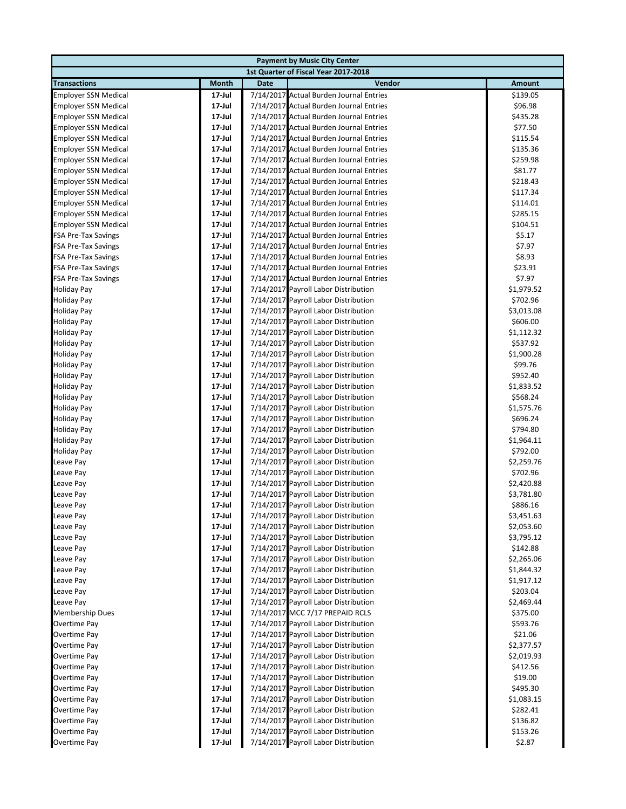| <b>Payment by Music City Center</b>  |                        |                                                                              |                        |  |  |  |
|--------------------------------------|------------------------|------------------------------------------------------------------------------|------------------------|--|--|--|
| 1st Quarter of Fiscal Year 2017-2018 |                        |                                                                              |                        |  |  |  |
| <b>Transactions</b>                  | <b>Month</b>           | <b>Date</b><br>Vendor                                                        | Amount                 |  |  |  |
| <b>Employer SSN Medical</b>          | $17$ -Jul              | 7/14/2017 Actual Burden Journal Entries                                      | \$139.05               |  |  |  |
| <b>Employer SSN Medical</b>          | $17$ -Jul              | 7/14/2017 Actual Burden Journal Entries                                      | \$96.98                |  |  |  |
| <b>Employer SSN Medical</b>          | $17$ -Jul              | 7/14/2017 Actual Burden Journal Entries                                      | \$435.28               |  |  |  |
| <b>Employer SSN Medical</b>          | $17$ -Jul              | 7/14/2017 Actual Burden Journal Entries                                      | \$77.50                |  |  |  |
| <b>Employer SSN Medical</b>          | $17$ -Jul              | 7/14/2017 Actual Burden Journal Entries                                      | \$115.54               |  |  |  |
| <b>Employer SSN Medical</b>          | $17$ -Jul              | 7/14/2017 Actual Burden Journal Entries                                      | \$135.36               |  |  |  |
| <b>Employer SSN Medical</b>          | $17$ -Jul              | 7/14/2017 Actual Burden Journal Entries                                      | \$259.98               |  |  |  |
| <b>Employer SSN Medical</b>          | $17$ -Jul              | 7/14/2017 Actual Burden Journal Entries                                      | \$81.77                |  |  |  |
| <b>Employer SSN Medical</b>          | $17$ -Jul              | 7/14/2017 Actual Burden Journal Entries                                      | \$218.43               |  |  |  |
| <b>Employer SSN Medical</b>          | $17$ -Jul              | 7/14/2017 Actual Burden Journal Entries                                      | \$117.34               |  |  |  |
| <b>Employer SSN Medical</b>          | $17$ -Jul              | 7/14/2017 Actual Burden Journal Entries                                      | \$114.01               |  |  |  |
| <b>Employer SSN Medical</b>          | $17$ -Jul              | 7/14/2017 Actual Burden Journal Entries                                      | \$285.15               |  |  |  |
| <b>Employer SSN Medical</b>          | $17$ -Jul              | 7/14/2017 Actual Burden Journal Entries                                      | \$104.51               |  |  |  |
| <b>FSA Pre-Tax Savings</b>           | $17$ -Jul              | 7/14/2017 Actual Burden Journal Entries                                      | \$5.17                 |  |  |  |
| <b>FSA Pre-Tax Savings</b>           | $17$ -Jul              | 7/14/2017 Actual Burden Journal Entries                                      | \$7.97                 |  |  |  |
| <b>FSA Pre-Tax Savings</b>           | $17$ -Jul              | 7/14/2017 Actual Burden Journal Entries                                      | \$8.93                 |  |  |  |
| <b>FSA Pre-Tax Savings</b>           | $17$ -Jul              | 7/14/2017 Actual Burden Journal Entries                                      | \$23.91                |  |  |  |
| <b>FSA Pre-Tax Savings</b>           | $17$ -Jul              | 7/14/2017 Actual Burden Journal Entries                                      | \$7.97                 |  |  |  |
| <b>Holiday Pay</b>                   | $17$ -Jul              | 7/14/2017 Payroll Labor Distribution                                         | \$1,979.52             |  |  |  |
| <b>Holiday Pay</b>                   | $17$ -Jul              | 7/14/2017 Payroll Labor Distribution                                         | \$702.96               |  |  |  |
| <b>Holiday Pay</b>                   | $17$ -Jul              | 7/14/2017 Payroll Labor Distribution                                         | \$3,013.08             |  |  |  |
| <b>Holiday Pay</b>                   | $17$ -Jul              | 7/14/2017 Payroll Labor Distribution                                         | \$606.00               |  |  |  |
| <b>Holiday Pay</b>                   | $17$ -Jul              | 7/14/2017 Payroll Labor Distribution                                         | \$1,112.32             |  |  |  |
| <b>Holiday Pay</b>                   | $17$ -Jul              | 7/14/2017 Payroll Labor Distribution                                         | \$537.92               |  |  |  |
| <b>Holiday Pay</b>                   | $17$ -Jul              | 7/14/2017 Payroll Labor Distribution                                         | \$1,900.28             |  |  |  |
| <b>Holiday Pay</b>                   | $17$ -Jul              | 7/14/2017 Payroll Labor Distribution                                         | \$99.76                |  |  |  |
| <b>Holiday Pay</b>                   | $17$ -Jul              | 7/14/2017 Payroll Labor Distribution                                         | \$952.40               |  |  |  |
| <b>Holiday Pay</b>                   | $17$ -Jul              | 7/14/2017 Payroll Labor Distribution                                         | \$1,833.52             |  |  |  |
| <b>Holiday Pay</b>                   | $17$ -Jul              | 7/14/2017 Payroll Labor Distribution                                         | \$568.24               |  |  |  |
| Holiday Pay                          | $17$ -Jul              | 7/14/2017 Payroll Labor Distribution                                         | \$1,575.76             |  |  |  |
| <b>Holiday Pay</b>                   | $17$ -Jul              | 7/14/2017 Payroll Labor Distribution                                         | \$696.24               |  |  |  |
| <b>Holiday Pay</b>                   | $17$ -Jul              | 7/14/2017 Payroll Labor Distribution                                         | \$794.80               |  |  |  |
| <b>Holiday Pay</b>                   | $17$ -Jul<br>$17$ -Jul | 7/14/2017 Payroll Labor Distribution                                         | \$1,964.11             |  |  |  |
| Holiday Pay<br>Leave Pay             | $17$ -Jul              | 7/14/2017 Payroll Labor Distribution<br>7/14/2017 Payroll Labor Distribution | \$792.00<br>\$2,259.76 |  |  |  |
| Leave Pay                            | $17$ -Jul              | 7/14/2017 Payroll Labor Distribution                                         | \$702.96               |  |  |  |
| Leave Pay                            | $17$ -Jul              | 7/14/2017 Payroll Labor Distribution                                         | \$2,420.88             |  |  |  |
| Leave Pay                            | $17$ -Jul              | 7/14/2017 Payroll Labor Distribution                                         | \$3,781.80             |  |  |  |
| Leave Pay                            | $17$ -Jul              | 7/14/2017 Payroll Labor Distribution                                         | \$886.16               |  |  |  |
| Leave Pay                            | 17 Jul                 | 7/14/2017 Payroll Labor Distribution                                         | \$3,451.63             |  |  |  |
| Leave Pay                            | 17 Jul                 | 7/14/2017 Payroll Labor Distribution                                         | \$2,053.60             |  |  |  |
| Leave Pay                            | $17$ -Jul              | 7/14/2017 Payroll Labor Distribution                                         | \$3,795.12             |  |  |  |
| Leave Pay                            | $17$ -Jul              | 7/14/2017 Payroll Labor Distribution                                         | \$142.88               |  |  |  |
| Leave Pay                            | 17-Jul                 | 7/14/2017 Payroll Labor Distribution                                         | \$2,265.06             |  |  |  |
| Leave Pay                            | $17$ -Jul              | 7/14/2017 Payroll Labor Distribution                                         | \$1,844.32             |  |  |  |
| Leave Pay                            | $17$ -Jul              | 7/14/2017 Payroll Labor Distribution                                         | \$1,917.12             |  |  |  |
| Leave Pay                            | $17$ -Jul              | 7/14/2017 Payroll Labor Distribution                                         | \$203.04               |  |  |  |
| Leave Pay                            | 17-Jul                 | 7/14/2017 Payroll Labor Distribution                                         | \$2,469.44             |  |  |  |
| <b>Membership Dues</b>               | 17-Jul                 | 7/14/2017 MCC 7/17 PREPAID RCLS                                              | \$375.00               |  |  |  |
| Overtime Pay                         | $17$ -Jul              | 7/14/2017 Payroll Labor Distribution                                         | \$593.76               |  |  |  |
| Overtime Pay                         | $17$ -Jul              | 7/14/2017 Payroll Labor Distribution                                         | \$21.06                |  |  |  |
| Overtime Pay                         | 17-Jul                 | 7/14/2017 Payroll Labor Distribution                                         | \$2,377.57             |  |  |  |
| Overtime Pay                         | 17-Jul                 | 7/14/2017 Payroll Labor Distribution                                         | \$2,019.93             |  |  |  |
| Overtime Pay                         | 17-Jul                 | 7/14/2017 Payroll Labor Distribution                                         | \$412.56               |  |  |  |
| Overtime Pay                         | 17-Jul                 | 7/14/2017 Payroll Labor Distribution                                         | \$19.00                |  |  |  |
| Overtime Pay                         | 17-Jul                 | 7/14/2017 Payroll Labor Distribution                                         | \$495.30               |  |  |  |
| Overtime Pay                         | 17 Jul                 | 7/14/2017 Payroll Labor Distribution                                         | \$1,083.15             |  |  |  |
| Overtime Pay                         | 17-Jul                 | 7/14/2017 Payroll Labor Distribution                                         | \$282.41               |  |  |  |
| Overtime Pay                         | 17-Jul                 | 7/14/2017 Payroll Labor Distribution                                         | \$136.82               |  |  |  |
| <b>Overtime Pay</b>                  | 17-Jul                 | 7/14/2017 Payroll Labor Distribution                                         | \$153.26               |  |  |  |
| Overtime Pay                         | 17-Jul                 | 7/14/2017 Payroll Labor Distribution                                         | \$2.87                 |  |  |  |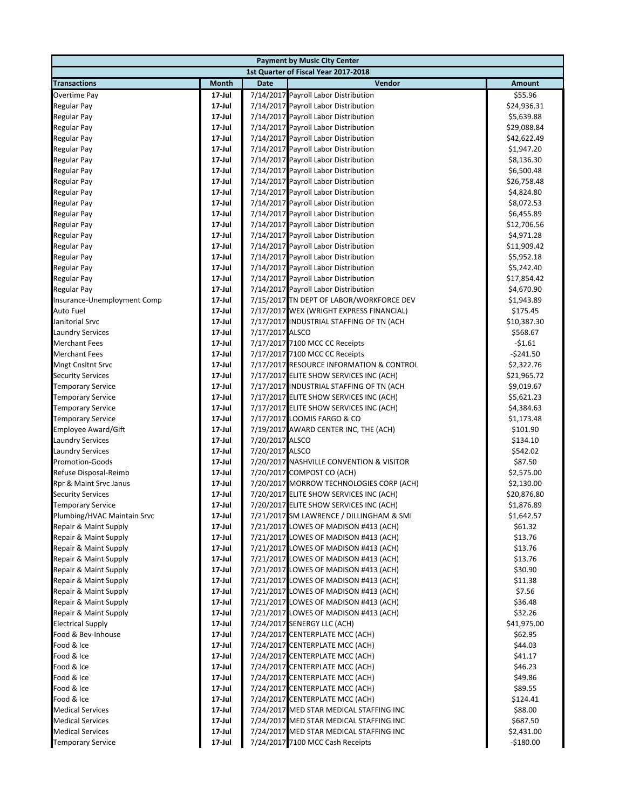| <b>Payment by Music City Center</b>             |                  |                 |                                                                  |                        |  |  |
|-------------------------------------------------|------------------|-----------------|------------------------------------------------------------------|------------------------|--|--|
| 1st Quarter of Fiscal Year 2017-2018            |                  |                 |                                                                  |                        |  |  |
| <b>Transactions</b>                             | <b>Month</b>     | <b>Date</b>     | Vendor                                                           | Amount                 |  |  |
| Overtime Pay                                    | 17-Jul           |                 | 7/14/2017 Payroll Labor Distribution                             | \$55.96                |  |  |
| Regular Pay                                     | 17-Jul           |                 | 7/14/2017 Payroll Labor Distribution                             | \$24,936.31            |  |  |
| <b>Regular Pay</b>                              | 17-Jul           |                 | 7/14/2017 Payroll Labor Distribution                             | \$5,639.88             |  |  |
| <b>Regular Pay</b>                              | 17-Jul           |                 | 7/14/2017 Payroll Labor Distribution                             | \$29,088.84            |  |  |
| <b>Regular Pay</b>                              | 17-Jul           |                 | 7/14/2017 Payroll Labor Distribution                             | \$42,622.49            |  |  |
| <b>Regular Pay</b>                              | $17$ -Jul        |                 | 7/14/2017 Payroll Labor Distribution                             | \$1,947.20             |  |  |
| <b>Regular Pay</b>                              | 17-Jul           |                 | 7/14/2017 Payroll Labor Distribution                             | \$8,136.30             |  |  |
| <b>Regular Pay</b>                              | $17$ -Jul        |                 | 7/14/2017 Payroll Labor Distribution                             | \$6,500.48             |  |  |
| <b>Regular Pay</b>                              | 17-Jul           |                 | 7/14/2017 Payroll Labor Distribution                             | \$26,758.48            |  |  |
| <b>Regular Pay</b>                              | $17$ -Jul        |                 | 7/14/2017 Payroll Labor Distribution                             | \$4,824.80             |  |  |
| Regular Pay                                     | $17$ -Jul        |                 | 7/14/2017 Payroll Labor Distribution                             | \$8,072.53             |  |  |
| <b>Regular Pay</b>                              | 17-Jul           |                 | 7/14/2017 Payroll Labor Distribution                             | \$6,455.89             |  |  |
| <b>Regular Pay</b>                              | 17-Jul           |                 | 7/14/2017 Payroll Labor Distribution                             | \$12,706.56            |  |  |
| <b>Regular Pay</b>                              | $17$ -Jul        |                 | 7/14/2017 Payroll Labor Distribution                             | \$4,971.28             |  |  |
| <b>Regular Pay</b>                              | $17$ -Jul        |                 | 7/14/2017 Payroll Labor Distribution                             | \$11,909.42            |  |  |
| <b>Regular Pay</b>                              | 17-Jul           |                 | 7/14/2017 Payroll Labor Distribution                             | \$5,952.18             |  |  |
| <b>Regular Pay</b>                              | 17-Jul           |                 | 7/14/2017 Payroll Labor Distribution                             | \$5,242.40             |  |  |
| <b>Regular Pay</b>                              | 17-Jul           |                 | 7/14/2017 Payroll Labor Distribution                             | \$17,854.42            |  |  |
| <b>Regular Pay</b>                              | 17-Jul           |                 | 7/14/2017 Payroll Labor Distribution                             | \$4,670.90             |  |  |
| Insurance-Unemployment Comp                     | 17-Jul           |                 | 7/15/2017 TN DEPT OF LABOR/WORKFORCE DEV                         | \$1,943.89             |  |  |
| Auto Fuel<br>Janitorial Srvc                    | 17-Jul<br>17-Jul |                 | 7/17/2017 WEX (WRIGHT EXPRESS FINANCIAL)                         | \$175.45               |  |  |
|                                                 |                  | 7/17/2017 ALSCO | 7/17/2017 INDUSTRIAL STAFFING OF TN (ACH                         | \$10,387.30            |  |  |
| <b>Laundry Services</b><br><b>Merchant Fees</b> | 17-Jul<br>17-Jul |                 |                                                                  | \$568.67               |  |  |
| <b>Merchant Fees</b>                            | 17-Jul           |                 | 7/17/2017 7100 MCC CC Receipts<br>7/17/2017 7100 MCC CC Receipts | $-51.61$<br>$-5241.50$ |  |  |
| <b>Mngt Cnsltnt Srvc</b>                        | 17-Jul           |                 | 7/17/2017 RESOURCE INFORMATION & CONTROL                         | \$2,322.76             |  |  |
| <b>Security Services</b>                        | 17-Jul           |                 | 7/17/2017 ELITE SHOW SERVICES INC (ACH)                          | \$21,965.72            |  |  |
| <b>Temporary Service</b>                        | 17-Jul           |                 | 7/17/2017 INDUSTRIAL STAFFING OF TN (ACH                         | \$9,019.67             |  |  |
| <b>Temporary Service</b>                        | 17-Jul           |                 | 7/17/2017 ELITE SHOW SERVICES INC (ACH)                          | \$5,621.23             |  |  |
| <b>Temporary Service</b>                        | 17-Jul           |                 | 7/17/2017 ELITE SHOW SERVICES INC (ACH)                          | \$4,384.63             |  |  |
| <b>Temporary Service</b>                        | $17$ -Jul        |                 | 7/17/2017 LOOMIS FARGO & CO                                      | \$1,173.48             |  |  |
| Employee Award/Gift                             | 17-Jul           |                 | 7/19/2017 AWARD CENTER INC, THE (ACH)                            | \$101.90               |  |  |
| <b>Laundry Services</b>                         | $17$ -Jul        | 7/20/2017 ALSCO |                                                                  | \$134.10               |  |  |
| <b>Laundry Services</b>                         | 17-Jul           | 7/20/2017 ALSCO |                                                                  | \$542.02               |  |  |
| <b>Promotion-Goods</b>                          | $17$ -Jul        |                 | 7/20/2017 NASHVILLE CONVENTION & VISITOR                         | \$87.50                |  |  |
| Refuse Disposal-Reimb                           | 17-Jul           |                 | 7/20/2017 COMPOST CO (ACH)                                       | \$2,575.00             |  |  |
| Rpr & Maint Srvc Janus                          | 17-Jul           |                 | 7/20/2017 MORROW TECHNOLOGIES CORP (ACH)                         | \$2,130.00             |  |  |
| <b>Security Services</b>                        | 17-Jul           |                 | 7/20/2017 ELITE SHOW SERVICES INC (ACH)                          | \$20,876.80            |  |  |
| <b>Temporary Service</b>                        | 17-Jul           |                 | 7/20/2017 ELITE SHOW SERVICES INC (ACH)                          | \$1,876.89             |  |  |
| Plumbing/HVAC Maintain Srvc                     | 17-Jul           |                 | 7/21/2017 SM LAWRENCE / DILLINGHAM & SMI                         | \$1,642.57             |  |  |
| Repair & Maint Supply                           | 17-Jul           |                 | 7/21/2017 LOWES OF MADISON #413 (ACH)                            | \$61.32                |  |  |
| Repair & Maint Supply                           | 17-Jul           |                 | 7/21/2017 LOWES OF MADISON #413 (ACH)                            | \$13.76                |  |  |
| Repair & Maint Supply                           | 17-Jul           |                 | 7/21/2017 LOWES OF MADISON #413 (ACH)                            | \$13.76                |  |  |
| Repair & Maint Supply                           | 17-Jul           |                 | 7/21/2017 LOWES OF MADISON #413 (ACH)                            | \$13.76                |  |  |
| Repair & Maint Supply                           | 17-Jul           |                 | 7/21/2017 LOWES OF MADISON #413 (ACH)                            | \$30.90                |  |  |
| Repair & Maint Supply                           | 17-Jul           |                 | 7/21/2017 LOWES OF MADISON #413 (ACH)                            | \$11.38                |  |  |
| Repair & Maint Supply                           | 17-Jul           |                 | 7/21/2017 LOWES OF MADISON #413 (ACH)                            | \$7.56                 |  |  |
| Repair & Maint Supply                           | $17$ -Jul        |                 | 7/21/2017 LOWES OF MADISON #413 (ACH)                            | \$36.48                |  |  |
| Repair & Maint Supply                           | $17$ -Jul        |                 | 7/21/2017 LOWES OF MADISON #413 (ACH)                            | \$32.26                |  |  |
| <b>Electrical Supply</b>                        | 17-Jul           |                 | 7/24/2017 SENERGY LLC (ACH)                                      | \$41,975.00            |  |  |
| Food & Bev-Inhouse                              | 17-Jul           |                 | 7/24/2017 CENTERPLATE MCC (ACH)                                  | \$62.95                |  |  |
| Food & Ice                                      | $17$ -Jul        |                 | 7/24/2017 CENTERPLATE MCC (ACH)                                  | \$44.03                |  |  |
| Food & Ice                                      | 17-Jul           |                 | 7/24/2017 CENTERPLATE MCC (ACH)                                  | \$41.17                |  |  |
| Food & Ice                                      | 17-Jul           |                 | 7/24/2017 CENTERPLATE MCC (ACH)                                  | \$46.23                |  |  |
| Food & Ice                                      | $17$ -Jul        |                 | 7/24/2017 CENTERPLATE MCC (ACH)                                  | \$49.86                |  |  |
| Food & Ice                                      | $17$ -Jul        |                 | 7/24/2017 CENTERPLATE MCC (ACH)                                  | \$89.55                |  |  |
| Food & Ice                                      | $17$ -Jul        |                 | 7/24/2017 CENTERPLATE MCC (ACH)                                  | \$124.41               |  |  |
| <b>Medical Services</b>                         | 17-Jul           |                 | 7/24/2017 MED STAR MEDICAL STAFFING INC                          | \$88.00                |  |  |
| <b>Medical Services</b>                         | $17$ -Jul        |                 | 7/24/2017 MED STAR MEDICAL STAFFING INC                          | \$687.50               |  |  |
| <b>Medical Services</b>                         | 17-Jul           |                 | 7/24/2017 MED STAR MEDICAL STAFFING INC                          | \$2,431.00             |  |  |
| <b>Temporary Service</b>                        | $17$ -Jul        |                 | 7/24/2017 7100 MCC Cash Receipts                                 | $-$180.00$             |  |  |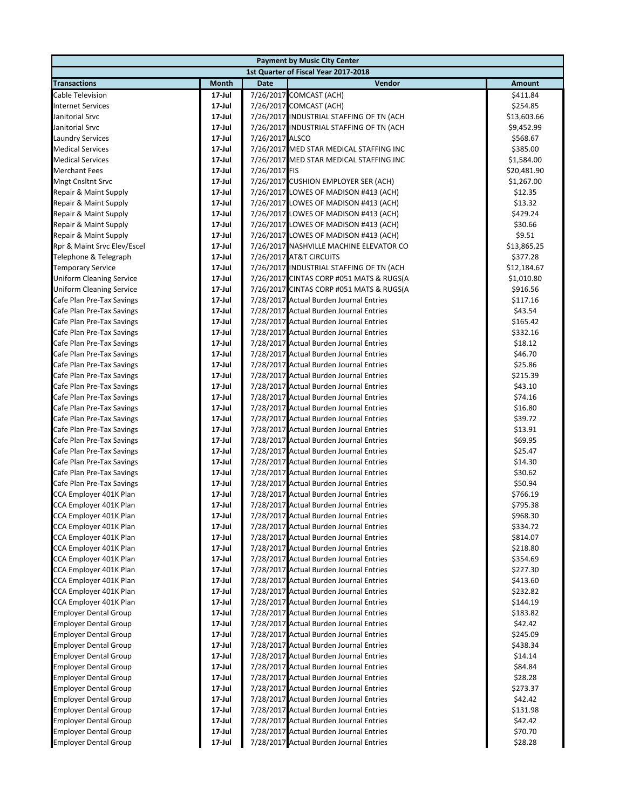| <b>Payment by Music City Center</b>  |           |                                          |             |  |  |
|--------------------------------------|-----------|------------------------------------------|-------------|--|--|
| 1st Quarter of Fiscal Year 2017-2018 |           |                                          |             |  |  |
| <b>Transactions</b>                  | Month     | <b>Date</b><br>Vendor                    | Amount      |  |  |
| Cable Television                     | $17$ -Jul | 7/26/2017 COMCAST (ACH)                  | \$411.84    |  |  |
| <b>Internet Services</b>             | $17$ -Jul | 7/26/2017 COMCAST (ACH)                  | \$254.85    |  |  |
| Janitorial Srvc                      | $17$ -Jul | 7/26/2017 INDUSTRIAL STAFFING OF TN (ACH | \$13,603.66 |  |  |
| Janitorial Srvc                      | $17$ -Jul | 7/26/2017 INDUSTRIAL STAFFING OF TN (ACH | \$9,452.99  |  |  |
| <b>Laundry Services</b>              | $17$ -Jul | 7/26/2017 ALSCO                          | \$568.67    |  |  |
| <b>Medical Services</b>              | $17$ -Jul | 7/26/2017 MED STAR MEDICAL STAFFING INC  | \$385.00    |  |  |
| <b>Medical Services</b>              | $17$ -Jul | 7/26/2017 MED STAR MEDICAL STAFFING INC  | \$1,584.00  |  |  |
| <b>Merchant Fees</b>                 | 17-Jul    | 7/26/2017 FIS                            | \$20,481.90 |  |  |
| <b>Mngt Cnsltnt Srvc</b>             | $17$ -Jul | 7/26/2017 CUSHION EMPLOYER SER (ACH)     | \$1,267.00  |  |  |
| Repair & Maint Supply                | $17$ -Jul | 7/26/2017 LOWES OF MADISON #413 (ACH)    | \$12.35     |  |  |
| Repair & Maint Supply                | $17$ -Jul | 7/26/2017 LOWES OF MADISON #413 (ACH)    | \$13.32     |  |  |
| Repair & Maint Supply                | $17$ -Jul | 7/26/2017 LOWES OF MADISON #413 (ACH)    | \$429.24    |  |  |
| Repair & Maint Supply                | $17$ -Jul | 7/26/2017 LOWES OF MADISON #413 (ACH)    | \$30.66     |  |  |
| Repair & Maint Supply                | $17$ -Jul | 7/26/2017 LOWES OF MADISON #413 (ACH)    | \$9.51      |  |  |
| Rpr & Maint Srvc Elev/Escel          | $17$ -Jul | 7/26/2017 NASHVILLE MACHINE ELEVATOR CO  | \$13,865.25 |  |  |
| Telephone & Telegraph                | $17$ -Jul | 7/26/2017 AT&T CIRCUITS                  | \$377.28    |  |  |
| <b>Temporary Service</b>             | $17$ -Jul | 7/26/2017 INDUSTRIAL STAFFING OF TN (ACH | \$12,184.67 |  |  |
| <b>Uniform Cleaning Service</b>      | $17$ -Jul | 7/26/2017 CINTAS CORP #051 MATS & RUGS(A | \$1,010.80  |  |  |
| <b>Uniform Cleaning Service</b>      | $17$ -Jul | 7/26/2017 CINTAS CORP #051 MATS & RUGS(A | \$916.56    |  |  |
| Cafe Plan Pre-Tax Savings            | $17$ -Jul | 7/28/2017 Actual Burden Journal Entries  | \$117.16    |  |  |
| Cafe Plan Pre-Tax Savings            | $17$ -Jul | 7/28/2017 Actual Burden Journal Entries  | \$43.54     |  |  |
| Cafe Plan Pre-Tax Savings            | $17$ -Jul | 7/28/2017 Actual Burden Journal Entries  | \$165.42    |  |  |
| Cafe Plan Pre-Tax Savings            | $17$ -Jul | 7/28/2017 Actual Burden Journal Entries  | \$332.16    |  |  |
| Cafe Plan Pre-Tax Savings            | $17$ -Jul | 7/28/2017 Actual Burden Journal Entries  | \$18.12     |  |  |
| Cafe Plan Pre-Tax Savings            | $17$ -Jul | 7/28/2017 Actual Burden Journal Entries  | \$46.70     |  |  |
| Cafe Plan Pre-Tax Savings            | $17$ -Jul | 7/28/2017 Actual Burden Journal Entries  | \$25.86     |  |  |
| Cafe Plan Pre-Tax Savings            | $17$ -Jul | 7/28/2017 Actual Burden Journal Entries  | \$215.39    |  |  |
| Cafe Plan Pre-Tax Savings            | $17$ -Jul | 7/28/2017 Actual Burden Journal Entries  | \$43.10     |  |  |
| Cafe Plan Pre-Tax Savings            | $17$ -Jul | 7/28/2017 Actual Burden Journal Entries  | \$74.16     |  |  |
| Cafe Plan Pre-Tax Savings            | $17$ -Jul | 7/28/2017 Actual Burden Journal Entries  | \$16.80     |  |  |
| Cafe Plan Pre-Tax Savings            | $17$ -Jul | 7/28/2017 Actual Burden Journal Entries  | \$39.72     |  |  |
| Cafe Plan Pre-Tax Savings            | 17-Jul    | 7/28/2017 Actual Burden Journal Entries  | \$13.91     |  |  |
| Cafe Plan Pre-Tax Savings            | $17$ -Jul | 7/28/2017 Actual Burden Journal Entries  | \$69.95     |  |  |
| Cafe Plan Pre-Tax Savings            | $17$ -Jul | 7/28/2017 Actual Burden Journal Entries  | \$25.47     |  |  |
| Cafe Plan Pre-Tax Savings            | $17$ -Jul | 7/28/2017 Actual Burden Journal Entries  | \$14.30     |  |  |
| Cafe Plan Pre-Tax Savings            | $17$ -Jul | 7/28/2017 Actual Burden Journal Entries  | \$30.62     |  |  |
| Cafe Plan Pre-Tax Savings            | $17$ -Jul | 7/28/2017 Actual Burden Journal Entries  | \$50.94     |  |  |
| CCA Employer 401K Plan               | 17-Jul    | 7/28/2017 Actual Burden Journal Entries  | \$766.19    |  |  |
| CCA Employer 401K Plan               | $17$ -Jul | 7/28/2017 Actual Burden Journal Entries  | \$795.38    |  |  |
| CCA Employer 401K Plan               | 17-Jul    | 7/28/2017 Actual Burden Journal Entries  | \$968.30    |  |  |
| CCA Employer 401K Plan               | 17-Jul    | 7/28/2017 Actual Burden Journal Entries  | \$334.72    |  |  |
| CCA Employer 401K Plan               | 17-Jul    | 7/28/2017 Actual Burden Journal Entries  | \$814.07    |  |  |
| CCA Employer 401K Plan               | 17-Jul    | 7/28/2017 Actual Burden Journal Entries  | \$218.80    |  |  |
| CCA Employer 401K Plan               | 17-Jul    | 7/28/2017 Actual Burden Journal Entries  | \$354.69    |  |  |
| CCA Employer 401K Plan               | 17-Jul    | 7/28/2017 Actual Burden Journal Entries  | \$227.30    |  |  |
| CCA Employer 401K Plan               | 17-Jul    | 7/28/2017 Actual Burden Journal Entries  | \$413.60    |  |  |
| CCA Employer 401K Plan               | 17-Jul    | 7/28/2017 Actual Burden Journal Entries  | \$232.82    |  |  |
| CCA Employer 401K Plan               | $17$ -Jul | 7/28/2017 Actual Burden Journal Entries  | \$144.19    |  |  |
| <b>Employer Dental Group</b>         | 17-Jul    | 7/28/2017 Actual Burden Journal Entries  | \$183.82    |  |  |
| <b>Employer Dental Group</b>         | 17-Jul    | 7/28/2017 Actual Burden Journal Entries  | \$42.42     |  |  |
| <b>Employer Dental Group</b>         | 17-Jul    | 7/28/2017 Actual Burden Journal Entries  | \$245.09    |  |  |
| <b>Employer Dental Group</b>         | 17-Jul    | 7/28/2017 Actual Burden Journal Entries  | \$438.34    |  |  |
| <b>Employer Dental Group</b>         | 17-Jul    | 7/28/2017 Actual Burden Journal Entries  | \$14.14     |  |  |
| <b>Employer Dental Group</b>         | 17-Jul    | 7/28/2017 Actual Burden Journal Entries  | \$84.84     |  |  |
| <b>Employer Dental Group</b>         | 17-Jul    | 7/28/2017 Actual Burden Journal Entries  | \$28.28     |  |  |
| <b>Employer Dental Group</b>         | 17-Jul    | 7/28/2017 Actual Burden Journal Entries  | \$273.37    |  |  |
| <b>Employer Dental Group</b>         | 17-Jul    | 7/28/2017 Actual Burden Journal Entries  | \$42.42     |  |  |
| <b>Employer Dental Group</b>         | 17-Jul    | 7/28/2017 Actual Burden Journal Entries  | \$131.98    |  |  |
| <b>Employer Dental Group</b>         | 17-Jul    | 7/28/2017 Actual Burden Journal Entries  | \$42.42     |  |  |
| <b>Employer Dental Group</b>         | 17-Jul    | 7/28/2017 Actual Burden Journal Entries  | \$70.70     |  |  |
| <b>Employer Dental Group</b>         | 17-Jul    | 7/28/2017 Actual Burden Journal Entries  | \$28.28     |  |  |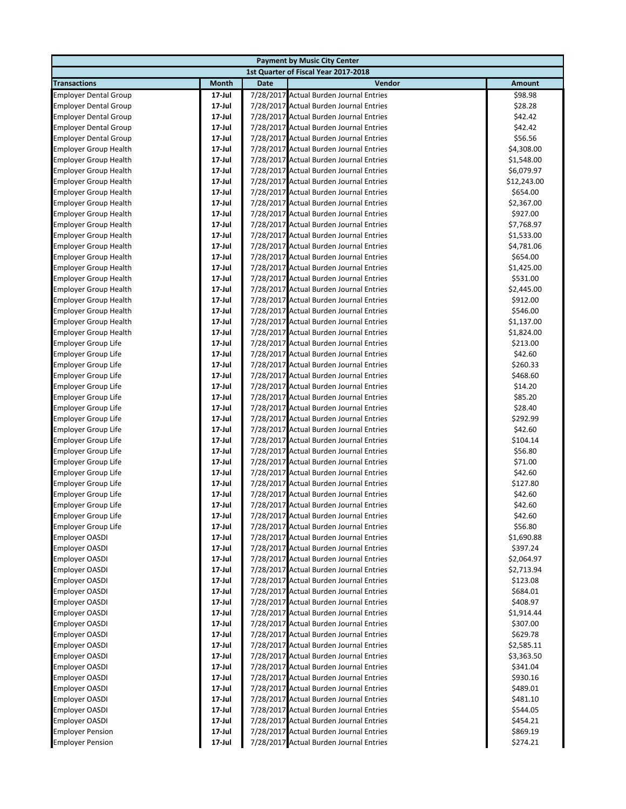| <b>Payment by Music City Center</b>                      |                        |                                                                                    |                     |  |  |
|----------------------------------------------------------|------------------------|------------------------------------------------------------------------------------|---------------------|--|--|
| 1st Quarter of Fiscal Year 2017-2018                     |                        |                                                                                    |                     |  |  |
| <b>Transactions</b>                                      | Month                  | <b>Date</b><br>Vendor                                                              | <b>Amount</b>       |  |  |
| <b>Employer Dental Group</b>                             | 17-Jul                 | 7/28/2017 Actual Burden Journal Entries                                            | \$98.98             |  |  |
| <b>Employer Dental Group</b>                             | $17$ -Jul              | 7/28/2017 Actual Burden Journal Entries                                            | \$28.28             |  |  |
| <b>Employer Dental Group</b>                             | $17$ -Jul              | 7/28/2017 Actual Burden Journal Entries                                            | \$42.42             |  |  |
| <b>Employer Dental Group</b>                             | $17$ -Jul              | 7/28/2017 Actual Burden Journal Entries                                            | \$42.42             |  |  |
| <b>Employer Dental Group</b>                             | $17$ -Jul              | 7/28/2017 Actual Burden Journal Entries                                            | \$56.56             |  |  |
| <b>Employer Group Health</b>                             | $17$ -Jul              | 7/28/2017 Actual Burden Journal Entries                                            | \$4,308.00          |  |  |
| <b>Employer Group Health</b>                             | $17$ -Jul              | 7/28/2017 Actual Burden Journal Entries                                            | \$1,548.00          |  |  |
| <b>Employer Group Health</b>                             | $17$ -Jul              | 7/28/2017 Actual Burden Journal Entries                                            | \$6,079.97          |  |  |
| <b>Employer Group Health</b>                             | $17$ -Jul              | 7/28/2017 Actual Burden Journal Entries                                            | \$12,243.00         |  |  |
| <b>Employer Group Health</b>                             | $17$ -Jul              | 7/28/2017 Actual Burden Journal Entries                                            | \$654.00            |  |  |
| <b>Employer Group Health</b>                             | $17$ -Jul              | 7/28/2017 Actual Burden Journal Entries                                            | \$2,367.00          |  |  |
| <b>Employer Group Health</b>                             | $17$ -Jul              | 7/28/2017 Actual Burden Journal Entries                                            | \$927.00            |  |  |
| <b>Employer Group Health</b>                             | $17$ -Jul              | 7/28/2017 Actual Burden Journal Entries                                            | \$7,768.97          |  |  |
| <b>Employer Group Health</b>                             | $17$ -Jul              | 7/28/2017 Actual Burden Journal Entries                                            | \$1,533.00          |  |  |
| <b>Employer Group Health</b>                             | $17$ -Jul              | 7/28/2017 Actual Burden Journal Entries                                            | \$4,781.06          |  |  |
| <b>Employer Group Health</b>                             | $17$ -Jul              | 7/28/2017 Actual Burden Journal Entries                                            | \$654.00            |  |  |
| <b>Employer Group Health</b>                             | $17$ -Jul              | 7/28/2017 Actual Burden Journal Entries                                            | \$1,425.00          |  |  |
| <b>Employer Group Health</b>                             | $17$ -Jul              | 7/28/2017 Actual Burden Journal Entries                                            | \$531.00            |  |  |
| <b>Employer Group Health</b>                             | $17$ -Jul              | 7/28/2017 Actual Burden Journal Entries                                            | \$2,445.00          |  |  |
| <b>Employer Group Health</b>                             | $17$ -Jul              | 7/28/2017 Actual Burden Journal Entries                                            | \$912.00            |  |  |
| <b>Employer Group Health</b>                             | $17$ -Jul              | 7/28/2017 Actual Burden Journal Entries                                            | \$546.00            |  |  |
| <b>Employer Group Health</b>                             | $17$ -Jul              | 7/28/2017 Actual Burden Journal Entries                                            | \$1,137.00          |  |  |
| <b>Employer Group Health</b>                             | $17$ -Jul              | 7/28/2017 Actual Burden Journal Entries                                            | \$1,824.00          |  |  |
| <b>Employer Group Life</b>                               | $17$ -Jul              | 7/28/2017 Actual Burden Journal Entries                                            | \$213.00            |  |  |
| <b>Employer Group Life</b>                               | $17$ -Jul              | 7/28/2017 Actual Burden Journal Entries                                            | \$42.60             |  |  |
| <b>Employer Group Life</b>                               | $17$ -Jul              | 7/28/2017 Actual Burden Journal Entries                                            | \$260.33            |  |  |
| <b>Employer Group Life</b>                               | $17$ -Jul              | 7/28/2017 Actual Burden Journal Entries                                            | \$468.60            |  |  |
| <b>Employer Group Life</b>                               | $17$ -Jul              | 7/28/2017 Actual Burden Journal Entries                                            | \$14.20             |  |  |
| <b>Employer Group Life</b>                               | $17$ -Jul              | 7/28/2017 Actual Burden Journal Entries                                            | \$85.20             |  |  |
| <b>Employer Group Life</b>                               | $17$ -Jul              | 7/28/2017 Actual Burden Journal Entries                                            | \$28.40             |  |  |
| <b>Employer Group Life</b>                               | $17$ -Jul              | 7/28/2017 Actual Burden Journal Entries                                            | \$292.99            |  |  |
| <b>Employer Group Life</b>                               | $17$ -Jul              | 7/28/2017 Actual Burden Journal Entries                                            | \$42.60             |  |  |
| <b>Employer Group Life</b><br><b>Employer Group Life</b> | $17$ -Jul<br>$17$ -Jul | 7/28/2017 Actual Burden Journal Entries<br>7/28/2017 Actual Burden Journal Entries | \$104.14<br>\$56.80 |  |  |
| <b>Employer Group Life</b>                               | $17$ -Jul              | 7/28/2017 Actual Burden Journal Entries                                            | \$71.00             |  |  |
| <b>Employer Group Life</b>                               | $17$ -Jul              | 7/28/2017 Actual Burden Journal Entries                                            | \$42.60             |  |  |
| <b>Employer Group Life</b>                               | $17$ -Jul              | 7/28/2017 Actual Burden Journal Entries                                            | \$127.80            |  |  |
| <b>Employer Group Life</b>                               | 17-Jul                 | 7/28/2017 Actual Burden Journal Entries                                            | \$42.60             |  |  |
| <b>Employer Group Life</b>                               | $17$ -Jul              | 7/28/2017 Actual Burden Journal Entries                                            | \$42.60             |  |  |
| Employer Group Life                                      | 17-Jul                 | 7/28/2017 Actual Burden Journal Entries                                            | \$42.60             |  |  |
| <b>Employer Group Life</b>                               | 17-Jul                 | 7/28/2017 Actual Burden Journal Entries                                            | \$56.80             |  |  |
| <b>Employer OASDI</b>                                    | 17-Jul                 | 7/28/2017 Actual Burden Journal Entries                                            | \$1,690.88          |  |  |
| <b>Employer OASDI</b>                                    | 17-Jul                 | 7/28/2017 Actual Burden Journal Entries                                            | \$397.24            |  |  |
| <b>Employer OASDI</b>                                    | 17-Jul                 | 7/28/2017 Actual Burden Journal Entries                                            | \$2,064.97          |  |  |
| <b>Employer OASDI</b>                                    | 17-Jul                 | 7/28/2017 Actual Burden Journal Entries                                            | \$2,713.94          |  |  |
| <b>Employer OASDI</b>                                    | 17-Jul                 | 7/28/2017 Actual Burden Journal Entries                                            | \$123.08            |  |  |
| <b>Employer OASDI</b>                                    | 17-Jul                 | 7/28/2017 Actual Burden Journal Entries                                            | \$684.01            |  |  |
| <b>Employer OASDI</b>                                    | 17-Jul                 | 7/28/2017 Actual Burden Journal Entries                                            | \$408.97            |  |  |
| <b>Employer OASDI</b>                                    | 17-Jul                 | 7/28/2017 Actual Burden Journal Entries                                            | \$1,914.44          |  |  |
| <b>Employer OASDI</b>                                    | 17-Jul                 | 7/28/2017 Actual Burden Journal Entries                                            | \$307.00            |  |  |
| <b>Employer OASDI</b>                                    | 17-Jul                 | 7/28/2017 Actual Burden Journal Entries                                            | \$629.78            |  |  |
| <b>Employer OASDI</b>                                    | 17-Jul                 | 7/28/2017 Actual Burden Journal Entries                                            | \$2,585.11          |  |  |
| <b>Employer OASDI</b>                                    | 17-Jul                 | 7/28/2017 Actual Burden Journal Entries                                            | \$3,363.50          |  |  |
| <b>Employer OASDI</b>                                    | 17-Jul                 | 7/28/2017 Actual Burden Journal Entries                                            | \$341.04            |  |  |
| <b>Employer OASDI</b>                                    | $17$ -Jul              | 7/28/2017 Actual Burden Journal Entries                                            | \$930.16            |  |  |
| <b>Employer OASDI</b>                                    | 17-Jul                 | 7/28/2017 Actual Burden Journal Entries                                            | \$489.01            |  |  |
| <b>Employer OASDI</b>                                    | 17-Jul                 | 7/28/2017 Actual Burden Journal Entries                                            | \$481.10            |  |  |
| <b>Employer OASDI</b>                                    | 17-Jul                 | 7/28/2017 Actual Burden Journal Entries                                            | \$544.05            |  |  |
| <b>Employer OASDI</b>                                    | $17$ -Jul              | 7/28/2017 Actual Burden Journal Entries                                            | \$454.21            |  |  |
| <b>Employer Pension</b>                                  | 17-Jul                 | 7/28/2017 Actual Burden Journal Entries                                            | \$869.19            |  |  |
| <b>Employer Pension</b>                                  | $17$ -Jul              | 7/28/2017 Actual Burden Journal Entries                                            | \$274.21            |  |  |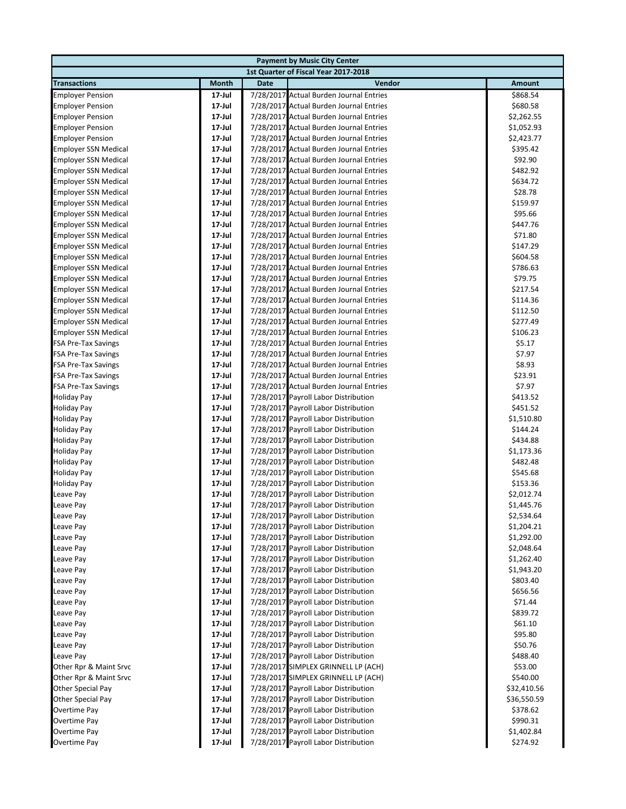| <b>Payment by Music City Center</b>  |                        |                                                                              |                      |  |  |
|--------------------------------------|------------------------|------------------------------------------------------------------------------|----------------------|--|--|
| 1st Quarter of Fiscal Year 2017-2018 |                        |                                                                              |                      |  |  |
| <b>Transactions</b>                  | <b>Month</b>           | <b>Date</b><br>Vendor                                                        | Amount               |  |  |
| <b>Employer Pension</b>              | $17$ -Jul              | 7/28/2017 Actual Burden Journal Entries                                      | \$868.54             |  |  |
| <b>Employer Pension</b>              | $17$ -Jul              | 7/28/2017 Actual Burden Journal Entries                                      | \$680.58             |  |  |
| <b>Employer Pension</b>              | 17-Jul                 | 7/28/2017 Actual Burden Journal Entries                                      | \$2,262.55           |  |  |
| <b>Employer Pension</b>              | 17-Jul                 | 7/28/2017 Actual Burden Journal Entries                                      | \$1,052.93           |  |  |
| <b>Employer Pension</b>              | $17$ -Jul              | 7/28/2017 Actual Burden Journal Entries                                      | \$2,423.77           |  |  |
| <b>Employer SSN Medical</b>          | $17$ -Jul              | 7/28/2017 Actual Burden Journal Entries                                      | \$395.42             |  |  |
| <b>Employer SSN Medical</b>          | 17-Jul                 | 7/28/2017 Actual Burden Journal Entries                                      | \$92.90              |  |  |
| <b>Employer SSN Medical</b>          | 17-Jul                 | 7/28/2017 Actual Burden Journal Entries                                      | \$482.92             |  |  |
| <b>Employer SSN Medical</b>          | $17$ -Jul              | 7/28/2017 Actual Burden Journal Entries                                      | \$634.72             |  |  |
| <b>Employer SSN Medical</b>          | $17$ -Jul              | 7/28/2017 Actual Burden Journal Entries                                      | \$28.78              |  |  |
| <b>Employer SSN Medical</b>          | 17-Jul                 | 7/28/2017 Actual Burden Journal Entries                                      | \$159.97             |  |  |
| <b>Employer SSN Medical</b>          | 17-Jul                 | 7/28/2017 Actual Burden Journal Entries                                      | \$95.66              |  |  |
| <b>Employer SSN Medical</b>          | 17-Jul                 | 7/28/2017 Actual Burden Journal Entries                                      | \$447.76             |  |  |
| <b>Employer SSN Medical</b>          | 17-Jul                 | 7/28/2017 Actual Burden Journal Entries                                      | \$71.80              |  |  |
| <b>Employer SSN Medical</b>          | 17-Jul                 | 7/28/2017 Actual Burden Journal Entries                                      | \$147.29             |  |  |
| <b>Employer SSN Medical</b>          | 17-Jul                 | 7/28/2017 Actual Burden Journal Entries                                      | \$604.58             |  |  |
| <b>Employer SSN Medical</b>          | $17$ -Jul              | 7/28/2017 Actual Burden Journal Entries                                      | \$786.63             |  |  |
| <b>Employer SSN Medical</b>          | 17-Jul                 | 7/28/2017 Actual Burden Journal Entries                                      | \$79.75              |  |  |
| <b>Employer SSN Medical</b>          | 17-Jul                 | 7/28/2017 Actual Burden Journal Entries                                      | \$217.54             |  |  |
| <b>Employer SSN Medical</b>          | 17-Jul                 | 7/28/2017 Actual Burden Journal Entries                                      | \$114.36             |  |  |
| <b>Employer SSN Medical</b>          | 17-Jul                 | 7/28/2017 Actual Burden Journal Entries                                      | \$112.50             |  |  |
| <b>Employer SSN Medical</b>          | 17-Jul                 | 7/28/2017 Actual Burden Journal Entries                                      | \$277.49             |  |  |
| <b>Employer SSN Medical</b>          | 17-Jul                 | 7/28/2017 Actual Burden Journal Entries                                      | \$106.23             |  |  |
| <b>FSA Pre-Tax Savings</b>           | $17$ -Jul              | 7/28/2017 Actual Burden Journal Entries                                      | \$5.17               |  |  |
| <b>FSA Pre-Tax Savings</b>           | 17-Jul                 | 7/28/2017 Actual Burden Journal Entries                                      | \$7.97               |  |  |
| <b>FSA Pre-Tax Savings</b>           | $17$ -Jul              | 7/28/2017 Actual Burden Journal Entries                                      | \$8.93               |  |  |
| <b>FSA Pre-Tax Savings</b>           | 17-Jul                 | 7/28/2017 Actual Burden Journal Entries                                      | \$23.91              |  |  |
| <b>FSA Pre-Tax Savings</b>           | 17-Jul                 | 7/28/2017 Actual Burden Journal Entries                                      | \$7.97               |  |  |
| <b>Holiday Pay</b>                   | 17-Jul                 | 7/28/2017 Payroll Labor Distribution                                         | \$413.52             |  |  |
| <b>Holiday Pay</b>                   | $17$ -Jul              | 7/28/2017 Payroll Labor Distribution                                         | \$451.52             |  |  |
| <b>Holiday Pay</b>                   | $17$ -Jul              | 7/28/2017 Payroll Labor Distribution                                         | \$1,510.80           |  |  |
| <b>Holiday Pay</b>                   | 17-Jul                 | 7/28/2017 Payroll Labor Distribution                                         | \$144.24             |  |  |
| <b>Holiday Pay</b>                   | 17-Jul                 | 7/28/2017 Payroll Labor Distribution                                         | \$434.88             |  |  |
| <b>Holiday Pay</b>                   | $17$ -Jul              | 7/28/2017 Payroll Labor Distribution                                         | \$1,173.36           |  |  |
| <b>Holiday Pay</b>                   | $17$ -Jul              | 7/28/2017 Payroll Labor Distribution                                         | \$482.48             |  |  |
| <b>Holiday Pay</b>                   | 17-Jul                 | 7/28/2017 Payroll Labor Distribution                                         | \$545.68             |  |  |
| <b>Holiday Pay</b>                   | 17-Jul                 | 7/28/2017 Payroll Labor Distribution                                         | \$153.36             |  |  |
| Leave Pay                            | 17-Jul                 | 7/28/2017 Payroll Labor Distribution                                         | \$2,012.74           |  |  |
| Leave Pay                            | 17-Jul                 | 7/28/2017 Payroll Labor Distribution                                         | \$1,445.76           |  |  |
| Leave Pay                            | 17 Jul                 | 7/28/2017 Payroll Labor Distribution                                         | \$2,534.64           |  |  |
| Leave Pay                            | 17-Jul                 | 7/28/2017 Payroll Labor Distribution                                         | \$1,204.21           |  |  |
| Leave Pay                            | $17$ -Jul              | 7/28/2017 Payroll Labor Distribution                                         | \$1,292.00           |  |  |
| Leave Pay                            | $17$ -Jul              | 7/28/2017 Payroll Labor Distribution                                         | \$2,048.64           |  |  |
| Leave Pay                            | $17$ -Jul              | 7/28/2017 Payroll Labor Distribution                                         | \$1,262.40           |  |  |
| Leave Pay                            | $17$ -Jul              | 7/28/2017 Payroll Labor Distribution                                         | \$1,943.20           |  |  |
| Leave Pay                            | $17$ -Jul<br>$17$ -Jul | 7/28/2017 Payroll Labor Distribution<br>7/28/2017 Payroll Labor Distribution | \$803.40<br>\$656.56 |  |  |
| Leave Pay                            |                        |                                                                              |                      |  |  |
| Leave Pay                            | $17$ -Jul              | 7/28/2017 Payroll Labor Distribution                                         | \$71.44              |  |  |
| Leave Pay<br>Leave Pay               | 17-Jul<br>$17$ -Jul    | 7/28/2017 Payroll Labor Distribution<br>7/28/2017 Payroll Labor Distribution | \$839.72<br>\$61.10  |  |  |
|                                      | $17$ -Jul              | 7/28/2017 Payroll Labor Distribution                                         | \$95.80              |  |  |
| Leave Pay                            | 17-Jul                 | 7/28/2017 Payroll Labor Distribution                                         | \$50.76              |  |  |
| Leave Pay<br>Leave Pay               | $17$ -Jul              | 7/28/2017 Payroll Labor Distribution                                         | \$488.40             |  |  |
| Other Rpr & Maint Srvc               | 17-Jul                 | 7/28/2017 SIMPLEX GRINNELL LP (ACH)                                          | \$53.00              |  |  |
| Other Rpr & Maint Srvc               | 17-Jul                 | 7/28/2017 SIMPLEX GRINNELL LP (ACH)                                          | \$540.00             |  |  |
| Other Special Pay                    | 17-Jul                 | 7/28/2017 Payroll Labor Distribution                                         | \$32,410.56          |  |  |
| Other Special Pay                    | 17-Jul                 | 7/28/2017 Payroll Labor Distribution                                         | \$36,550.59          |  |  |
| Overtime Pay                         | 17-Jul                 | 7/28/2017 Payroll Labor Distribution                                         | \$378.62             |  |  |
| Overtime Pay                         | 17-Jul                 | 7/28/2017 Payroll Labor Distribution                                         | \$990.31             |  |  |
| Overtime Pay                         | 17-Jul                 | 7/28/2017 Payroll Labor Distribution                                         | \$1,402.84           |  |  |
| Overtime Pay                         | 17-Jul                 | 7/28/2017 Payroll Labor Distribution                                         | \$274.92             |  |  |
|                                      |                        |                                                                              |                      |  |  |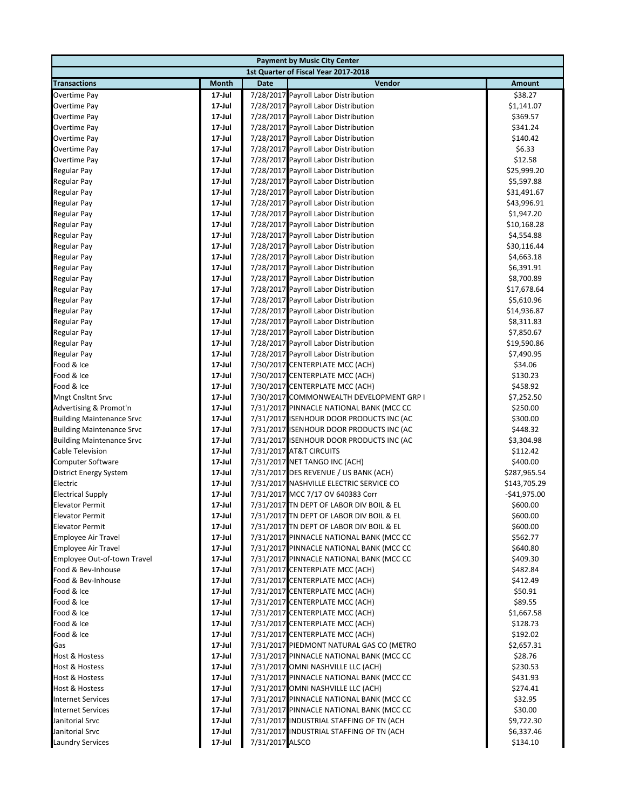| <b>Payment by Music City Center</b>  |                        |                 |                                                                              |                       |  |  |
|--------------------------------------|------------------------|-----------------|------------------------------------------------------------------------------|-----------------------|--|--|
| 1st Quarter of Fiscal Year 2017-2018 |                        |                 |                                                                              |                       |  |  |
| <b>Transactions</b>                  | Month                  | <b>Date</b>     | Vendor                                                                       | <b>Amount</b>         |  |  |
| Overtime Pay                         | 17-Jul                 |                 | 7/28/2017 Payroll Labor Distribution                                         | \$38.27               |  |  |
| Overtime Pay                         | 17-Jul                 |                 | 7/28/2017 Payroll Labor Distribution                                         | \$1,141.07            |  |  |
| Overtime Pay                         | 17-Jul                 |                 | 7/28/2017 Payroll Labor Distribution                                         | \$369.57              |  |  |
| Overtime Pay                         | $17$ -Jul              |                 | 7/28/2017 Payroll Labor Distribution                                         | \$341.24              |  |  |
| Overtime Pay                         | $17$ -Jul              |                 | 7/28/2017 Payroll Labor Distribution                                         | \$140.42              |  |  |
| Overtime Pay                         | $17$ -Jul              |                 | 7/28/2017 Payroll Labor Distribution                                         | \$6.33                |  |  |
| Overtime Pay                         | 17-Jul                 |                 | 7/28/2017 Payroll Labor Distribution                                         | \$12.58               |  |  |
| <b>Regular Pay</b>                   | $17$ -Jul              |                 | 7/28/2017 Payroll Labor Distribution                                         | \$25,999.20           |  |  |
| Regular Pay                          | $17$ -Jul              |                 | 7/28/2017 Payroll Labor Distribution                                         | \$5,597.88            |  |  |
| <b>Regular Pay</b>                   | $17$ -Jul              |                 | 7/28/2017 Payroll Labor Distribution                                         | \$31,491.67           |  |  |
| <b>Regular Pay</b>                   | $17$ -Jul              |                 | 7/28/2017 Payroll Labor Distribution                                         | \$43,996.91           |  |  |
| <b>Regular Pay</b>                   | $17$ -Jul              |                 | 7/28/2017 Payroll Labor Distribution                                         | \$1,947.20            |  |  |
| <b>Regular Pay</b>                   | $17$ -Jul              |                 | 7/28/2017 Payroll Labor Distribution                                         | \$10,168.28           |  |  |
| <b>Regular Pay</b>                   | $17$ -Jul              |                 | 7/28/2017 Payroll Labor Distribution                                         | \$4,554.88            |  |  |
| <b>Regular Pay</b>                   | $17$ -Jul              |                 | 7/28/2017 Payroll Labor Distribution                                         | \$30,116.44           |  |  |
| <b>Regular Pay</b>                   | $17$ -Jul              |                 | 7/28/2017 Payroll Labor Distribution                                         | \$4,663.18            |  |  |
| Regular Pay                          | $17$ -Jul              |                 | 7/28/2017 Payroll Labor Distribution                                         | \$6,391.91            |  |  |
| Regular Pay                          | $17$ -Jul              |                 | 7/28/2017 Payroll Labor Distribution                                         | \$8,700.89            |  |  |
| <b>Regular Pay</b>                   | $17$ -Jul              |                 | 7/28/2017 Payroll Labor Distribution                                         | \$17,678.64           |  |  |
| Regular Pay                          | 17-Jul                 |                 | 7/28/2017 Payroll Labor Distribution                                         | \$5,610.96            |  |  |
| <b>Regular Pay</b>                   | 17-Jul                 |                 | 7/28/2017 Payroll Labor Distribution                                         | \$14,936.87           |  |  |
| <b>Regular Pay</b>                   | $17$ -Jul              |                 | 7/28/2017 Payroll Labor Distribution                                         | \$8,311.83            |  |  |
| <b>Regular Pay</b>                   | $17$ -Jul              |                 | 7/28/2017 Payroll Labor Distribution                                         | \$7,850.67            |  |  |
| <b>Regular Pay</b>                   | $17$ -Jul<br>$17$ -Jul |                 | 7/28/2017 Payroll Labor Distribution<br>7/28/2017 Payroll Labor Distribution | \$19,590.86           |  |  |
| <b>Regular Pay</b><br>Food & Ice     | $17$ -Jul              |                 | 7/30/2017 CENTERPLATE MCC (ACH)                                              | \$7,490.95<br>\$34.06 |  |  |
| Food & Ice                           | $17$ -Jul              |                 | 7/30/2017 CENTERPLATE MCC (ACH)                                              | \$130.23              |  |  |
| Food & Ice                           | 17-Jul                 |                 | 7/30/2017 CENTERPLATE MCC (ACH)                                              | \$458.92              |  |  |
| <b>Mngt Cnsltnt Srvc</b>             | 17-Jul                 |                 | 7/30/2017 COMMONWEALTH DEVELOPMENT GRP I                                     | \$7,252.50            |  |  |
| Advertising & Promot'n               | $17$ -Jul              |                 | 7/31/2017 PINNACLE NATIONAL BANK (MCC CC                                     | \$250.00              |  |  |
| <b>Building Maintenance Srvc</b>     | $17$ -Jul              |                 | 7/31/2017 ISENHOUR DOOR PRODUCTS INC (AC                                     | \$300.00              |  |  |
| <b>Building Maintenance Srvc</b>     | $17$ -Jul              |                 | 7/31/2017 ISENHOUR DOOR PRODUCTS INC (AC                                     | \$448.32              |  |  |
| <b>Building Maintenance Srvc</b>     | $17$ -Jul              |                 | 7/31/2017 ISENHOUR DOOR PRODUCTS INC (AC                                     | \$3,304.98            |  |  |
| Cable Television                     | 17-Jul                 |                 | 7/31/2017 AT&T CIRCUITS                                                      | \$112.42              |  |  |
| <b>Computer Software</b>             | $17$ -Jul              |                 | 7/31/2017 NET TANGO INC (ACH)                                                | \$400.00              |  |  |
| <b>District Energy System</b>        | $17$ -Jul              |                 | 7/31/2017 DES REVENUE / US BANK (ACH)                                        | \$287,965.54          |  |  |
| Electric                             | $17$ -Jul              |                 | 7/31/2017 NASHVILLE ELECTRIC SERVICE CO                                      | \$143,705.29          |  |  |
| <b>Electrical Supply</b>             | 17-Jul                 |                 | 7/31/2017 MCC 7/17 OV 640383 Corr                                            | $-$41,975.00$         |  |  |
| <b>Elevator Permit</b>               | $17$ -Jul              |                 | 7/31/2017 TN DEPT OF LABOR DIV BOIL & EL                                     | \$600.00              |  |  |
| <b>Elevator Permit</b>               | 17-Jul                 |                 | 7/31/2017 TN DEPT OF LABOR DIV BOIL & EL                                     | \$600.00              |  |  |
| <b>Elevator Permit</b>               | 17-Jul                 |                 | 7/31/2017 TN DEPT OF LABOR DIV BOIL & EL                                     | \$600.00              |  |  |
| <b>Employee Air Travel</b>           | 17-Jul                 |                 | 7/31/2017 PINNACLE NATIONAL BANK (MCC CC                                     | \$562.77              |  |  |
| <b>Employee Air Travel</b>           | 17-Jul                 |                 | 7/31/2017 PINNACLE NATIONAL BANK (MCC CC                                     | \$640.80              |  |  |
| Employee Out-of-town Travel          | 17-Jul                 |                 | 7/31/2017 PINNACLE NATIONAL BANK (MCC CC                                     | \$409.30              |  |  |
| Food & Bev-Inhouse                   | 17-Jul                 |                 | 7/31/2017 CENTERPLATE MCC (ACH)                                              | \$482.84              |  |  |
| Food & Bev-Inhouse                   | 17-Jul                 |                 | 7/31/2017 CENTERPLATE MCC (ACH)                                              | \$412.49              |  |  |
| Food & Ice                           | 17-Jul                 |                 | 7/31/2017 CENTERPLATE MCC (ACH)                                              | \$50.91               |  |  |
| Food & Ice                           | $17$ -Jul              |                 | 7/31/2017 CENTERPLATE MCC (ACH)                                              | \$89.55               |  |  |
| Food & Ice                           | 17-Jul                 |                 | 7/31/2017 CENTERPLATE MCC (ACH)                                              | \$1,667.58            |  |  |
| Food & Ice                           | 17-Jul                 |                 | 7/31/2017 CENTERPLATE MCC (ACH)                                              | \$128.73              |  |  |
| Food & Ice                           | 17-Jul                 |                 | 7/31/2017 CENTERPLATE MCC (ACH)                                              | \$192.02              |  |  |
| Gas                                  | 17-Jul                 |                 | 7/31/2017 PIEDMONT NATURAL GAS CO (METRO                                     | \$2,657.31            |  |  |
| Host & Hostess                       | 17-Jul                 |                 | 7/31/2017 PINNACLE NATIONAL BANK (MCC CC                                     | \$28.76               |  |  |
| Host & Hostess                       | 17-Jul                 |                 | 7/31/2017 OMNI NASHVILLE LLC (ACH)                                           | \$230.53              |  |  |
| Host & Hostess                       | $17$ -Jul              |                 | 7/31/2017 PINNACLE NATIONAL BANK (MCC CC                                     | \$431.93              |  |  |
| Host & Hostess                       | $17$ -Jul              |                 | 7/31/2017 OMNI NASHVILLE LLC (ACH)                                           | \$274.41              |  |  |
| <b>Internet Services</b>             | $17$ -Jul              |                 | 7/31/2017 PINNACLE NATIONAL BANK (MCC CC                                     | \$32.95               |  |  |
| <b>Internet Services</b>             | 17-Jul                 |                 | 7/31/2017 PINNACLE NATIONAL BANK (MCC CC                                     | \$30.00               |  |  |
| Janitorial Srvc                      | 17-Jul                 |                 | 7/31/2017 INDUSTRIAL STAFFING OF TN (ACH                                     | \$9,722.30            |  |  |
| Janitorial Srvc                      | $17$ -Jul              |                 | 7/31/2017 INDUSTRIAL STAFFING OF TN (ACH                                     | \$6,337.46            |  |  |
| <b>Laundry Services</b>              | 17-Jul                 | 7/31/2017 ALSCO |                                                                              | \$134.10              |  |  |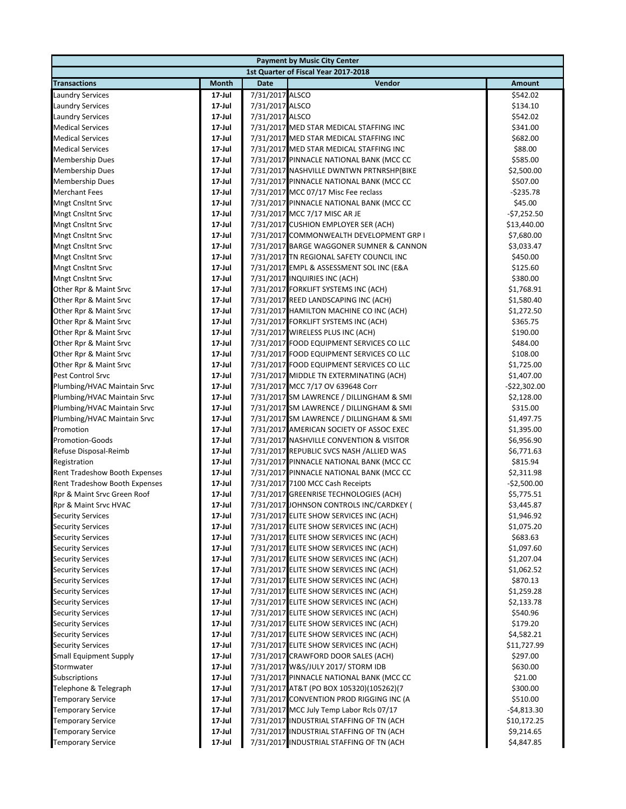| <b>Payment by Music City Center</b>  |              |                                          |               |  |  |
|--------------------------------------|--------------|------------------------------------------|---------------|--|--|
| 1st Quarter of Fiscal Year 2017-2018 |              |                                          |               |  |  |
| <b>Transactions</b>                  | <b>Month</b> | <b>Date</b><br>Vendor                    | Amount        |  |  |
| <b>Laundry Services</b>              | $17 -$ Jul   | 7/31/2017 ALSCO                          | \$542.02      |  |  |
| <b>Laundry Services</b>              | 17-Jul       | 7/31/2017 ALSCO                          | \$134.10      |  |  |
| <b>Laundry Services</b>              | $17$ -Jul    | 7/31/2017 ALSCO                          | \$542.02      |  |  |
| <b>Medical Services</b>              | $17$ -Jul    | 7/31/2017 MED STAR MEDICAL STAFFING INC  | \$341.00      |  |  |
| <b>Medical Services</b>              | $17$ -Jul    | 7/31/2017 MED STAR MEDICAL STAFFING INC  | \$682.00      |  |  |
| <b>Medical Services</b>              | 17-Jul       | 7/31/2017 MED STAR MEDICAL STAFFING INC  | \$88.00       |  |  |
| <b>Membership Dues</b>               | $17$ -Jul    | 7/31/2017 PINNACLE NATIONAL BANK (MCC CC | \$585.00      |  |  |
| <b>Membership Dues</b>               | $17$ -Jul    | 7/31/2017 NASHVILLE DWNTWN PRTNRSHP(BIKE | \$2,500.00    |  |  |
| <b>Membership Dues</b>               | $17$ -Jul    | 7/31/2017 PINNACLE NATIONAL BANK (MCC CC | \$507.00      |  |  |
| <b>Merchant Fees</b>                 | 17-Jul       | 7/31/2017 MCC 07/17 Misc Fee reclass     | $-5235.78$    |  |  |
| <b>Mngt Cnsltnt Srvc</b>             | 17-Jul       | 7/31/2017 PINNACLE NATIONAL BANK (MCC CC | \$45.00       |  |  |
| <b>Mngt Cnsltnt Srvc</b>             | 17-Jul       | 7/31/2017 MCC 7/17 MISC AR JE            | $-57,252.50$  |  |  |
| <b>Mngt Cnsltnt Srvc</b>             | $17$ -Jul    | 7/31/2017 CUSHION EMPLOYER SER (ACH)     | \$13,440.00   |  |  |
| <b>Mngt Cnsltnt Srvc</b>             | 17-Jul       | 7/31/2017 COMMONWEALTH DEVELOPMENT GRP I | \$7,680.00    |  |  |
| <b>Mngt Cnsltnt Srvc</b>             | 17-Jul       | 7/31/2017 BARGE WAGGONER SUMNER & CANNON | \$3,033.47    |  |  |
| Mngt Cnsltnt Srvc                    | 17-Jul       | 7/31/2017 TN REGIONAL SAFETY COUNCIL INC | \$450.00      |  |  |
| <b>Mngt Cnsltnt Srvc</b>             | $17$ -Jul    | 7/31/2017 EMPL & ASSESSMENT SOL INC (E&A | \$125.60      |  |  |
| <b>Mngt Cnsltnt Srvc</b>             | $17$ -Jul    | 7/31/2017 INQUIRIES INC (ACH)            | \$380.00      |  |  |
| Other Rpr & Maint Srvc               | 17-Jul       | 7/31/2017 FORKLIFT SYSTEMS INC (ACH)     | \$1,768.91    |  |  |
| Other Rpr & Maint Srvc               | 17-Jul       | 7/31/2017 REED LANDSCAPING INC (ACH)     | \$1,580.40    |  |  |
| Other Rpr & Maint Srvc               | $17$ -Jul    | 7/31/2017 HAMILTON MACHINE CO INC (ACH)  | \$1,272.50    |  |  |
| Other Rpr & Maint Srvc               | 17-Jul       | 7/31/2017 FORKLIFT SYSTEMS INC (ACH)     | \$365.75      |  |  |
| Other Rpr & Maint Srvc               | $17$ -Jul    | 7/31/2017 WIRELESS PLUS INC (ACH)        | \$190.00      |  |  |
| Other Rpr & Maint Srvc               | $17$ -Jul    | 7/31/2017 FOOD EQUIPMENT SERVICES CO LLC | \$484.00      |  |  |
| Other Rpr & Maint Srvc               | $17$ -Jul    | 7/31/2017 FOOD EQUIPMENT SERVICES CO LLC | \$108.00      |  |  |
| Other Rpr & Maint Srvc               | $17$ -Jul    | 7/31/2017 FOOD EQUIPMENT SERVICES CO LLC | \$1,725.00    |  |  |
| <b>Pest Control Srvc</b>             | 17-Jul       | 7/31/2017 MIDDLE TN EXTERMINATING (ACH)  | \$1,407.00    |  |  |
| Plumbing/HVAC Maintain Srvc          | $17$ -Jul    | 7/31/2017 MCC 7/17 OV 639648 Corr        | $-$22,302.00$ |  |  |
| Plumbing/HVAC Maintain Srvc          | $17$ -Jul    | 7/31/2017 SM LAWRENCE / DILLINGHAM & SMI | \$2,128.00    |  |  |
| Plumbing/HVAC Maintain Srvc          | $17$ -Jul    | 7/31/2017 SM LAWRENCE / DILLINGHAM & SMI | \$315.00      |  |  |
| Plumbing/HVAC Maintain Srvc          | 17-Jul       | 7/31/2017 SM LAWRENCE / DILLINGHAM & SMI | \$1,497.75    |  |  |
| Promotion                            | $17$ -Jul    | 7/31/2017 AMERICAN SOCIETY OF ASSOC EXEC | \$1,395.00    |  |  |
| <b>Promotion-Goods</b>               | 17-Jul       | 7/31/2017 NASHVILLE CONVENTION & VISITOR | \$6,956.90    |  |  |
| Refuse Disposal-Reimb                | $17$ -Jul    | 7/31/2017 REPUBLIC SVCS NASH /ALLIED WAS | \$6,771.63    |  |  |
| Registration                         | 17-Jul       | 7/31/2017 PINNACLE NATIONAL BANK (MCC CC | \$815.94      |  |  |
| Rent Tradeshow Booth Expenses        | 17-Jul       | 7/31/2017 PINNACLE NATIONAL BANK (MCC CC | \$2,311.98    |  |  |
| <b>Rent Tradeshow Booth Expenses</b> | 17-Jul       | 7/31/2017 7100 MCC Cash Receipts         | $-$2,500.00$  |  |  |
| Rpr & Maint Srvc Green Roof          | $17$ -Jul    | 7/31/2017 GREENRISE TECHNOLOGIES (ACH)   | \$5,775.51    |  |  |
| Rpr & Maint Srvc HVAC                | 17-Jul       | 7/31/2017 JOHNSON CONTROLS INC/CARDKEY ( | \$3,445.87    |  |  |
| <b>Security Services</b>             | 17 Jul       | 7/31/2017 ELITE SHOW SERVICES INC (ACH)  | \$1,946.92    |  |  |
| <b>Security Services</b>             | 17-Jul       | 7/31/2017 ELITE SHOW SERVICES INC (ACH)  | \$1,075.20    |  |  |
| <b>Security Services</b>             | $17$ -Jul    | 7/31/2017 ELITE SHOW SERVICES INC (ACH)  | \$683.63      |  |  |
| <b>Security Services</b>             | $17$ -Jul    | 7/31/2017 ELITE SHOW SERVICES INC (ACH)  | \$1,097.60    |  |  |
| <b>Security Services</b>             | $17$ -Jul    | 7/31/2017 ELITE SHOW SERVICES INC (ACH)  | \$1,207.04    |  |  |
| <b>Security Services</b>             | $17$ -Jul    | 7/31/2017 ELITE SHOW SERVICES INC (ACH)  | \$1,062.52    |  |  |
| <b>Security Services</b>             | $17$ -Jul    | 7/31/2017 ELITE SHOW SERVICES INC (ACH)  | \$870.13      |  |  |
| <b>Security Services</b>             | $17$ -Jul    | 7/31/2017 ELITE SHOW SERVICES INC (ACH)  | \$1,259.28    |  |  |
| <b>Security Services</b>             | $17$ -Jul    | 7/31/2017 ELITE SHOW SERVICES INC (ACH)  | \$2,133.78    |  |  |
| <b>Security Services</b>             | 17-Jul       | 7/31/2017 ELITE SHOW SERVICES INC (ACH)  | \$540.96      |  |  |
| <b>Security Services</b>             | $17$ -Jul    | 7/31/2017 ELITE SHOW SERVICES INC (ACH)  | \$179.20      |  |  |
| <b>Security Services</b>             | $17$ -Jul    | 7/31/2017 ELITE SHOW SERVICES INC (ACH)  | \$4,582.21    |  |  |
| <b>Security Services</b>             | $17$ -Jul    | 7/31/2017 ELITE SHOW SERVICES INC (ACH)  | \$11,727.99   |  |  |
| <b>Small Equipment Supply</b>        | $17$ -Jul    | 7/31/2017 CRAWFORD DOOR SALES (ACH)      | \$297.00      |  |  |
| Stormwater                           | $17$ -Jul    | 7/31/2017 W&S/JULY 2017/ STORM IDB       | \$630.00      |  |  |
| Subscriptions                        | 17-Jul       | 7/31/2017 PINNACLE NATIONAL BANK (MCC CC | \$21.00       |  |  |
| Telephone & Telegraph                | 17-Jul       | 7/31/2017 AT&T (PO BOX 105320)(105262)(7 | \$300.00      |  |  |
| <b>Temporary Service</b>             | 17-Jul       | 7/31/2017 CONVENTION PROD RIGGING INC (A | \$510.00      |  |  |
| <b>Temporary Service</b>             | 17-Jul       | 7/31/2017 MCC July Temp Labor Rcls 07/17 | $-$4,813.30$  |  |  |
| <b>Temporary Service</b>             | 17-Jul       | 7/31/2017 INDUSTRIAL STAFFING OF TN (ACH | \$10,172.25   |  |  |
| <b>Temporary Service</b>             | 17-Jul       | 7/31/2017 INDUSTRIAL STAFFING OF TN (ACH | \$9,214.65    |  |  |
| <b>Temporary Service</b>             | 17-Jul       | 7/31/2017 INDUSTRIAL STAFFING OF TN (ACH | \$4,847.85    |  |  |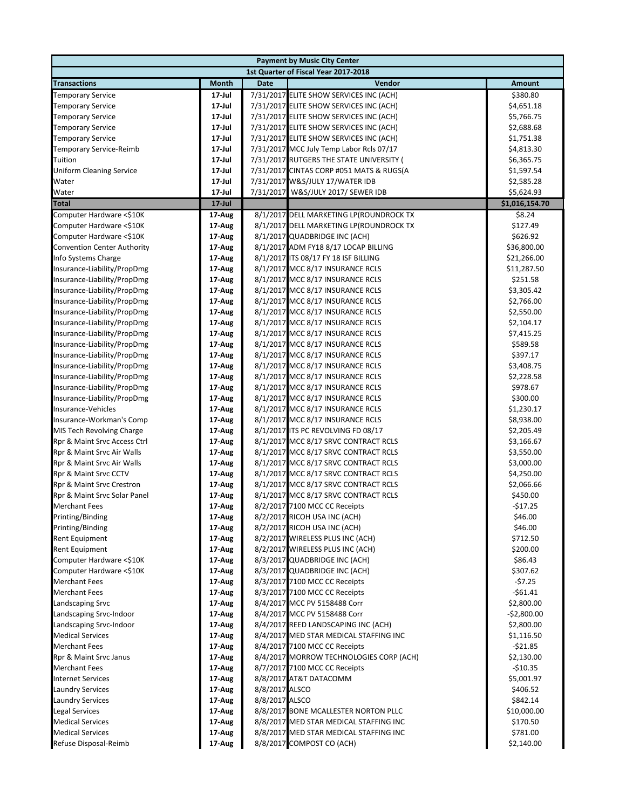| <b>Payment by Music City Center</b>  |              |                |                                          |                |  |
|--------------------------------------|--------------|----------------|------------------------------------------|----------------|--|
| 1st Quarter of Fiscal Year 2017-2018 |              |                |                                          |                |  |
| <b>Transactions</b>                  | <b>Month</b> | <b>Date</b>    | Vendor                                   | <b>Amount</b>  |  |
| <b>Temporary Service</b>             | $17$ -Jul    |                | 7/31/2017 ELITE SHOW SERVICES INC (ACH)  | \$380.80       |  |
| <b>Temporary Service</b>             | $17$ -Jul    |                | 7/31/2017 ELITE SHOW SERVICES INC (ACH)  | \$4,651.18     |  |
| <b>Temporary Service</b>             | 17-Jul       |                | 7/31/2017 ELITE SHOW SERVICES INC (ACH)  | \$5,766.75     |  |
| <b>Temporary Service</b>             | $17$ -Jul    |                | 7/31/2017 ELITE SHOW SERVICES INC (ACH)  | \$2,688.68     |  |
| <b>Temporary Service</b>             | $17$ -Jul    |                | 7/31/2017 ELITE SHOW SERVICES INC (ACH)  | \$1,751.38     |  |
| Temporary Service-Reimb              | $17$ -Jul    |                | 7/31/2017 MCC July Temp Labor Rcls 07/17 | \$4,813.30     |  |
| Tuition                              | $17$ -Jul    |                | 7/31/2017 RUTGERS THE STATE UNIVERSITY ( | \$6,365.75     |  |
| <b>Uniform Cleaning Service</b>      | $17$ -Jul    |                | 7/31/2017 CINTAS CORP #051 MATS & RUGS(A | \$1,597.54     |  |
| Water                                | $17$ -Jul    |                | 7/31/2017 W&S/JULY 17/WATER IDB          | \$2,585.28     |  |
| Water                                | $17$ -Jul    |                | 7/31/2017 W&S/JULY 2017/ SEWER IDB       | \$5,624.93     |  |
| <b>Total</b>                         | $17$ -Jul    |                |                                          | \$1,016,154.70 |  |
| Computer Hardware <\$10K             | 17-Aug       |                | 8/1/2017 DELL MARKETING LP(ROUNDROCK TX  | \$8.24         |  |
| Computer Hardware <\$10K             | 17-Aug       |                | 8/1/2017 DELL MARKETING LP(ROUNDROCK TX  | \$127.49       |  |
| Computer Hardware <\$10K             | 17-Aug       |                | 8/1/2017 QUADBRIDGE INC (ACH)            | \$626.92       |  |
| <b>Convention Center Authority</b>   | 17-Aug       |                | 8/1/2017 ADM FY18 8/17 LOCAP BILLING     | \$36,800.00    |  |
| Info Systems Charge                  | 17-Aug       |                | 8/1/2017 ITS 08/17 FY 18 ISF BILLING     | \$21,266.00    |  |
| Insurance-Liability/PropDmg          | 17-Aug       |                | 8/1/2017 MCC 8/17 INSURANCE RCLS         | \$11,287.50    |  |
| Insurance-Liability/PropDmg          | 17-Aug       |                | 8/1/2017 MCC 8/17 INSURANCE RCLS         | \$251.58       |  |
| Insurance-Liability/PropDmg          | 17-Aug       |                | 8/1/2017 MCC 8/17 INSURANCE RCLS         | \$3,305.42     |  |
| Insurance-Liability/PropDmg          | 17-Aug       |                | 8/1/2017 MCC 8/17 INSURANCE RCLS         | \$2,766.00     |  |
| Insurance-Liability/PropDmg          | 17-Aug       |                | 8/1/2017 MCC 8/17 INSURANCE RCLS         | \$2,550.00     |  |
| Insurance-Liability/PropDmg          | 17-Aug       |                | 8/1/2017 MCC 8/17 INSURANCE RCLS         | \$2,104.17     |  |
| Insurance-Liability/PropDmg          | 17-Aug       |                | 8/1/2017 MCC 8/17 INSURANCE RCLS         | \$7,415.25     |  |
| Insurance-Liability/PropDmg          | 17-Aug       |                | 8/1/2017 MCC 8/17 INSURANCE RCLS         | \$589.58       |  |
| Insurance-Liability/PropDmg          | 17-Aug       |                | 8/1/2017 MCC 8/17 INSURANCE RCLS         | \$397.17       |  |
| Insurance-Liability/PropDmg          | 17-Aug       |                | 8/1/2017 MCC 8/17 INSURANCE RCLS         | \$3,408.75     |  |
| Insurance-Liability/PropDmg          | 17-Aug       |                | 8/1/2017 MCC 8/17 INSURANCE RCLS         | \$2,228.58     |  |
| Insurance-Liability/PropDmg          | 17-Aug       |                | 8/1/2017 MCC 8/17 INSURANCE RCLS         | \$978.67       |  |
| Insurance-Liability/PropDmg          | 17-Aug       |                | 8/1/2017 MCC 8/17 INSURANCE RCLS         | \$300.00       |  |
| Insurance-Vehicles                   | 17-Aug       |                | 8/1/2017 MCC 8/17 INSURANCE RCLS         | \$1,230.17     |  |
| Insurance-Workman's Comp             | 17-Aug       |                | 8/1/2017 MCC 8/17 INSURANCE RCLS         | \$8,938.00     |  |
| <b>MIS Tech Revolving Charge</b>     | 17-Aug       |                | 8/1/2017 ITS PC REVOLVING FD 08/17       | \$2,205.49     |  |
| Rpr & Maint Srvc Access Ctrl         | 17-Aug       |                | 8/1/2017 MCC 8/17 SRVC CONTRACT RCLS     | \$3,166.67     |  |
| Rpr & Maint Srvc Air Walls           | 17-Aug       |                | 8/1/2017 MCC 8/17 SRVC CONTRACT RCLS     | \$3,550.00     |  |
| Rpr & Maint Srvc Air Walls           | 17-Aug       |                | 8/1/2017 MCC 8/17 SRVC CONTRACT RCLS     | \$3,000.00     |  |
| Rpr & Maint Srvc CCTV                | 17-Aug       |                | 8/1/2017 MCC 8/17 SRVC CONTRACT RCLS     | \$4,250.00     |  |
| Rpr & Maint Srvc Crestron            | 17-Aug       |                | 8/1/2017 MCC 8/17 SRVC CONTRACT RCLS     | \$2,066.66     |  |
| Rpr & Maint Srvc Solar Panel         | 17-Aug       |                | 8/1/2017 MCC 8/17 SRVC CONTRACT RCLS     | \$450.00       |  |
| <b>Merchant Fees</b>                 | 17-Aug       |                | 8/2/2017 7100 MCC CC Receipts            | $-517.25$      |  |
| Printing/Binding                     | 17-Aug       |                | 8/2/2017 RICOH USA INC (ACH)             | \$46.00        |  |
| Printing/Binding                     | 17-Aug       |                | 8/2/2017 RICOH USA INC (ACH)             | \$46.00        |  |
| Rent Equipment                       | 17-Aug       |                | 8/2/2017 WIRELESS PLUS INC (ACH)         | \$712.50       |  |
| <b>Rent Equipment</b>                | 17-Aug       |                | 8/2/2017 WIRELESS PLUS INC (ACH)         | \$200.00       |  |
| Computer Hardware <\$10K             | 17-Aug       |                | 8/3/2017 QUADBRIDGE INC (ACH)            | \$86.43        |  |
| Computer Hardware <\$10K             | 17-Aug       |                | 8/3/2017 QUADBRIDGE INC (ACH)            | \$307.62       |  |
| <b>Merchant Fees</b>                 | 17-Aug       |                | 8/3/2017 7100 MCC CC Receipts            | $-57.25$       |  |
| <b>Merchant Fees</b>                 | 17-Aug       |                | 8/3/2017 7100 MCC CC Receipts            | $-561.41$      |  |
| Landscaping Srvc                     | 17-Aug       |                | 8/4/2017 MCC PV 5158488 Corr             | \$2,800.00     |  |
| Landscaping Srvc-Indoor              | 17-Aug       |                | 8/4/2017 MCC PV 5158488 Corr             | $-$2,800.00$   |  |
| Landscaping Srvc-Indoor              | 17-Aug       |                | 8/4/2017 REED LANDSCAPING INC (ACH)      | \$2,800.00     |  |
| <b>Medical Services</b>              | 17-Aug       |                | 8/4/2017 MED STAR MEDICAL STAFFING INC   | \$1,116.50     |  |
| <b>Merchant Fees</b>                 | 17-Aug       |                | 8/4/2017 7100 MCC CC Receipts            | -\$21.85       |  |
| Rpr & Maint Srvc Janus               | 17-Aug       |                | 8/4/2017 MORROW TECHNOLOGIES CORP (ACH)  | \$2,130.00     |  |
| <b>Merchant Fees</b>                 | 17-Aug       |                | 8/7/2017 7100 MCC CC Receipts            | $-$10.35$      |  |
| <b>Internet Services</b>             | 17-Aug       |                | 8/8/2017 AT&T DATACOMM                   | \$5,001.97     |  |
| <b>Laundry Services</b>              | 17-Aug       | 8/8/2017 ALSCO |                                          | \$406.52       |  |
| <b>Laundry Services</b>              | 17-Aug       | 8/8/2017 ALSCO |                                          | \$842.14       |  |
| <b>Legal Services</b>                | 17-Aug       |                | 8/8/2017 BONE MCALLESTER NORTON PLLC     | \$10,000.00    |  |
| <b>Medical Services</b>              | 17-Aug       |                | 8/8/2017 MED STAR MEDICAL STAFFING INC   | \$170.50       |  |
| <b>Medical Services</b>              | 17-Aug       |                | 8/8/2017 MED STAR MEDICAL STAFFING INC   | \$781.00       |  |
| Refuse Disposal-Reimb                | 17-Aug       |                | 8/8/2017 COMPOST CO (ACH)                | \$2,140.00     |  |
|                                      |              |                |                                          |                |  |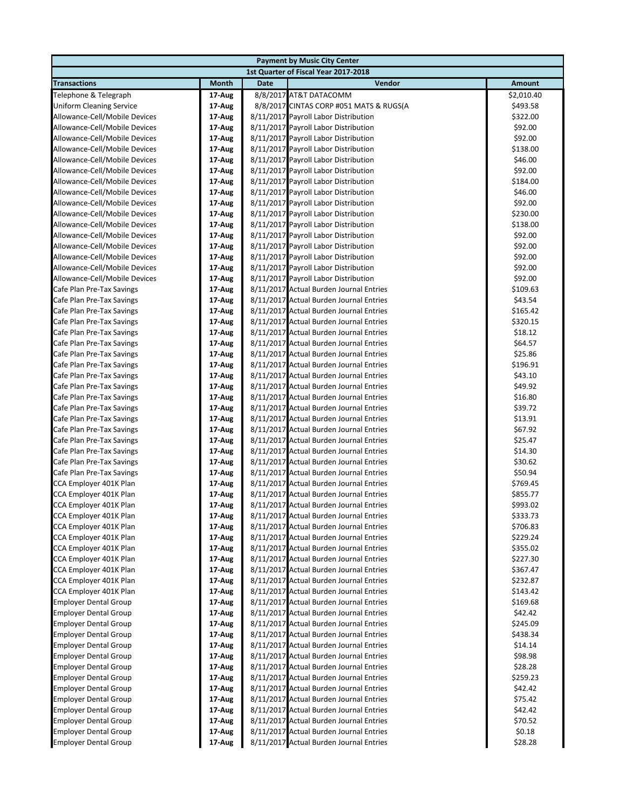| <b>Payment by Music City Center</b>                        |                  |      |                                                                                    |                      |  |
|------------------------------------------------------------|------------------|------|------------------------------------------------------------------------------------|----------------------|--|
|                                                            |                  |      | 1st Quarter of Fiscal Year 2017-2018                                               |                      |  |
| <b>Transactions</b>                                        | <b>Month</b>     | Date | Vendor                                                                             | Amount               |  |
| Telephone & Telegraph                                      | 17-Aug           |      | 8/8/2017 AT&T DATACOMM                                                             | \$2,010.40           |  |
| <b>Uniform Cleaning Service</b>                            | 17-Aug           |      | 8/8/2017 CINTAS CORP #051 MATS & RUGS(A                                            | \$493.58             |  |
| Allowance-Cell/Mobile Devices                              | 17-Aug           |      | 8/11/2017 Payroll Labor Distribution                                               | \$322.00             |  |
| Allowance-Cell/Mobile Devices                              | 17-Aug           |      | 8/11/2017 Payroll Labor Distribution                                               | \$92.00              |  |
| Allowance-Cell/Mobile Devices                              | 17-Aug           |      | 8/11/2017 Payroll Labor Distribution                                               | \$92.00              |  |
| Allowance-Cell/Mobile Devices                              | 17-Aug           |      | 8/11/2017 Payroll Labor Distribution                                               | \$138.00             |  |
| Allowance-Cell/Mobile Devices                              | 17-Aug           |      | 8/11/2017 Payroll Labor Distribution                                               | \$46.00              |  |
| Allowance-Cell/Mobile Devices                              | 17-Aug           |      | 8/11/2017 Payroll Labor Distribution                                               | \$92.00              |  |
| Allowance-Cell/Mobile Devices                              | 17-Aug           |      | 8/11/2017 Payroll Labor Distribution                                               | \$184.00             |  |
| Allowance-Cell/Mobile Devices                              | 17-Aug           |      | 8/11/2017 Payroll Labor Distribution                                               | \$46.00              |  |
| Allowance-Cell/Mobile Devices                              | 17-Aug           |      | 8/11/2017 Payroll Labor Distribution                                               | \$92.00              |  |
| Allowance-Cell/Mobile Devices                              | 17-Aug           |      | 8/11/2017 Payroll Labor Distribution                                               | \$230.00             |  |
| Allowance-Cell/Mobile Devices                              | 17-Aug           |      | 8/11/2017 Payroll Labor Distribution                                               | \$138.00             |  |
| Allowance-Cell/Mobile Devices                              | 17-Aug           |      | 8/11/2017 Payroll Labor Distribution                                               | \$92.00              |  |
| Allowance-Cell/Mobile Devices                              | 17 Aug           |      | 8/11/2017 Payroll Labor Distribution                                               | \$92.00              |  |
| Allowance-Cell/Mobile Devices                              | 17-Aug           |      | 8/11/2017 Payroll Labor Distribution                                               | \$92.00              |  |
| Allowance-Cell/Mobile Devices                              | 17-Aug           |      | 8/11/2017 Payroll Labor Distribution                                               | \$92.00              |  |
| Allowance-Cell/Mobile Devices<br>Cafe Plan Pre-Tax Savings | 17-Aug           |      | 8/11/2017 Payroll Labor Distribution<br>8/11/2017 Actual Burden Journal Entries    | \$92.00<br>\$109.63  |  |
| Cafe Plan Pre-Tax Savings                                  | 17-Aug<br>17-Aug |      | 8/11/2017 Actual Burden Journal Entries                                            | \$43.54              |  |
| Cafe Plan Pre-Tax Savings                                  | 17-Aug           |      | 8/11/2017 Actual Burden Journal Entries                                            | \$165.42             |  |
| Cafe Plan Pre-Tax Savings                                  | 17-Aug           |      | 8/11/2017 Actual Burden Journal Entries                                            | \$320.15             |  |
| Cafe Plan Pre-Tax Savings                                  | 17-Aug           |      | 8/11/2017 Actual Burden Journal Entries                                            | \$18.12              |  |
| Cafe Plan Pre-Tax Savings                                  | 17-Aug           |      | 8/11/2017 Actual Burden Journal Entries                                            | \$64.57              |  |
| Cafe Plan Pre-Tax Savings                                  | 17-Aug           |      | 8/11/2017 Actual Burden Journal Entries                                            | \$25.86              |  |
| Cafe Plan Pre-Tax Savings                                  | 17-Aug           |      | 8/11/2017 Actual Burden Journal Entries                                            | \$196.91             |  |
| Cafe Plan Pre-Tax Savings                                  | 17-Aug           |      | 8/11/2017 Actual Burden Journal Entries                                            | \$43.10              |  |
| Cafe Plan Pre-Tax Savings                                  | 17-Aug           |      | 8/11/2017 Actual Burden Journal Entries                                            | \$49.92              |  |
| Cafe Plan Pre-Tax Savings                                  | 17-Aug           |      | 8/11/2017 Actual Burden Journal Entries                                            | \$16.80              |  |
| Cafe Plan Pre-Tax Savings                                  | 17-Aug           |      | 8/11/2017 Actual Burden Journal Entries                                            | \$39.72              |  |
| Cafe Plan Pre-Tax Savings                                  | 17-Aug           |      | 8/11/2017 Actual Burden Journal Entries                                            | \$13.91              |  |
| Cafe Plan Pre-Tax Savings                                  | 17-Aug           |      | 8/11/2017 Actual Burden Journal Entries                                            | \$67.92              |  |
| Cafe Plan Pre-Tax Savings                                  | 17-Aug           |      | 8/11/2017 Actual Burden Journal Entries                                            | \$25.47              |  |
| Cafe Plan Pre-Tax Savings                                  | 17-Aug           |      | 8/11/2017 Actual Burden Journal Entries                                            | \$14.30              |  |
| Cafe Plan Pre-Tax Savings                                  | 17-Aug           |      | 8/11/2017 Actual Burden Journal Entries                                            | \$30.62              |  |
| Cafe Plan Pre-Tax Savings                                  | 17 Aug           |      | 8/11/2017 Actual Burden Journal Entries                                            | \$50.94              |  |
| CCA Employer 401K Plan                                     | 17-Aug           |      | 8/11/2017 Actual Burden Journal Entries                                            | \$769.45             |  |
| CCA Employer 401K Plan                                     | 17-Aug           |      | 8/11/2017 Actual Burden Journal Entries                                            | \$855.77             |  |
| CCA Employer 401K Plan                                     | 17-Aug           |      | 8/11/2017 Actual Burden Journal Entries                                            | \$993.02             |  |
| CCA Employer 401K Plan                                     | 17-Aug           |      | 8/11/2017 Actual Burden Journal Entries                                            | \$333.73             |  |
| CCA Employer 401K Plan                                     | 17 Aug           |      | 8/11/2017 Actual Burden Journal Entries                                            | \$706.83             |  |
| CCA Employer 401K Plan                                     | 17-Aug           |      | 8/11/2017 Actual Burden Journal Entries                                            | \$229.24             |  |
| CCA Employer 401K Plan                                     | 17 Aug           |      | 8/11/2017 Actual Burden Journal Entries                                            | \$355.02             |  |
| CCA Employer 401K Plan                                     | 17-Aug           |      | 8/11/2017 Actual Burden Journal Entries                                            | \$227.30             |  |
| CCA Employer 401K Plan<br>CCA Employer 401K Plan           | 17-Aug<br>17-Aug |      | 8/11/2017 Actual Burden Journal Entries<br>8/11/2017 Actual Burden Journal Entries | \$367.47<br>\$232.87 |  |
| CCA Employer 401K Plan                                     | 17 Aug           |      | 8/11/2017 Actual Burden Journal Entries                                            | \$143.42             |  |
| <b>Employer Dental Group</b>                               | 17 Aug           |      | 8/11/2017 Actual Burden Journal Entries                                            | \$169.68             |  |
| <b>Employer Dental Group</b>                               | 17-Aug           |      | 8/11/2017 Actual Burden Journal Entries                                            | \$42.42              |  |
| <b>Employer Dental Group</b>                               | 17-Aug           |      | 8/11/2017 Actual Burden Journal Entries                                            | \$245.09             |  |
| <b>Employer Dental Group</b>                               | 17 Aug           |      | 8/11/2017 Actual Burden Journal Entries                                            | \$438.34             |  |
| <b>Employer Dental Group</b>                               | 17 Aug           |      | 8/11/2017 Actual Burden Journal Entries                                            | \$14.14              |  |
| <b>Employer Dental Group</b>                               | 17-Aug           |      | 8/11/2017 Actual Burden Journal Entries                                            | \$98.98              |  |
| <b>Employer Dental Group</b>                               | 17 Aug           |      | 8/11/2017 Actual Burden Journal Entries                                            | \$28.28              |  |
| <b>Employer Dental Group</b>                               | 17 Aug           |      | 8/11/2017 Actual Burden Journal Entries                                            | \$259.23             |  |
| <b>Employer Dental Group</b>                               | 17 Aug           |      | 8/11/2017 Actual Burden Journal Entries                                            | \$42.42              |  |
| <b>Employer Dental Group</b>                               | 17-Aug           |      | 8/11/2017 Actual Burden Journal Entries                                            | \$75.42              |  |
| <b>Employer Dental Group</b>                               | 17-Aug           |      | 8/11/2017 Actual Burden Journal Entries                                            | \$42.42              |  |
| <b>Employer Dental Group</b>                               | 17 Aug           |      | 8/11/2017 Actual Burden Journal Entries                                            | \$70.52              |  |
| <b>Employer Dental Group</b>                               | 17 Aug           |      | 8/11/2017 Actual Burden Journal Entries                                            | \$0.18               |  |
| <b>Employer Dental Group</b>                               | 17-Aug           |      | 8/11/2017 Actual Burden Journal Entries                                            | \$28.28              |  |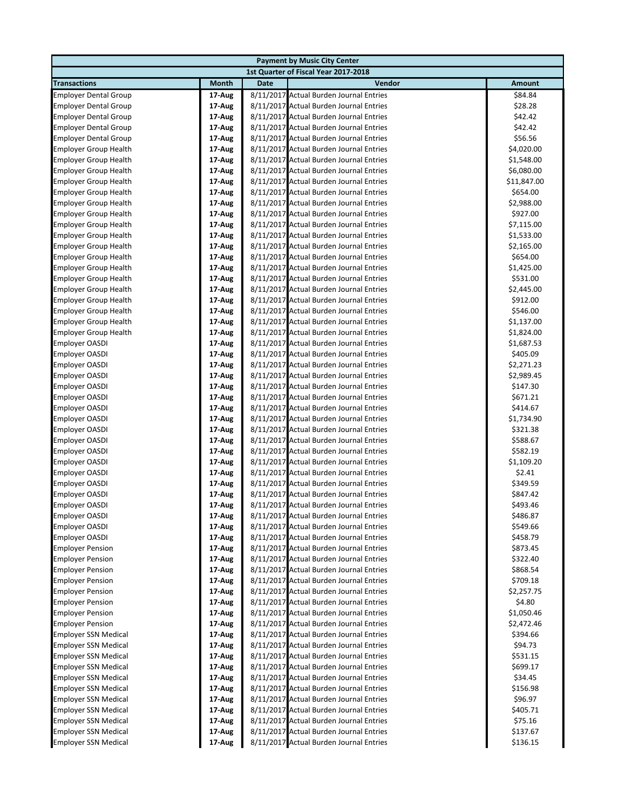| <b>Payment by Music City Center</b>            |                  |             |                                                                                    |                        |
|------------------------------------------------|------------------|-------------|------------------------------------------------------------------------------------|------------------------|
| 1st Quarter of Fiscal Year 2017-2018           |                  |             |                                                                                    |                        |
| <b>Transactions</b>                            | Month            | <b>Date</b> | Vendor                                                                             | Amount                 |
| <b>Employer Dental Group</b>                   | 17-Aug           |             | 8/11/2017 Actual Burden Journal Entries                                            | \$84.84                |
| <b>Employer Dental Group</b>                   | 17-Aug           |             | 8/11/2017 Actual Burden Journal Entries                                            | \$28.28                |
| <b>Employer Dental Group</b>                   | 17-Aug           |             | 8/11/2017 Actual Burden Journal Entries                                            | \$42.42                |
| <b>Employer Dental Group</b>                   | 17-Aug           |             | 8/11/2017 Actual Burden Journal Entries                                            | \$42.42                |
| <b>Employer Dental Group</b>                   | 17-Aug           |             | 8/11/2017 Actual Burden Journal Entries                                            | \$56.56                |
| <b>Employer Group Health</b>                   | 17-Aug           |             | 8/11/2017 Actual Burden Journal Entries                                            | \$4,020.00             |
| <b>Employer Group Health</b>                   | 17-Aug           |             | 8/11/2017 Actual Burden Journal Entries                                            | \$1,548.00             |
| <b>Employer Group Health</b>                   | 17-Aug           |             | 8/11/2017 Actual Burden Journal Entries                                            | \$6,080.00             |
| <b>Employer Group Health</b>                   | 17-Aug           |             | 8/11/2017 Actual Burden Journal Entries                                            | \$11,847.00            |
| <b>Employer Group Health</b>                   | 17-Aug           |             | 8/11/2017 Actual Burden Journal Entries                                            | \$654.00               |
| <b>Employer Group Health</b>                   | 17-Aug           |             | 8/11/2017 Actual Burden Journal Entries                                            | \$2,988.00             |
| <b>Employer Group Health</b>                   | 17-Aug           |             | 8/11/2017 Actual Burden Journal Entries                                            | \$927.00               |
| <b>Employer Group Health</b>                   | 17-Aug           |             | 8/11/2017 Actual Burden Journal Entries                                            | \$7,115.00             |
| <b>Employer Group Health</b>                   | 17-Aug           |             | 8/11/2017 Actual Burden Journal Entries                                            | \$1,533.00             |
| <b>Employer Group Health</b>                   | 17-Aug           |             | 8/11/2017 Actual Burden Journal Entries                                            | \$2,165.00             |
| <b>Employer Group Health</b>                   | 17-Aug           |             | 8/11/2017 Actual Burden Journal Entries                                            | \$654.00               |
| <b>Employer Group Health</b>                   | 17-Aug           |             | 8/11/2017 Actual Burden Journal Entries                                            | \$1,425.00             |
| <b>Employer Group Health</b>                   | 17-Aug           |             | 8/11/2017 Actual Burden Journal Entries                                            | \$531.00               |
| <b>Employer Group Health</b>                   | 17-Aug           |             | 8/11/2017 Actual Burden Journal Entries                                            | \$2,445.00             |
| <b>Employer Group Health</b>                   | 17-Aug           |             | 8/11/2017 Actual Burden Journal Entries                                            | \$912.00               |
| <b>Employer Group Health</b>                   | 17-Aug           |             | 8/11/2017 Actual Burden Journal Entries                                            | \$546.00               |
| <b>Employer Group Health</b>                   | 17-Aug           |             | 8/11/2017 Actual Burden Journal Entries                                            | \$1,137.00             |
| <b>Employer Group Health</b>                   | 17-Aug           |             | 8/11/2017 Actual Burden Journal Entries                                            | \$1,824.00             |
| <b>Employer OASDI</b>                          | 17-Aug           |             | 8/11/2017 Actual Burden Journal Entries                                            | \$1,687.53             |
| <b>Employer OASDI</b>                          | 17-Aug           |             | 8/11/2017 Actual Burden Journal Entries                                            | \$405.09               |
| <b>Employer OASDI</b>                          | 17-Aug           |             | 8/11/2017 Actual Burden Journal Entries                                            | \$2,271.23             |
| <b>Employer OASDI</b>                          | 17-Aug           |             | 8/11/2017 Actual Burden Journal Entries                                            | \$2,989.45             |
| <b>Employer OASDI</b>                          | 17-Aug           |             | 8/11/2017 Actual Burden Journal Entries                                            | \$147.30               |
| <b>Employer OASDI</b>                          | 17-Aug           |             | 8/11/2017 Actual Burden Journal Entries<br>8/11/2017 Actual Burden Journal Entries | \$671.21               |
| <b>Employer OASDI</b>                          | 17-Aug           |             | 8/11/2017 Actual Burden Journal Entries                                            | \$414.67               |
| <b>Employer OASDI</b><br><b>Employer OASDI</b> | 17-Aug<br>17-Aug |             | 8/11/2017 Actual Burden Journal Entries                                            | \$1,734.90<br>\$321.38 |
| <b>Employer OASDI</b>                          | 17-Aug           |             | 8/11/2017 Actual Burden Journal Entries                                            | \$588.67               |
| <b>Employer OASDI</b>                          | 17-Aug           |             | 8/11/2017 Actual Burden Journal Entries                                            | \$582.19               |
| <b>Employer OASDI</b>                          | 17-Aug           |             | 8/11/2017 Actual Burden Journal Entries                                            | \$1,109.20             |
| <b>Employer OASDI</b>                          | 17-Aug           |             | 8/11/2017 Actual Burden Journal Entries                                            | \$2.41                 |
| <b>Employer OASDI</b>                          | 17-Aug           |             | 8/11/2017 Actual Burden Journal Entries                                            | \$349.59               |
| <b>Employer OASDI</b>                          | 17-Aug           |             | 8/11/2017 Actual Burden Journal Entries                                            | \$847.42               |
| <b>Employer OASDI</b>                          | 17-Aug           |             | 8/11/2017 Actual Burden Journal Entries                                            | \$493.46               |
| Employer OASDI                                 | 17-Aug           |             | 8/11/2017 Actual Burden Journal Entries                                            | \$486.87               |
| <b>Employer OASDI</b>                          | 17-Aug           |             | 8/11/2017 Actual Burden Journal Entries                                            | \$549.66               |
| <b>Employer OASDI</b>                          | 17-Aug           |             | 8/11/2017 Actual Burden Journal Entries                                            | \$458.79               |
| <b>Employer Pension</b>                        | 17-Aug           |             | 8/11/2017 Actual Burden Journal Entries                                            | \$873.45               |
| <b>Employer Pension</b>                        | 17-Aug           |             | 8/11/2017 Actual Burden Journal Entries                                            | \$322.40               |
| <b>Employer Pension</b>                        | 17-Aug           |             | 8/11/2017 Actual Burden Journal Entries                                            | \$868.54               |
| <b>Employer Pension</b>                        | 17-Aug           |             | 8/11/2017 Actual Burden Journal Entries                                            | \$709.18               |
| <b>Employer Pension</b>                        | 17-Aug           |             | 8/11/2017 Actual Burden Journal Entries                                            | \$2,257.75             |
| <b>Employer Pension</b>                        | 17-Aug           |             | 8/11/2017 Actual Burden Journal Entries                                            | \$4.80                 |
| <b>Employer Pension</b>                        | 17-Aug           |             | 8/11/2017 Actual Burden Journal Entries                                            | \$1,050.46             |
| <b>Employer Pension</b>                        | 17-Aug           |             | 8/11/2017 Actual Burden Journal Entries                                            | \$2,472.46             |
| <b>Employer SSN Medical</b>                    | 17-Aug           |             | 8/11/2017 Actual Burden Journal Entries                                            | \$394.66               |
| <b>Employer SSN Medical</b>                    | 17-Aug           |             | 8/11/2017 Actual Burden Journal Entries                                            | \$94.73                |
| <b>Employer SSN Medical</b>                    | 17-Aug           |             | 8/11/2017 Actual Burden Journal Entries                                            | \$531.15               |
| <b>Employer SSN Medical</b>                    | 17-Aug           |             | 8/11/2017 Actual Burden Journal Entries                                            | \$699.17               |
| <b>Employer SSN Medical</b>                    | 17-Aug           |             | 8/11/2017 Actual Burden Journal Entries                                            | \$34.45                |
| <b>Employer SSN Medical</b>                    | 17-Aug           |             | 8/11/2017 Actual Burden Journal Entries                                            | \$156.98               |
| <b>Employer SSN Medical</b>                    | 17-Aug           |             | 8/11/2017 Actual Burden Journal Entries                                            | \$96.97                |
| <b>Employer SSN Medical</b>                    | 17-Aug           |             | 8/11/2017 Actual Burden Journal Entries                                            | \$405.71               |
| <b>Employer SSN Medical</b>                    | 17-Aug           |             | 8/11/2017 Actual Burden Journal Entries                                            | \$75.16                |
| <b>Employer SSN Medical</b>                    | 17-Aug           |             | 8/11/2017 Actual Burden Journal Entries                                            | \$137.67               |
| <b>Employer SSN Medical</b>                    | 17-Aug           |             | 8/11/2017 Actual Burden Journal Entries                                            | \$136.15               |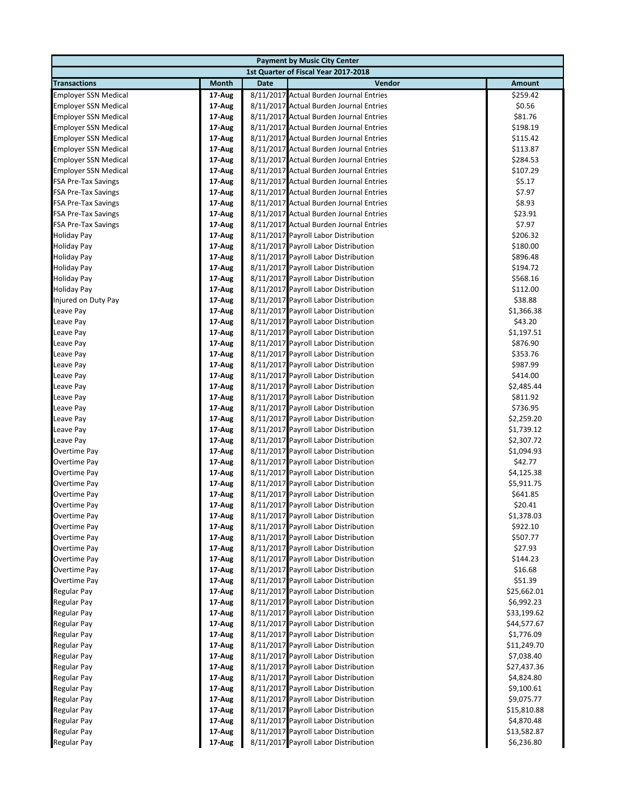| <b>Payment by Music City Center</b>  |                  |                                                                              |                        |  |
|--------------------------------------|------------------|------------------------------------------------------------------------------|------------------------|--|
| 1st Quarter of Fiscal Year 2017-2018 |                  |                                                                              |                        |  |
| <b>Transactions</b>                  | Month            | <b>Date</b><br>Vendor                                                        | <b>Amount</b>          |  |
| <b>Employer SSN Medical</b>          | 17-Aug           | 8/11/2017 Actual Burden Journal Entries                                      | \$259.42               |  |
| <b>Employer SSN Medical</b>          | 17-Aug           | 8/11/2017 Actual Burden Journal Entries                                      | \$0.56                 |  |
| <b>Employer SSN Medical</b>          | 17-Aug           | 8/11/2017 Actual Burden Journal Entries                                      | \$81.76                |  |
| <b>Employer SSN Medical</b>          | 17-Aug           | 8/11/2017 Actual Burden Journal Entries                                      | \$198.19               |  |
| <b>Employer SSN Medical</b>          | 17-Aug           | 8/11/2017 Actual Burden Journal Entries                                      | \$115.42               |  |
| <b>Employer SSN Medical</b>          | 17-Aug           | 8/11/2017 Actual Burden Journal Entries                                      | \$113.87               |  |
| <b>Employer SSN Medical</b>          | 17-Aug           | 8/11/2017 Actual Burden Journal Entries                                      | \$284.53               |  |
| <b>Employer SSN Medical</b>          | 17-Aug           | 8/11/2017 Actual Burden Journal Entries                                      | \$107.29               |  |
| <b>FSA Pre-Tax Savings</b>           | 17-Aug           | 8/11/2017 Actual Burden Journal Entries                                      | \$5.17                 |  |
| <b>FSA Pre-Tax Savings</b>           | 17-Aug           | 8/11/2017 Actual Burden Journal Entries                                      | \$7.97                 |  |
| <b>FSA Pre-Tax Savings</b>           | 17-Aug           | 8/11/2017 Actual Burden Journal Entries                                      | \$8.93                 |  |
| <b>FSA Pre-Tax Savings</b>           | 17-Aug           | 8/11/2017 Actual Burden Journal Entries                                      | \$23.91                |  |
| <b>FSA Pre-Tax Savings</b>           | 17-Aug           | 8/11/2017 Actual Burden Journal Entries                                      | \$7.97                 |  |
| Holiday Pay                          | 17-Aug           | 8/11/2017 Payroll Labor Distribution                                         | \$206.32               |  |
| Holiday Pay                          | 17-Aug           | 8/11/2017 Payroll Labor Distribution                                         | \$180.00               |  |
| Holiday Pay                          | 17-Aug           | 8/11/2017 Payroll Labor Distribution                                         | \$896.48               |  |
| <b>Holiday Pay</b>                   | 17-Aug           | 8/11/2017 Payroll Labor Distribution                                         | \$194.72               |  |
| <b>Holiday Pay</b>                   | 17-Aug           | 8/11/2017 Payroll Labor Distribution                                         | \$568.16               |  |
| Holiday Pay                          | 17-Aug           | 8/11/2017 Payroll Labor Distribution                                         | \$112.00               |  |
| Injured on Duty Pay                  | 17-Aug           | 8/11/2017 Payroll Labor Distribution                                         | \$38.88                |  |
| Leave Pay                            | 17-Aug           | 8/11/2017 Payroll Labor Distribution                                         | \$1,366.38             |  |
| Leave Pay                            | 17-Aug           | 8/11/2017 Payroll Labor Distribution                                         | \$43.20                |  |
| Leave Pay                            | 17-Aug           | 8/11/2017 Payroll Labor Distribution                                         | \$1,197.51             |  |
| Leave Pay                            | 17-Aug           | 8/11/2017 Payroll Labor Distribution                                         | \$876.90               |  |
| Leave Pay                            | 17-Aug           | 8/11/2017 Payroll Labor Distribution<br>8/11/2017 Payroll Labor Distribution | \$353.76               |  |
| Leave Pay                            | 17-Aug           | 8/11/2017 Payroll Labor Distribution                                         | \$987.99               |  |
| Leave Pay<br>Leave Pay               | 17-Aug<br>17-Aug | 8/11/2017 Payroll Labor Distribution                                         | \$414.00<br>\$2,485.44 |  |
| Leave Pay                            | 17-Aug           | 8/11/2017 Payroll Labor Distribution                                         | \$811.92               |  |
| Leave Pay                            | 17-Aug           | 8/11/2017 Payroll Labor Distribution                                         | \$736.95               |  |
| Leave Pay                            | 17-Aug           | 8/11/2017 Payroll Labor Distribution                                         | \$2,259.20             |  |
| Leave Pay                            | 17-Aug           | 8/11/2017 Payroll Labor Distribution                                         | \$1,739.12             |  |
| Leave Pay                            | 17-Aug           | 8/11/2017 Payroll Labor Distribution                                         | \$2,307.72             |  |
| Overtime Pay                         | 17-Aug           | 8/11/2017 Payroll Labor Distribution                                         | \$1,094.93             |  |
| Overtime Pay                         | 17-Aug           | 8/11/2017 Payroll Labor Distribution                                         | \$42.77                |  |
| Overtime Pay                         | 17-Aug           | 8/11/2017 Payroll Labor Distribution                                         | \$4,125.38             |  |
| Overtime Pay                         | 17-Aug           | 8/11/2017 Payroll Labor Distribution                                         | \$5,911.75             |  |
| Overtime Pay                         | 17-Aug           | 8/11/2017 Payroll Labor Distribution                                         | \$641.85               |  |
| Overtime Pay                         | 17-Aug           | 8/11/2017 Payroll Labor Distribution                                         | \$20.41                |  |
| Overtime Pay                         | 17-Aug           | 8/11/2017 Payroll Labor Distribution                                         | \$1,378.03             |  |
| Overtime Pay                         | 17-Aug           | 8/11/2017 Payroll Labor Distribution                                         | \$922.10               |  |
| Overtime Pay                         | 17-Aug           | 8/11/2017 Payroll Labor Distribution                                         | \$507.77               |  |
| Overtime Pay                         | 17-Aug           | 8/11/2017 Payroll Labor Distribution                                         | \$27.93                |  |
| Overtime Pay                         | 17-Aug           | 8/11/2017 Payroll Labor Distribution                                         | \$144.23               |  |
| Overtime Pay                         | 17-Aug           | 8/11/2017 Payroll Labor Distribution                                         | \$16.68                |  |
| Overtime Pay                         | 17-Aug           | 8/11/2017 Payroll Labor Distribution                                         | \$51.39                |  |
| Regular Pay                          | 17-Aug           | 8/11/2017 Payroll Labor Distribution                                         | \$25,662.01            |  |
| <b>Regular Pay</b>                   | 17-Aug           | 8/11/2017 Payroll Labor Distribution                                         | \$6,992.23             |  |
| <b>Regular Pay</b>                   | 17-Aug           | 8/11/2017 Payroll Labor Distribution                                         | \$33,199.62            |  |
| <b>Regular Pay</b>                   | 17-Aug           | 8/11/2017 Payroll Labor Distribution                                         | \$44,577.67            |  |
| <b>Regular Pay</b>                   | 17-Aug           | 8/11/2017 Payroll Labor Distribution                                         | \$1,776.09             |  |
| <b>Regular Pay</b>                   | 17-Aug           | 8/11/2017 Payroll Labor Distribution                                         | \$11,249.70            |  |
| Regular Pay                          | 17-Aug           | 8/11/2017 Payroll Labor Distribution                                         | \$7,038.40             |  |
| Regular Pay                          | 17-Aug           | 8/11/2017 Payroll Labor Distribution                                         | \$27,437.36            |  |
| Regular Pay                          | 17-Aug           | 8/11/2017 Payroll Labor Distribution                                         | \$4,824.80             |  |
| <b>Regular Pay</b>                   | 17-Aug           | 8/11/2017 Payroll Labor Distribution                                         | \$9,100.61             |  |
| Regular Pay                          | 17-Aug           | 8/11/2017 Payroll Labor Distribution                                         | \$9,075.77             |  |
| <b>Regular Pay</b>                   | 17-Aug           | 8/11/2017 Payroll Labor Distribution                                         | \$15,810.88            |  |
| <b>Regular Pay</b>                   | 17-Aug           | 8/11/2017 Payroll Labor Distribution                                         | \$4,870.48             |  |
| <b>Regular Pay</b>                   | 17-Aug           | 8/11/2017 Payroll Labor Distribution                                         | \$13,582.87            |  |
| <b>Regular Pay</b>                   | 17-Aug           | 8/11/2017 Payroll Labor Distribution                                         | \$6,236.80             |  |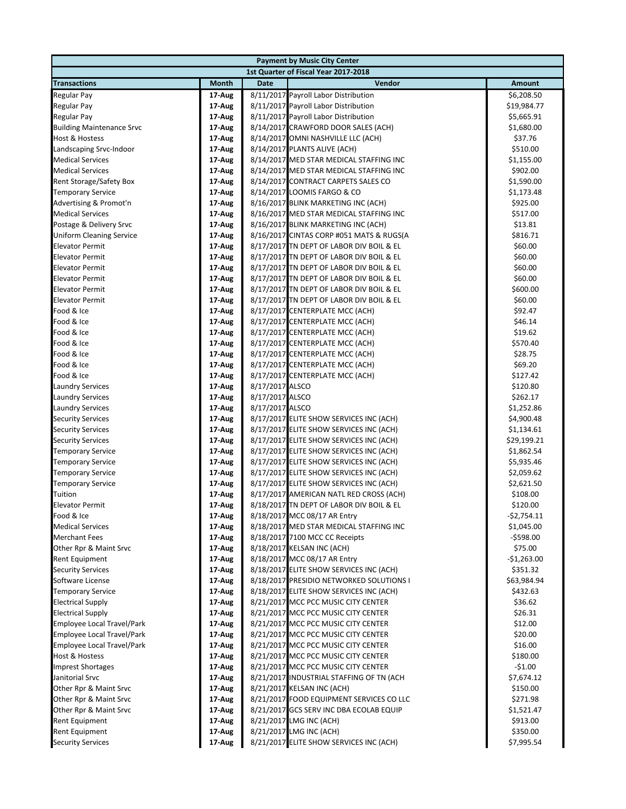| <b>Payment by Music City Center</b>        |                  |                                                                         |                         |  |  |
|--------------------------------------------|------------------|-------------------------------------------------------------------------|-------------------------|--|--|
| 1st Quarter of Fiscal Year 2017-2018       |                  |                                                                         |                         |  |  |
| <b>Transactions</b>                        | <b>Month</b>     | Vendor<br><b>Date</b>                                                   | <b>Amount</b>           |  |  |
| <b>Regular Pay</b>                         | 17-Aug           | 8/11/2017 Payroll Labor Distribution                                    | \$6,208.50              |  |  |
| <b>Regular Pay</b>                         | 17-Aug           | 8/11/2017 Payroll Labor Distribution                                    | \$19,984.77             |  |  |
| <b>Regular Pay</b>                         | 17-Aug           | 8/11/2017 Payroll Labor Distribution                                    | \$5,665.91              |  |  |
| <b>Building Maintenance Srvc</b>           | 17-Aug           | 8/14/2017 CRAWFORD DOOR SALES (ACH)                                     | \$1,680.00              |  |  |
| Host & Hostess                             | 17-Aug           | 8/14/2017 OMNI NASHVILLE LLC (ACH)                                      | \$37.76                 |  |  |
| Landscaping Srvc-Indoor                    | 17-Aug           | 8/14/2017 PLANTS ALIVE (ACH)                                            | \$510.00                |  |  |
| <b>Medical Services</b>                    | 17-Aug           | 8/14/2017 MED STAR MEDICAL STAFFING INC                                 | \$1,155.00              |  |  |
| <b>Medical Services</b>                    | 17-Aug           | 8/14/2017 MED STAR MEDICAL STAFFING INC                                 | \$902.00                |  |  |
| Rent Storage/Safety Box                    | 17-Aug           | 8/14/2017 CONTRACT CARPETS SALES CO                                     | \$1,590.00              |  |  |
| <b>Temporary Service</b>                   | 17-Aug           | 8/14/2017 LOOMIS FARGO & CO                                             | \$1,173.48              |  |  |
| Advertising & Promot'n                     | 17-Aug           | 8/16/2017 BLINK MARKETING INC (ACH)                                     | \$925.00                |  |  |
| <b>Medical Services</b>                    | 17-Aug           | 8/16/2017 MED STAR MEDICAL STAFFING INC                                 | \$517.00                |  |  |
| Postage & Delivery Srvc                    | 17-Aug           | 8/16/2017 BLINK MARKETING INC (ACH)                                     | \$13.81                 |  |  |
| <b>Uniform Cleaning Service</b>            | 17-Aug           | 8/16/2017 CINTAS CORP #051 MATS & RUGS(A                                | \$816.71                |  |  |
| <b>Elevator Permit</b>                     | 17-Aug           | 8/17/2017 TN DEPT OF LABOR DIV BOIL & EL                                | \$60.00                 |  |  |
| <b>Elevator Permit</b>                     | 17-Aug           | 8/17/2017 TN DEPT OF LABOR DIV BOIL & EL                                | \$60.00                 |  |  |
| <b>Elevator Permit</b>                     | 17-Aug           | 8/17/2017 TN DEPT OF LABOR DIV BOIL & EL                                | \$60.00                 |  |  |
| <b>Elevator Permit</b>                     | 17-Aug           | 8/17/2017 TN DEPT OF LABOR DIV BOIL & EL                                | \$60.00                 |  |  |
| <b>Elevator Permit</b>                     | 17-Aug           | 8/17/2017 TN DEPT OF LABOR DIV BOIL & EL                                | \$600.00                |  |  |
| <b>Elevator Permit</b>                     | 17-Aug           | 8/17/2017 TN DEPT OF LABOR DIV BOIL & EL                                | \$60.00                 |  |  |
| Food & Ice                                 | 17-Aug           | 8/17/2017 CENTERPLATE MCC (ACH)                                         | \$92.47                 |  |  |
| Food & Ice                                 | 17-Aug           | 8/17/2017 CENTERPLATE MCC (ACH)                                         | \$46.14                 |  |  |
| Food & Ice                                 | 17-Aug           | 8/17/2017 CENTERPLATE MCC (ACH)                                         | \$19.62                 |  |  |
| Food & Ice                                 | 17-Aug           | 8/17/2017 CENTERPLATE MCC (ACH)                                         | \$570.40                |  |  |
| Food & Ice                                 | 17-Aug           | 8/17/2017 CENTERPLATE MCC (ACH)                                         | \$28.75                 |  |  |
| Food & Ice                                 | 17-Aug           | 8/17/2017 CENTERPLATE MCC (ACH)                                         | \$69.20                 |  |  |
| Food & Ice                                 | 17-Aug           | 8/17/2017 CENTERPLATE MCC (ACH)                                         | \$127.42                |  |  |
| <b>Laundry Services</b>                    | 17-Aug           | 8/17/2017 ALSCO                                                         | \$120.80                |  |  |
| <b>Laundry Services</b>                    | 17-Aug           | 8/17/2017 ALSCO                                                         | \$262.17                |  |  |
| <b>Laundry Services</b>                    | 17-Aug           | 8/17/2017 ALSCO                                                         | \$1,252.86              |  |  |
| <b>Security Services</b>                   | 17-Aug           | 8/17/2017 ELITE SHOW SERVICES INC (ACH)                                 | \$4,900.48              |  |  |
| <b>Security Services</b>                   | 17-Aug           | 8/17/2017 ELITE SHOW SERVICES INC (ACH)                                 | \$1,134.61              |  |  |
| <b>Security Services</b>                   | 17-Aug           | 8/17/2017 ELITE SHOW SERVICES INC (ACH)                                 | \$29,199.21             |  |  |
| <b>Temporary Service</b>                   | 17-Aug           | 8/17/2017 ELITE SHOW SERVICES INC (ACH)                                 | \$1,862.54              |  |  |
| <b>Temporary Service</b>                   | 17-Aug           | 8/17/2017 ELITE SHOW SERVICES INC (ACH)                                 | \$5,935.46              |  |  |
| <b>Temporary Service</b>                   | 17-Aug           | 8/17/2017 ELITE SHOW SERVICES INC (ACH)                                 | \$2,059.62              |  |  |
| <b>Temporary Service</b>                   | 17-Aug           | 8/17/2017 ELITE SHOW SERVICES INC (ACH)                                 | \$2,621.50              |  |  |
| Tuition                                    | 17-Aug           | 8/17/2017 AMERICAN NATL RED CROSS (ACH)                                 | \$108.00                |  |  |
| <b>Elevator Permit</b>                     | 17-Aug           | 8/18/2017 TN DEPT OF LABOR DIV BOIL & EL                                | \$120.00                |  |  |
| Food & Ice                                 | 17-Aug           | 8/18/2017 MCC 08/17 AR Entry                                            | -\$2,754.11             |  |  |
| <b>Medical Services</b>                    | 17-Aug           | 8/18/2017 MED STAR MEDICAL STAFFING INC                                 | \$1,045.00              |  |  |
| <b>Merchant Fees</b>                       | 17-Aug           | 8/18/2017 7100 MCC CC Receipts                                          | $-$ \$598.00            |  |  |
| Other Rpr & Maint Srvc                     | 17-Aug           | 8/18/2017 KELSAN INC (ACH)                                              | \$75.00                 |  |  |
| Rent Equipment<br><b>Security Services</b> | 17-Aug<br>17-Aug | 8/18/2017 MCC 08/17 AR Entry<br>8/18/2017 ELITE SHOW SERVICES INC (ACH) | -\$1,263.00<br>\$351.32 |  |  |
| Software License                           | 17-Aug           | 8/18/2017 PRESIDIO NETWORKED SOLUTIONS I                                | \$63,984.94             |  |  |
| <b>Temporary Service</b>                   | 17-Aug           | 8/18/2017 ELITE SHOW SERVICES INC (ACH)                                 | \$432.63                |  |  |
| <b>Electrical Supply</b>                   | 17-Aug           | 8/21/2017 MCC PCC MUSIC CITY CENTER                                     | \$36.62                 |  |  |
| <b>Electrical Supply</b>                   | 17-Aug           | 8/21/2017 MCC PCC MUSIC CITY CENTER                                     | \$26.31                 |  |  |
| Employee Local Travel/Park                 | 17-Aug           | 8/21/2017 MCC PCC MUSIC CITY CENTER                                     | \$12.00                 |  |  |
| Employee Local Travel/Park                 | 17-Aug           | 8/21/2017 MCC PCC MUSIC CITY CENTER                                     | \$20.00                 |  |  |
| Employee Local Travel/Park                 | 17-Aug           | 8/21/2017 MCC PCC MUSIC CITY CENTER                                     | \$16.00                 |  |  |
| Host & Hostess                             | 17-Aug           | 8/21/2017 MCC PCC MUSIC CITY CENTER                                     | \$180.00                |  |  |
| <b>Imprest Shortages</b>                   | 17-Aug           | 8/21/2017 MCC PCC MUSIC CITY CENTER                                     | $-$1.00$                |  |  |
| Janitorial Srvc                            | 17-Aug           | 8/21/2017 INDUSTRIAL STAFFING OF TN (ACH                                | \$7,674.12              |  |  |
| Other Rpr & Maint Srvc                     | 17-Aug           | 8/21/2017 KELSAN INC (ACH)                                              | \$150.00                |  |  |
| Other Rpr & Maint Srvc                     | 17-Aug           | 8/21/2017 FOOD EQUIPMENT SERVICES CO LLC                                | \$271.98                |  |  |
| Other Rpr & Maint Srvc                     | 17-Aug           | 8/21/2017 GCS SERV INC DBA ECOLAB EQUIP                                 | \$1,521.47              |  |  |
| <b>Rent Equipment</b>                      | 17-Aug           | 8/21/2017 LMG INC (ACH)                                                 | \$913.00                |  |  |
| <b>Rent Equipment</b>                      | 17-Aug           | 8/21/2017 LMG INC (ACH)                                                 | \$350.00                |  |  |
| <b>Security Services</b>                   | 17-Aug           | 8/21/2017 ELITE SHOW SERVICES INC (ACH)                                 | \$7,995.54              |  |  |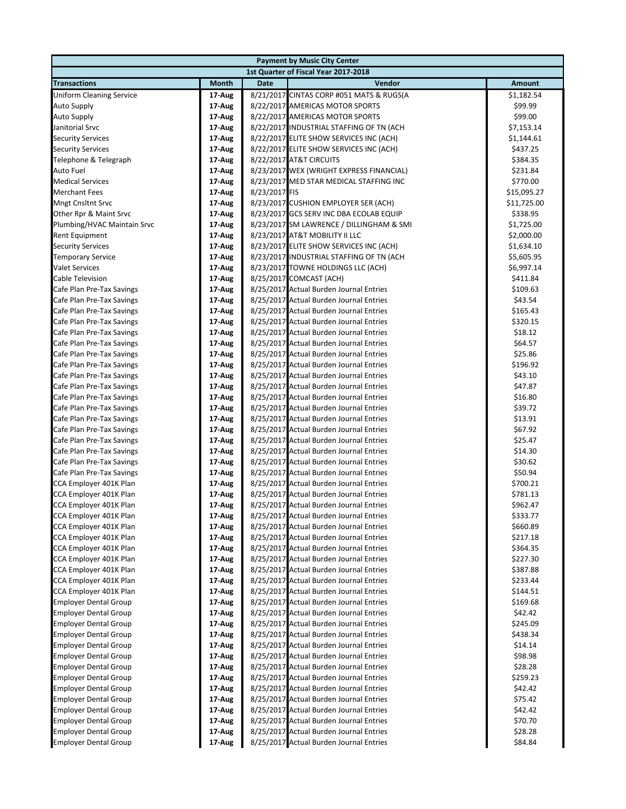| <b>Payment by Music City Center</b>                          |                  |               |                                                                                    |                    |  |
|--------------------------------------------------------------|------------------|---------------|------------------------------------------------------------------------------------|--------------------|--|
| 1st Quarter of Fiscal Year 2017-2018                         |                  |               |                                                                                    |                    |  |
| <b>Transactions</b>                                          | Month            | Date          | Vendor                                                                             | Amount             |  |
| <b>Uniform Cleaning Service</b>                              | 17-Aug           |               | 8/21/2017 CINTAS CORP #051 MATS & RUGS(A                                           | \$1,182.54         |  |
| <b>Auto Supply</b>                                           | 17-Aug           |               | 8/22/2017 AMERICAS MOTOR SPORTS                                                    | \$99.99            |  |
| <b>Auto Supply</b>                                           | 17-Aug           |               | 8/22/2017 AMERICAS MOTOR SPORTS                                                    | \$99.00            |  |
| Janitorial Srvc                                              | 17-Aug           |               | 8/22/2017 INDUSTRIAL STAFFING OF TN (ACH                                           | \$7,153.14         |  |
| <b>Security Services</b>                                     | 17-Aug           |               | 8/22/2017 ELITE SHOW SERVICES INC (ACH)                                            | \$1,144.61         |  |
| <b>Security Services</b>                                     | 17-Aug           |               | 8/22/2017 ELITE SHOW SERVICES INC (ACH)                                            | \$437.25           |  |
| Telephone & Telegraph                                        | 17-Aug           |               | 8/22/2017 AT&T CIRCUITS                                                            | \$384.35           |  |
| Auto Fuel                                                    | 17-Aug           |               | 8/23/2017 WEX (WRIGHT EXPRESS FINANCIAL)                                           | \$231.84           |  |
| <b>Medical Services</b>                                      | 17-Aug           |               | 8/23/2017 MED STAR MEDICAL STAFFING INC                                            | \$770.00           |  |
| <b>Merchant Fees</b>                                         | 17-Aug           | 8/23/2017 FIS |                                                                                    | \$15,095.27        |  |
| <b>Mngt Cnsltnt Srvc</b>                                     | 17-Aug           |               | 8/23/2017 CUSHION EMPLOYER SER (ACH)                                               | \$11,725.00        |  |
| Other Rpr & Maint Srvc                                       | 17-Aug           |               | 8/23/2017 GCS SERV INC DBA ECOLAB EQUIP                                            | \$338.95           |  |
| Plumbing/HVAC Maintain Srvc                                  | 17-Aug           |               | 8/23/2017 SM LAWRENCE / DILLINGHAM & SMI                                           | \$1,725.00         |  |
| <b>Rent Equipment</b>                                        | 17-Aug           |               | 8/23/2017 AT&T MOBILITY II LLC                                                     | \$2,000.00         |  |
| <b>Security Services</b>                                     | 17-Aug           |               | 8/23/2017 ELITE SHOW SERVICES INC (ACH)                                            | \$1,634.10         |  |
| <b>Temporary Service</b>                                     | 17-Aug           |               | 8/23/2017 INDUSTRIAL STAFFING OF TN (ACH                                           | \$5,605.95         |  |
| <b>Valet Services</b>                                        | 17-Aug           |               | 8/23/2017 TOWNE HOLDINGS LLC (ACH)                                                 | \$6,997.14         |  |
| <b>Cable Television</b>                                      | 17-Aug           |               | 8/25/2017 COMCAST (ACH)                                                            | \$411.84           |  |
| Cafe Plan Pre-Tax Savings                                    | 17-Aug           |               | 8/25/2017 Actual Burden Journal Entries                                            | \$109.63           |  |
| Cafe Plan Pre-Tax Savings                                    | 17-Aug           |               | 8/25/2017 Actual Burden Journal Entries                                            | \$43.54            |  |
| Cafe Plan Pre-Tax Savings                                    | 17-Aug           |               | 8/25/2017 Actual Burden Journal Entries                                            | \$165.43           |  |
| Cafe Plan Pre-Tax Savings                                    | 17-Aug           |               | 8/25/2017 Actual Burden Journal Entries                                            | \$320.15           |  |
| Cafe Plan Pre-Tax Savings                                    | 17-Aug           |               | 8/25/2017 Actual Burden Journal Entries                                            | \$18.12            |  |
| Cafe Plan Pre-Tax Savings                                    | 17-Aug           |               | 8/25/2017 Actual Burden Journal Entries<br>8/25/2017 Actual Burden Journal Entries | \$64.57<br>\$25.86 |  |
| Cafe Plan Pre-Tax Savings<br>Cafe Plan Pre-Tax Savings       | 17-Aug<br>17-Aug |               | 8/25/2017 Actual Burden Journal Entries                                            | \$196.92           |  |
| Cafe Plan Pre-Tax Savings                                    | 17-Aug           |               | 8/25/2017 Actual Burden Journal Entries                                            | \$43.10            |  |
| Cafe Plan Pre-Tax Savings                                    | 17-Aug           |               | 8/25/2017 Actual Burden Journal Entries                                            | \$47.87            |  |
| Cafe Plan Pre-Tax Savings                                    | 17-Aug           |               | 8/25/2017 Actual Burden Journal Entries                                            | \$16.80            |  |
| Cafe Plan Pre-Tax Savings                                    | 17-Aug           |               | 8/25/2017 Actual Burden Journal Entries                                            | \$39.72            |  |
| Cafe Plan Pre-Tax Savings                                    | 17-Aug           |               | 8/25/2017 Actual Burden Journal Entries                                            | \$13.91            |  |
| Cafe Plan Pre-Tax Savings                                    | 17-Aug           |               | 8/25/2017 Actual Burden Journal Entries                                            | \$67.92            |  |
| Cafe Plan Pre-Tax Savings                                    | 17-Aug           |               | 8/25/2017 Actual Burden Journal Entries                                            | \$25.47            |  |
| Cafe Plan Pre-Tax Savings                                    | 17-Aug           |               | 8/25/2017 Actual Burden Journal Entries                                            | \$14.30            |  |
| Cafe Plan Pre-Tax Savings                                    | 17-Aug           |               | 8/25/2017 Actual Burden Journal Entries                                            | \$30.62            |  |
| Cafe Plan Pre-Tax Savings                                    | 17-Aug           |               | 8/25/2017 Actual Burden Journal Entries                                            | \$50.94            |  |
| CCA Employer 401K Plan                                       | 17-Aug           |               | 8/25/2017 Actual Burden Journal Entries                                            | \$700.21           |  |
| CCA Employer 401K Plan                                       | 17-Aug           |               | 8/25/2017 Actual Burden Journal Entries                                            | \$781.13           |  |
| CCA Employer 401K Plan                                       | 17-Aug           |               | 8/25/2017 Actual Burden Journal Entries                                            | \$962.47           |  |
| CCA Employer 401K Plan                                       | 17-Aug           |               | 8/25/2017 Actual Burden Journal Entries                                            | \$333.77           |  |
| CCA Employer 401K Plan                                       | 17-Aug           |               | 8/25/2017 Actual Burden Journal Entries                                            | \$660.89           |  |
| CCA Employer 401K Plan                                       | 17-Aug           |               | 8/25/2017 Actual Burden Journal Entries                                            | \$217.18           |  |
| CCA Employer 401K Plan                                       | 17-Aug           |               | 8/25/2017 Actual Burden Journal Entries                                            | \$364.35           |  |
| CCA Employer 401K Plan                                       | 17-Aug           |               | 8/25/2017 Actual Burden Journal Entries                                            | \$227.30           |  |
| CCA Employer 401K Plan                                       | 17-Aug           |               | 8/25/2017 Actual Burden Journal Entries                                            | \$387.88           |  |
| CCA Employer 401K Plan                                       | 17-Aug           |               | 8/25/2017 Actual Burden Journal Entries                                            | \$233.44           |  |
| CCA Employer 401K Plan                                       | 17-Aug           |               | 8/25/2017 Actual Burden Journal Entries                                            | \$144.51           |  |
| <b>Employer Dental Group</b>                                 | 17-Aug           |               | 8/25/2017 Actual Burden Journal Entries                                            | \$169.68           |  |
| <b>Employer Dental Group</b>                                 | 17-Aug           |               | 8/25/2017 Actual Burden Journal Entries                                            | \$42.42            |  |
| <b>Employer Dental Group</b>                                 | 17-Aug           |               | 8/25/2017 Actual Burden Journal Entries                                            | \$245.09           |  |
| <b>Employer Dental Group</b>                                 | 17-Aug           |               | 8/25/2017 Actual Burden Journal Entries                                            | \$438.34           |  |
| <b>Employer Dental Group</b>                                 | 17-Aug           |               | 8/25/2017 Actual Burden Journal Entries                                            | \$14.14            |  |
| <b>Employer Dental Group</b><br><b>Employer Dental Group</b> | 17-Aug           |               | 8/25/2017 Actual Burden Journal Entries<br>8/25/2017 Actual Burden Journal Entries | \$98.98<br>\$28.28 |  |
| <b>Employer Dental Group</b>                                 | 17-Aug<br>17-Aug |               | 8/25/2017 Actual Burden Journal Entries                                            | \$259.23           |  |
| <b>Employer Dental Group</b>                                 |                  |               | 8/25/2017 Actual Burden Journal Entries                                            | \$42.42            |  |
| <b>Employer Dental Group</b>                                 | 17-Aug<br>17-Aug |               | 8/25/2017 Actual Burden Journal Entries                                            | \$75.42            |  |
| <b>Employer Dental Group</b>                                 | 17-Aug           |               | 8/25/2017 Actual Burden Journal Entries                                            | \$42.42            |  |
| <b>Employer Dental Group</b>                                 | 17-Aug           |               | 8/25/2017 Actual Burden Journal Entries                                            | \$70.70            |  |
| <b>Employer Dental Group</b>                                 | 17-Aug           |               | 8/25/2017 Actual Burden Journal Entries                                            | \$28.28            |  |
| <b>Employer Dental Group</b>                                 | 17-Aug           |               | 8/25/2017 Actual Burden Journal Entries                                            | \$84.84            |  |
|                                                              |                  |               |                                                                                    |                    |  |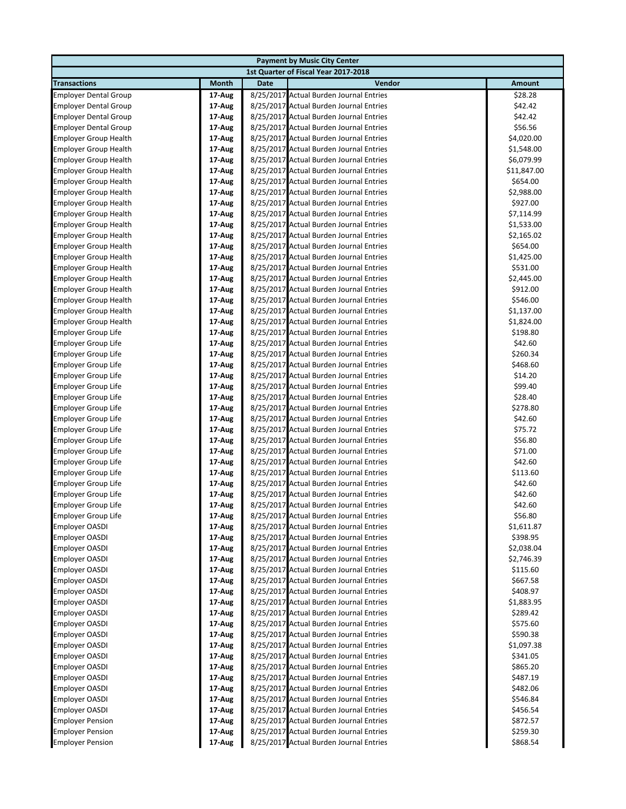| <b>Payment by Music City Center</b>                      |                  |                                                                                    |                    |  |  |
|----------------------------------------------------------|------------------|------------------------------------------------------------------------------------|--------------------|--|--|
| 1st Quarter of Fiscal Year 2017-2018                     |                  |                                                                                    |                    |  |  |
| <b>Transactions</b>                                      | <b>Month</b>     | <b>Date</b><br>Vendor                                                              | <b>Amount</b>      |  |  |
| <b>Employer Dental Group</b>                             | 17-Aug           | 8/25/2017 Actual Burden Journal Entries                                            | \$28.28            |  |  |
| <b>Employer Dental Group</b>                             | 17-Aug           | 8/25/2017 Actual Burden Journal Entries                                            | \$42.42            |  |  |
| <b>Employer Dental Group</b>                             | 17-Aug           | 8/25/2017 Actual Burden Journal Entries                                            | \$42.42            |  |  |
| <b>Employer Dental Group</b>                             | 17-Aug           | 8/25/2017 Actual Burden Journal Entries                                            | \$56.56            |  |  |
| <b>Employer Group Health</b>                             | 17-Aug           | 8/25/2017 Actual Burden Journal Entries                                            | \$4,020.00         |  |  |
| <b>Employer Group Health</b>                             | 17-Aug           | 8/25/2017 Actual Burden Journal Entries                                            | \$1,548.00         |  |  |
| <b>Employer Group Health</b>                             | 17-Aug           | 8/25/2017 Actual Burden Journal Entries                                            | \$6,079.99         |  |  |
| <b>Employer Group Health</b>                             | 17-Aug           | 8/25/2017 Actual Burden Journal Entries                                            | \$11,847.00        |  |  |
| <b>Employer Group Health</b>                             | 17-Aug           | 8/25/2017 Actual Burden Journal Entries                                            | \$654.00           |  |  |
| <b>Employer Group Health</b>                             | 17-Aug           | 8/25/2017 Actual Burden Journal Entries                                            | \$2,988.00         |  |  |
| <b>Employer Group Health</b>                             | 17-Aug           | 8/25/2017 Actual Burden Journal Entries                                            | \$927.00           |  |  |
| <b>Employer Group Health</b>                             | 17-Aug           | 8/25/2017 Actual Burden Journal Entries                                            | \$7,114.99         |  |  |
| <b>Employer Group Health</b>                             | 17-Aug           | 8/25/2017 Actual Burden Journal Entries                                            | \$1,533.00         |  |  |
| <b>Employer Group Health</b>                             | 17-Aug           | 8/25/2017 Actual Burden Journal Entries                                            | \$2,165.02         |  |  |
| <b>Employer Group Health</b>                             | 17-Aug           | 8/25/2017 Actual Burden Journal Entries                                            | \$654.00           |  |  |
| <b>Employer Group Health</b>                             | 17-Aug           | 8/25/2017 Actual Burden Journal Entries                                            | \$1,425.00         |  |  |
| <b>Employer Group Health</b>                             | 17-Aug           | 8/25/2017 Actual Burden Journal Entries                                            | \$531.00           |  |  |
| <b>Employer Group Health</b>                             | 17-Aug           | 8/25/2017 Actual Burden Journal Entries                                            | \$2,445.00         |  |  |
| <b>Employer Group Health</b>                             | 17-Aug           | 8/25/2017 Actual Burden Journal Entries                                            | \$912.00           |  |  |
| <b>Employer Group Health</b>                             | 17-Aug           | 8/25/2017 Actual Burden Journal Entries                                            | \$546.00           |  |  |
| <b>Employer Group Health</b>                             | 17-Aug           | 8/25/2017 Actual Burden Journal Entries                                            | \$1,137.00         |  |  |
| <b>Employer Group Health</b>                             | 17-Aug           | 8/25/2017 Actual Burden Journal Entries                                            | \$1,824.00         |  |  |
| <b>Employer Group Life</b>                               | 17-Aug           | 8/25/2017 Actual Burden Journal Entries                                            | \$198.80           |  |  |
| <b>Employer Group Life</b>                               | 17-Aug           | 8/25/2017 Actual Burden Journal Entries                                            | \$42.60            |  |  |
| <b>Employer Group Life</b>                               | 17-Aug           | 8/25/2017 Actual Burden Journal Entries                                            | \$260.34           |  |  |
| <b>Employer Group Life</b>                               | 17-Aug           | 8/25/2017 Actual Burden Journal Entries                                            | \$468.60           |  |  |
| <b>Employer Group Life</b>                               | 17-Aug           | 8/25/2017 Actual Burden Journal Entries                                            | \$14.20            |  |  |
| <b>Employer Group Life</b>                               | 17-Aug           | 8/25/2017 Actual Burden Journal Entries                                            | \$99.40            |  |  |
| <b>Employer Group Life</b>                               | 17-Aug           | 8/25/2017 Actual Burden Journal Entries                                            | \$28.40            |  |  |
| <b>Employer Group Life</b>                               | 17-Aug           | 8/25/2017 Actual Burden Journal Entries                                            | \$278.80           |  |  |
| <b>Employer Group Life</b><br><b>Employer Group Life</b> | 17-Aug<br>17-Aug | 8/25/2017 Actual Burden Journal Entries<br>8/25/2017 Actual Burden Journal Entries | \$42.60<br>\$75.72 |  |  |
| <b>Employer Group Life</b>                               | 17-Aug           | 8/25/2017 Actual Burden Journal Entries                                            | \$56.80            |  |  |
| <b>Employer Group Life</b>                               | 17-Aug           | 8/25/2017 Actual Burden Journal Entries                                            | \$71.00            |  |  |
| <b>Employer Group Life</b>                               | 17-Aug           | 8/25/2017 Actual Burden Journal Entries                                            | \$42.60            |  |  |
| <b>Employer Group Life</b>                               | 17-Aug           | 8/25/2017 Actual Burden Journal Entries                                            | \$113.60           |  |  |
| <b>Employer Group Life</b>                               | 17-Aug           | 8/25/2017 Actual Burden Journal Entries                                            | \$42.60            |  |  |
| <b>Employer Group Life</b>                               | 17-Aug           | 8/25/2017 Actual Burden Journal Entries                                            | \$42.60            |  |  |
| <b>Employer Group Life</b>                               | 17-Aug           | 8/25/2017 Actual Burden Journal Entries                                            | \$42.60            |  |  |
| Employer Group Life                                      | 17-Aug           | 8/25/2017 Actual Burden Journal Entries                                            | \$56.80            |  |  |
| <b>Employer OASDI</b>                                    | 17-Aug           | 8/25/2017 Actual Burden Journal Entries                                            | \$1,611.87         |  |  |
| <b>Employer OASDI</b>                                    | 17-Aug           | 8/25/2017 Actual Burden Journal Entries                                            | \$398.95           |  |  |
| <b>Employer OASDI</b>                                    | 17-Aug           | 8/25/2017 Actual Burden Journal Entries                                            | \$2,038.04         |  |  |
| <b>Employer OASDI</b>                                    | 17-Aug           | 8/25/2017 Actual Burden Journal Entries                                            | \$2,746.39         |  |  |
| <b>Employer OASDI</b>                                    | 17-Aug           | 8/25/2017 Actual Burden Journal Entries                                            | \$115.60           |  |  |
| <b>Employer OASDI</b>                                    | 17-Aug           | 8/25/2017 Actual Burden Journal Entries                                            | \$667.58           |  |  |
| <b>Employer OASDI</b>                                    | 17-Aug           | 8/25/2017 Actual Burden Journal Entries                                            | \$408.97           |  |  |
| <b>Employer OASDI</b>                                    | 17-Aug           | 8/25/2017 Actual Burden Journal Entries                                            | \$1,883.95         |  |  |
| <b>Employer OASDI</b>                                    | 17-Aug           | 8/25/2017 Actual Burden Journal Entries                                            | \$289.42           |  |  |
| <b>Employer OASDI</b>                                    | 17-Aug           | 8/25/2017 Actual Burden Journal Entries                                            | \$575.60           |  |  |
| <b>Employer OASDI</b>                                    | 17-Aug           | 8/25/2017 Actual Burden Journal Entries                                            | \$590.38           |  |  |
| <b>Employer OASDI</b>                                    | 17-Aug           | 8/25/2017 Actual Burden Journal Entries                                            | \$1,097.38         |  |  |
| <b>Employer OASDI</b>                                    | 17-Aug           | 8/25/2017 Actual Burden Journal Entries                                            | \$341.05           |  |  |
| <b>Employer OASDI</b>                                    | 17-Aug           | 8/25/2017 Actual Burden Journal Entries                                            | \$865.20           |  |  |
| <b>Employer OASDI</b>                                    | 17-Aug           | 8/25/2017 Actual Burden Journal Entries                                            | \$487.19           |  |  |
| <b>Employer OASDI</b>                                    | 17-Aug           | 8/25/2017 Actual Burden Journal Entries                                            | \$482.06           |  |  |
| <b>Employer OASDI</b>                                    | 17-Aug           | 8/25/2017 Actual Burden Journal Entries                                            | \$546.84           |  |  |
| <b>Employer OASDI</b>                                    | 17-Aug           | 8/25/2017 Actual Burden Journal Entries                                            | \$456.54           |  |  |
| <b>Employer Pension</b>                                  | 17-Aug           | 8/25/2017 Actual Burden Journal Entries                                            | \$872.57           |  |  |
| <b>Employer Pension</b>                                  | 17-Aug           | 8/25/2017 Actual Burden Journal Entries                                            | \$259.30           |  |  |
| <b>Employer Pension</b>                                  | 17-Aug           | 8/25/2017 Actual Burden Journal Entries                                            | \$868.54           |  |  |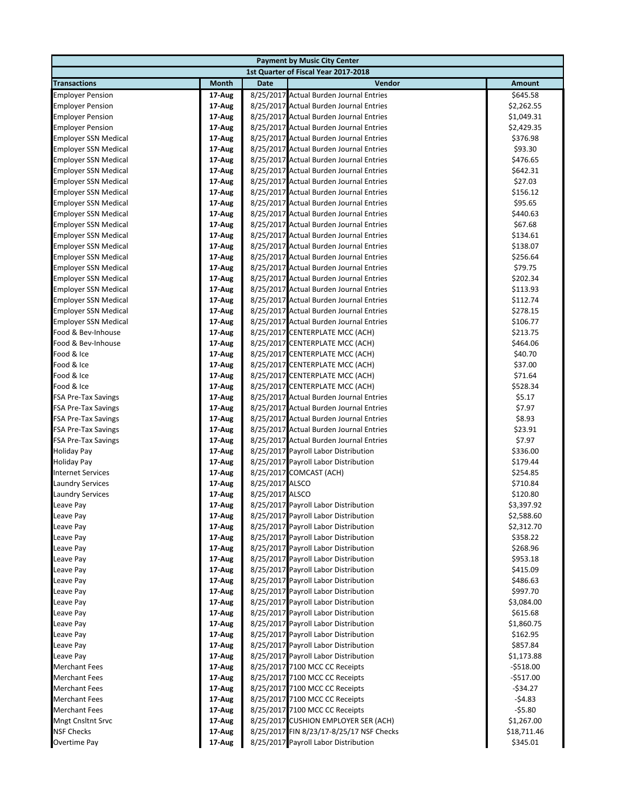| <b>Payment by Music City Center</b>  |                  |                                                                              |                        |  |  |
|--------------------------------------|------------------|------------------------------------------------------------------------------|------------------------|--|--|
| 1st Quarter of Fiscal Year 2017-2018 |                  |                                                                              |                        |  |  |
| <b>Transactions</b>                  | <b>Month</b>     | Vendor<br><b>Date</b>                                                        | Amount                 |  |  |
| <b>Employer Pension</b>              | 17-Aug           | 8/25/2017 Actual Burden Journal Entries                                      | \$645.58               |  |  |
| <b>Employer Pension</b>              | 17-Aug           | 8/25/2017 Actual Burden Journal Entries                                      | \$2,262.55             |  |  |
| <b>Employer Pension</b>              | 17-Aug           | 8/25/2017 Actual Burden Journal Entries                                      | \$1,049.31             |  |  |
| <b>Employer Pension</b>              | 17-Aug           | 8/25/2017 Actual Burden Journal Entries                                      | \$2,429.35             |  |  |
| <b>Employer SSN Medical</b>          | 17-Aug           | 8/25/2017 Actual Burden Journal Entries                                      | \$376.98               |  |  |
| <b>Employer SSN Medical</b>          | 17 Aug           | 8/25/2017 Actual Burden Journal Entries                                      | \$93.30                |  |  |
| <b>Employer SSN Medical</b>          | 17-Aug           | 8/25/2017 Actual Burden Journal Entries                                      | \$476.65               |  |  |
| <b>Employer SSN Medical</b>          | 17-Aug           | 8/25/2017 Actual Burden Journal Entries                                      | \$642.31               |  |  |
| <b>Employer SSN Medical</b>          | 17-Aug           | 8/25/2017 Actual Burden Journal Entries                                      | \$27.03                |  |  |
| <b>Employer SSN Medical</b>          | 17-Aug           | 8/25/2017 Actual Burden Journal Entries                                      | \$156.12               |  |  |
| <b>Employer SSN Medical</b>          | 17-Aug           | 8/25/2017 Actual Burden Journal Entries                                      | \$95.65                |  |  |
| <b>Employer SSN Medical</b>          | 17-Aug           | 8/25/2017 Actual Burden Journal Entries                                      | \$440.63               |  |  |
| <b>Employer SSN Medical</b>          | 17-Aug           | 8/25/2017 Actual Burden Journal Entries                                      | \$67.68                |  |  |
| <b>Employer SSN Medical</b>          | 17-Aug           | 8/25/2017 Actual Burden Journal Entries                                      | \$134.61               |  |  |
| <b>Employer SSN Medical</b>          | 17-Aug           | 8/25/2017 Actual Burden Journal Entries                                      | \$138.07               |  |  |
| <b>Employer SSN Medical</b>          | 17-Aug           | 8/25/2017 Actual Burden Journal Entries                                      | \$256.64               |  |  |
| <b>Employer SSN Medical</b>          | 17-Aug           | 8/25/2017 Actual Burden Journal Entries                                      | \$79.75                |  |  |
| <b>Employer SSN Medical</b>          | 17-Aug           | 8/25/2017 Actual Burden Journal Entries                                      | \$202.34               |  |  |
| <b>Employer SSN Medical</b>          | 17-Aug           | 8/25/2017 Actual Burden Journal Entries                                      | \$113.93               |  |  |
| <b>Employer SSN Medical</b>          | 17-Aug           | 8/25/2017 Actual Burden Journal Entries                                      | \$112.74               |  |  |
| <b>Employer SSN Medical</b>          | 17-Aug           | 8/25/2017 Actual Burden Journal Entries                                      | \$278.15               |  |  |
| <b>Employer SSN Medical</b>          | 17-Aug           | 8/25/2017 Actual Burden Journal Entries                                      | \$106.77               |  |  |
| Food & Bev-Inhouse                   | 17-Aug           | 8/25/2017 CENTERPLATE MCC (ACH)                                              | \$213.75               |  |  |
| Food & Bev-Inhouse                   | 17-Aug           | 8/25/2017 CENTERPLATE MCC (ACH)                                              | \$464.06               |  |  |
| Food & Ice                           | 17-Aug           | 8/25/2017 CENTERPLATE MCC (ACH)                                              | \$40.70                |  |  |
| Food & Ice                           | 17-Aug           | 8/25/2017 CENTERPLATE MCC (ACH)                                              | \$37.00                |  |  |
| Food & Ice                           | 17-Aug           | 8/25/2017 CENTERPLATE MCC (ACH)                                              | \$71.64                |  |  |
| Food & Ice                           | 17-Aug           | 8/25/2017 CENTERPLATE MCC (ACH)                                              | \$528.34               |  |  |
| <b>FSA Pre-Tax Savings</b>           | 17-Aug           | 8/25/2017 Actual Burden Journal Entries                                      | \$5.17                 |  |  |
| <b>FSA Pre-Tax Savings</b>           | 17-Aug           | 8/25/2017 Actual Burden Journal Entries                                      | \$7.97                 |  |  |
| <b>FSA Pre-Tax Savings</b>           | 17-Aug           | 8/25/2017 Actual Burden Journal Entries                                      | \$8.93                 |  |  |
| <b>FSA Pre-Tax Savings</b>           | 17-Aug           | 8/25/2017 Actual Burden Journal Entries                                      | \$23.91                |  |  |
| <b>FSA Pre-Tax Savings</b>           | 17-Aug           | 8/25/2017 Actual Burden Journal Entries                                      | \$7.97                 |  |  |
| Holiday Pay                          | 17-Aug           | 8/25/2017 Payroll Labor Distribution                                         | \$336.00               |  |  |
| <b>Holiday Pay</b>                   | 17-Aug           | 8/25/2017 Payroll Labor Distribution                                         | \$179.44               |  |  |
| <b>Internet Services</b>             | 17-Aug           | 8/25/2017 COMCAST (ACH)                                                      | \$254.85               |  |  |
| <b>Laundry Services</b>              | 17-Aug           | 8/25/2017 ALSCO                                                              | \$710.84               |  |  |
| <b>Laundry Services</b>              | 17-Aug           | 8/25/2017 ALSCO                                                              | \$120.80               |  |  |
| Leave Pay                            | 17-Aug           | 8/25/2017 Payroll Labor Distribution                                         | \$3,397.92             |  |  |
| Leave Pay                            | 17-Aug           | 8/25/2017 Payroll Labor Distribution                                         | \$2,588.60             |  |  |
| Leave Pay                            | 17-Aug           | 8/25/2017 Payroll Labor Distribution<br>8/25/2017 Payroll Labor Distribution | \$2,312.70<br>\$358.22 |  |  |
| Leave Pay<br>Leave Pay               | 17-Aug<br>17-Aug | 8/25/2017 Payroll Labor Distribution                                         | \$268.96               |  |  |
| Leave Pay                            | 17-Aug           | 8/25/2017 Payroll Labor Distribution                                         | \$953.18               |  |  |
| Leave Pay                            | 17-Aug           | 8/25/2017 Payroll Labor Distribution                                         | \$415.09               |  |  |
| Leave Pay                            | 17-Aug           | 8/25/2017 Payroll Labor Distribution                                         | \$486.63               |  |  |
| Leave Pay                            | 17-Aug           | 8/25/2017 Payroll Labor Distribution                                         | \$997.70               |  |  |
| Leave Pay                            | 17-Aug           | 8/25/2017 Payroll Labor Distribution                                         | \$3,084.00             |  |  |
| Leave Pay                            | 17-Aug           | 8/25/2017 Payroll Labor Distribution                                         | \$615.68               |  |  |
| Leave Pay                            | 17-Aug           | 8/25/2017 Payroll Labor Distribution                                         | \$1,860.75             |  |  |
| Leave Pay                            | 17-Aug           | 8/25/2017 Payroll Labor Distribution                                         | \$162.95               |  |  |
| Leave Pay                            | 17-Aug           | 8/25/2017 Payroll Labor Distribution                                         | \$857.84               |  |  |
| Leave Pay                            | 17-Aug           | 8/25/2017 Payroll Labor Distribution                                         | \$1,173.88             |  |  |
| <b>Merchant Fees</b>                 | 17-Aug           | 8/25/2017 7100 MCC CC Receipts                                               | $-5518.00$             |  |  |
| <b>Merchant Fees</b>                 | 17 Aug           | 8/25/2017 7100 MCC CC Receipts                                               | $-5517.00$             |  |  |
| <b>Merchant Fees</b>                 | 17 Aug           | 8/25/2017 7100 MCC CC Receipts                                               | -\$34.27               |  |  |
| <b>Merchant Fees</b>                 | 17-Aug           | 8/25/2017 7100 MCC CC Receipts                                               | $-54.83$               |  |  |
| <b>Merchant Fees</b>                 | 17 Aug           | 8/25/2017 7100 MCC CC Receipts                                               | $-55.80$               |  |  |
| <b>Mngt Cnsltnt Srvc</b>             | 17-Aug           | 8/25/2017 CUSHION EMPLOYER SER (ACH)                                         | \$1,267.00             |  |  |
| <b>NSF Checks</b>                    | 17 Aug           | 8/25/2017 FIN 8/23/17-8/25/17 NSF Checks                                     | \$18,711.46            |  |  |
| Overtime Pay                         | 17 Aug           | 8/25/2017 Payroll Labor Distribution                                         | \$345.01               |  |  |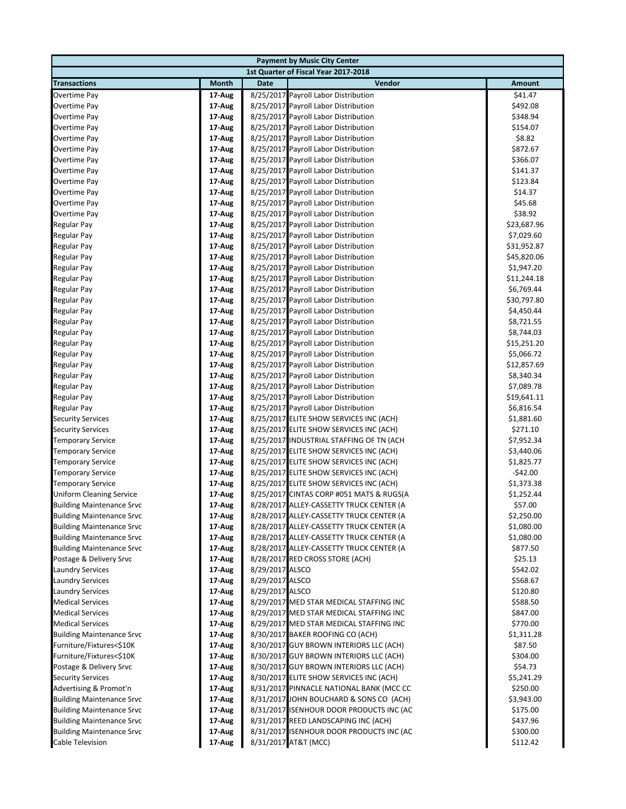| <b>Payment by Music City Center</b>  |              |                                          |             |  |  |
|--------------------------------------|--------------|------------------------------------------|-------------|--|--|
| 1st Quarter of Fiscal Year 2017-2018 |              |                                          |             |  |  |
| <b>Transactions</b>                  | <b>Month</b> | <b>Date</b><br>Vendor                    | Amount      |  |  |
| Overtime Pay                         | 17-Aug       | 8/25/2017 Payroll Labor Distribution     | \$41.47     |  |  |
| Overtime Pay                         | 17-Aug       | 8/25/2017 Payroll Labor Distribution     | \$492.08    |  |  |
| Overtime Pay                         | 17-Aug       | 8/25/2017 Payroll Labor Distribution     | \$348.94    |  |  |
| Overtime Pay                         | 17-Aug       | 8/25/2017 Payroll Labor Distribution     | \$154.07    |  |  |
| Overtime Pay                         | 17-Aug       | 8/25/2017 Payroll Labor Distribution     | \$8.82      |  |  |
| Overtime Pay                         | 17-Aug       | 8/25/2017 Payroll Labor Distribution     | \$872.67    |  |  |
| Overtime Pay                         | 17-Aug       | 8/25/2017 Payroll Labor Distribution     | \$366.07    |  |  |
| Overtime Pay                         | 17-Aug       | 8/25/2017 Payroll Labor Distribution     | \$141.37    |  |  |
| Overtime Pay                         | 17-Aug       | 8/25/2017 Payroll Labor Distribution     | \$123.84    |  |  |
| Overtime Pay                         | 17-Aug       | 8/25/2017 Payroll Labor Distribution     | \$14.37     |  |  |
| Overtime Pay                         | 17-Aug       | 8/25/2017 Payroll Labor Distribution     | \$45.68     |  |  |
| Overtime Pay                         | 17-Aug       | 8/25/2017 Payroll Labor Distribution     | \$38.92     |  |  |
| Regular Pay                          | 17-Aug       | 8/25/2017 Payroll Labor Distribution     | \$23,687.96 |  |  |
| Regular Pay                          | 17-Aug       | 8/25/2017 Payroll Labor Distribution     | \$7,029.60  |  |  |
| Regular Pay                          | 17-Aug       | 8/25/2017 Payroll Labor Distribution     | \$31,952.87 |  |  |
| Regular Pay                          | 17-Aug       | 8/25/2017 Payroll Labor Distribution     | \$45,820.06 |  |  |
| Regular Pay                          | 17-Aug       | 8/25/2017 Payroll Labor Distribution     | \$1,947.20  |  |  |
| Regular Pay                          | 17-Aug       | 8/25/2017 Payroll Labor Distribution     | \$11,244.18 |  |  |
| Regular Pay                          | 17-Aug       | 8/25/2017 Payroll Labor Distribution     | \$6,769.44  |  |  |
| <b>Regular Pay</b>                   | 17-Aug       | 8/25/2017 Payroll Labor Distribution     | \$30,797.80 |  |  |
| Regular Pay                          | 17-Aug       | 8/25/2017 Payroll Labor Distribution     | \$4,450.44  |  |  |
| <b>Regular Pay</b>                   | 17-Aug       | 8/25/2017 Payroll Labor Distribution     | \$8,721.55  |  |  |
| Regular Pay                          | 17-Aug       | 8/25/2017 Payroll Labor Distribution     | \$8,744.03  |  |  |
| Regular Pay                          | 17-Aug       | 8/25/2017 Payroll Labor Distribution     | \$15,251.20 |  |  |
| Regular Pay                          | 17-Aug       | 8/25/2017 Payroll Labor Distribution     | \$5,066.72  |  |  |
| Regular Pay                          | 17-Aug       | 8/25/2017 Payroll Labor Distribution     | \$12,857.69 |  |  |
| Regular Pay                          | 17-Aug       | 8/25/2017 Payroll Labor Distribution     | \$8,340.34  |  |  |
| <b>Regular Pay</b>                   | 17-Aug       | 8/25/2017 Payroll Labor Distribution     | \$7,089.78  |  |  |
| Regular Pay                          | 17-Aug       | 8/25/2017 Payroll Labor Distribution     | \$19,641.11 |  |  |
| Regular Pay                          | 17-Aug       | 8/25/2017 Payroll Labor Distribution     | \$6,816.54  |  |  |
| <b>Security Services</b>             | 17-Aug       | 8/25/2017 ELITE SHOW SERVICES INC (ACH)  | \$1,881.60  |  |  |
| <b>Security Services</b>             | 17-Aug       | 8/25/2017 ELITE SHOW SERVICES INC (ACH)  | \$271.10    |  |  |
| <b>Temporary Service</b>             | 17-Aug       | 8/25/2017 INDUSTRIAL STAFFING OF TN (ACH | \$7,952.34  |  |  |
| <b>Temporary Service</b>             | 17-Aug       | 8/25/2017 ELITE SHOW SERVICES INC (ACH)  | \$3,440.06  |  |  |
| <b>Temporary Service</b>             | 17-Aug       | 8/25/2017 ELITE SHOW SERVICES INC (ACH)  | \$1,825.77  |  |  |
| <b>Temporary Service</b>             | 17-Aug       | 8/25/2017 ELITE SHOW SERVICES INC (ACH)  | $-$ \$42.00 |  |  |
| <b>Temporary Service</b>             | 17-Aug       | 8/25/2017 ELITE SHOW SERVICES INC (ACH)  | \$1,373.38  |  |  |
| <b>Uniform Cleaning Service</b>      | 17-Aug       | 8/25/2017 CINTAS CORP #051 MATS & RUGS(A | \$1,252.44  |  |  |
| <b>Building Maintenance Srvc</b>     | 17-Aug       | 8/28/2017 ALLEY-CASSETTY TRUCK CENTER (A | \$57.00     |  |  |
| <b>Building Maintenance Srvc</b>     | 17-Aug       | 8/28/2017 ALLEY-CASSETTY TRUCK CENTER (A | \$2,250.00  |  |  |
| <b>Building Maintenance Srvc</b>     | 17-Aug       | 8/28/2017 ALLEY-CASSETTY TRUCK CENTER (A | \$1,080.00  |  |  |
| <b>Building Maintenance Srvc</b>     | 17-Aug       | 8/28/2017 ALLEY-CASSETTY TRUCK CENTER (A | \$1,080.00  |  |  |
| <b>Building Maintenance Srvc</b>     | 17-Aug       | 8/28/2017 ALLEY-CASSETTY TRUCK CENTER (A | \$877.50    |  |  |
| Postage & Delivery Srvc              | 17-Aug       | 8/28/2017 RED CROSS STORE (ACH)          | \$25.13     |  |  |
| <b>Laundry Services</b>              | 17-Aug       | 8/29/2017 ALSCO                          | \$542.02    |  |  |
| <b>Laundry Services</b>              | 17-Aug       | 8/29/2017 ALSCO                          | \$568.67    |  |  |
| <b>Laundry Services</b>              | 17-Aug       | 8/29/2017 ALSCO                          | \$120.80    |  |  |
| <b>Medical Services</b>              | 17-Aug       | 8/29/2017 MED STAR MEDICAL STAFFING INC  | \$588.50    |  |  |
| <b>Medical Services</b>              | 17-Aug       | 8/29/2017 MED STAR MEDICAL STAFFING INC  | \$847.00    |  |  |
| <b>Medical Services</b>              | 17-Aug       | 8/29/2017 MED STAR MEDICAL STAFFING INC  | \$770.00    |  |  |
| <b>Building Maintenance Srvc</b>     | 17-Aug       | 8/30/2017 BAKER ROOFING CO (ACH)         | \$1,311.28  |  |  |
| Furniture/Fixtures<\$10K             | 17-Aug       | 8/30/2017 GUY BROWN INTERIORS LLC (ACH)  | \$87.50     |  |  |
| Furniture/Fixtures<\$10K             | 17-Aug       | 8/30/2017 GUY BROWN INTERIORS LLC (ACH)  | \$304.00    |  |  |
| Postage & Delivery Srvc              | 17-Aug       | 8/30/2017 GUY BROWN INTERIORS LLC (ACH)  | \$54.73     |  |  |
| <b>Security Services</b>             | 17-Aug       | 8/30/2017 ELITE SHOW SERVICES INC (ACH)  | \$5,241.29  |  |  |
| Advertising & Promot'n               | 17-Aug       | 8/31/2017 PINNACLE NATIONAL BANK (MCC CC | \$250.00    |  |  |
| <b>Building Maintenance Srvc</b>     | 17-Aug       | 8/31/2017 JOHN BOUCHARD & SONS CO (ACH)  | \$3,943.00  |  |  |
| <b>Building Maintenance Srvc</b>     | 17-Aug       | 8/31/2017 ISENHOUR DOOR PRODUCTS INC (AC | \$175.00    |  |  |
| <b>Building Maintenance Srvc</b>     | 17-Aug       | 8/31/2017 REED LANDSCAPING INC (ACH)     | \$437.96    |  |  |
| <b>Building Maintenance Srvc</b>     | 17-Aug       | 8/31/2017 ISENHOUR DOOR PRODUCTS INC (AC | \$300.00    |  |  |
| Cable Television                     | 17-Aug       | 8/31/2017 AT&T (MCC)                     | \$112.42    |  |  |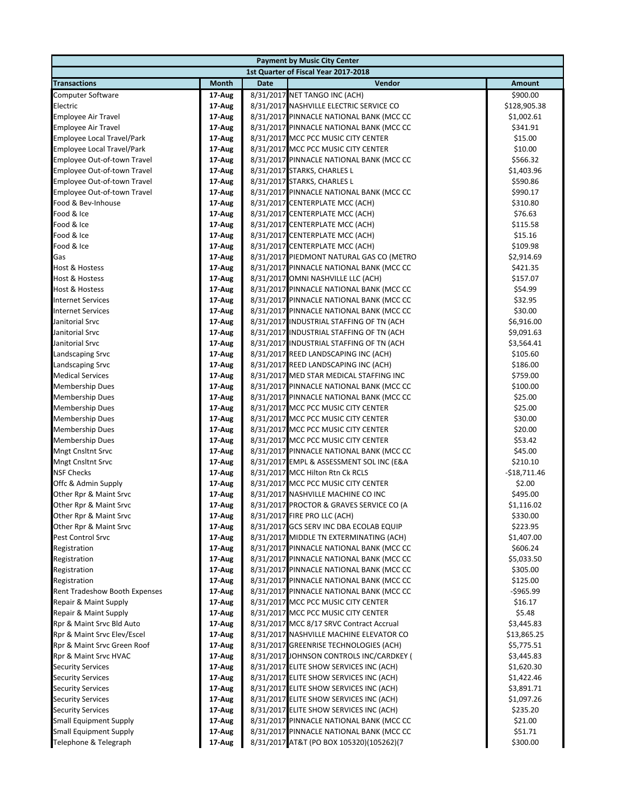| <b>Payment by Music City Center</b>                  |                  |                                                                                    |               |  |  |
|------------------------------------------------------|------------------|------------------------------------------------------------------------------------|---------------|--|--|
| 1st Quarter of Fiscal Year 2017-2018                 |                  |                                                                                    |               |  |  |
| <b>Transactions</b>                                  | Month            | Vendor<br>Date                                                                     | Amount        |  |  |
| <b>Computer Software</b>                             | 17-Aug           | 8/31/2017 NET TANGO INC (ACH)                                                      | \$900.00      |  |  |
| Electric                                             | 17-Aug           | 8/31/2017 NASHVILLE ELECTRIC SERVICE CO                                            | \$128,905.38  |  |  |
| Employee Air Travel                                  | 17-Aug           | 8/31/2017 PINNACLE NATIONAL BANK (MCC CC                                           | \$1,002.61    |  |  |
| <b>Employee Air Travel</b>                           | 17-Aug           | 8/31/2017 PINNACLE NATIONAL BANK (MCC CC                                           | \$341.91      |  |  |
| Employee Local Travel/Park                           | 17-Aug           | 8/31/2017 MCC PCC MUSIC CITY CENTER                                                | \$15.00       |  |  |
| Employee Local Travel/Park                           | 17-Aug           | 8/31/2017 MCC PCC MUSIC CITY CENTER                                                | \$10.00       |  |  |
| Employee Out-of-town Travel                          | 17-Aug           | 8/31/2017 PINNACLE NATIONAL BANK (MCC CC                                           | \$566.32      |  |  |
| Employee Out-of-town Travel                          | 17-Aug           | 8/31/2017 STARKS, CHARLES L                                                        | \$1,403.96    |  |  |
| Employee Out-of-town Travel                          | 17-Aug           | 8/31/2017 STARKS, CHARLES L                                                        | \$590.86      |  |  |
| Employee Out-of-town Travel                          | 17-Aug           | 8/31/2017 PINNACLE NATIONAL BANK (MCC CC                                           | \$990.17      |  |  |
| Food & Bev-Inhouse                                   | 17-Aug           | 8/31/2017 CENTERPLATE MCC (ACH)                                                    | \$310.80      |  |  |
| Food & Ice                                           | 17-Aug           | 8/31/2017 CENTERPLATE MCC (ACH)                                                    | \$76.63       |  |  |
| Food & Ice                                           | 17-Aug           | 8/31/2017 CENTERPLATE MCC (ACH)                                                    | \$115.58      |  |  |
| Food & Ice                                           | 17-Aug           | 8/31/2017 CENTERPLATE MCC (ACH)                                                    | \$15.16       |  |  |
| Food & Ice                                           | 17-Aug           | 8/31/2017 CENTERPLATE MCC (ACH)                                                    | \$109.98      |  |  |
| Gas                                                  | 17-Aug           | 8/31/2017 PIEDMONT NATURAL GAS CO (METRO                                           | \$2,914.69    |  |  |
| <b>Host &amp; Hostess</b>                            | 17-Aug           | 8/31/2017 PINNACLE NATIONAL BANK (MCC CC                                           | \$421.35      |  |  |
| <b>Host &amp; Hostess</b>                            | 17-Aug           | 8/31/2017 OMNI NASHVILLE LLC (ACH)                                                 | \$157.07      |  |  |
| <b>Host &amp; Hostess</b>                            | 17-Aug           | 8/31/2017 PINNACLE NATIONAL BANK (MCC CC                                           | \$54.99       |  |  |
| <b>Internet Services</b>                             | 17-Aug           | 8/31/2017 PINNACLE NATIONAL BANK (MCC CC                                           | \$32.95       |  |  |
| <b>Internet Services</b>                             | 17-Aug           | 8/31/2017 PINNACLE NATIONAL BANK (MCC CC                                           | \$30.00       |  |  |
| Janitorial Srvc                                      | 17-Aug           | 8/31/2017 INDUSTRIAL STAFFING OF TN (ACH                                           | \$6,916.00    |  |  |
| Janitorial Srvc                                      | 17-Aug           | 8/31/2017 INDUSTRIAL STAFFING OF TN (ACH                                           | \$9,091.63    |  |  |
| Janitorial Srvc                                      | 17-Aug           | 8/31/2017 INDUSTRIAL STAFFING OF TN (ACH                                           | \$3,564.41    |  |  |
| Landscaping Srvc                                     | 17-Aug           | 8/31/2017 REED LANDSCAPING INC (ACH)                                               | \$105.60      |  |  |
| Landscaping Srvc                                     | 17-Aug           | 8/31/2017 REED LANDSCAPING INC (ACH)                                               | \$186.00      |  |  |
| <b>Medical Services</b>                              | 17-Aug           | 8/31/2017 MED STAR MEDICAL STAFFING INC                                            | \$759.00      |  |  |
| <b>Membership Dues</b>                               | 17-Aug           | 8/31/2017 PINNACLE NATIONAL BANK (MCC CC                                           | \$100.00      |  |  |
| <b>Membership Dues</b>                               | 17-Aug           | 8/31/2017 PINNACLE NATIONAL BANK (MCC CC                                           | \$25.00       |  |  |
| <b>Membership Dues</b>                               | 17-Aug           | 8/31/2017 MCC PCC MUSIC CITY CENTER                                                | \$25.00       |  |  |
| <b>Membership Dues</b>                               | 17-Aug           | 8/31/2017 MCC PCC MUSIC CITY CENTER                                                | \$30.00       |  |  |
| <b>Membership Dues</b>                               | 17-Aug           | 8/31/2017 MCC PCC MUSIC CITY CENTER                                                | \$20.00       |  |  |
| <b>Membership Dues</b>                               | 17-Aug           | 8/31/2017 MCC PCC MUSIC CITY CENTER                                                | \$53.42       |  |  |
| <b>Mngt Cnsltnt Srvc</b>                             | 17-Aug           | 8/31/2017 PINNACLE NATIONAL BANK (MCC CC                                           | \$45.00       |  |  |
| <b>Mngt Cnsltnt Srvc</b>                             | 17-Aug           | 8/31/2017 EMPL & ASSESSMENT SOL INC (E&A                                           | \$210.10      |  |  |
| <b>NSF Checks</b>                                    | 17-Aug           | 8/31/2017 MCC Hilton Rtn Ck RCLS                                                   | $-$18,711.46$ |  |  |
| Offc & Admin Supply                                  | 17-Aug           | 8/31/2017 MCC PCC MUSIC CITY CENTER                                                | \$2.00        |  |  |
| Other Rpr & Maint Srvc                               | 17-Aug           | 8/31/2017 NASHVILLE MACHINE CO INC                                                 | \$495.00      |  |  |
| Other Rpr & Maint Srvc                               | 17-Aug           | 8/31/2017 PROCTOR & GRAVES SERVICE CO (A                                           | \$1,116.02    |  |  |
| Other Rpr & Maint Srvc                               | 17-Aug           | 8/31/2017 FIRE PRO LLC (ACH)                                                       | \$330.00      |  |  |
| Other Rpr & Maint Srvc                               | 17-Aug           | 8/31/2017 GCS SERV INC DBA ECOLAB EQUIP                                            | \$223.95      |  |  |
| <b>Pest Control Srvc</b>                             | 17-Aug           | 8/31/2017 MIDDLE TN EXTERMINATING (ACH)                                            | \$1,407.00    |  |  |
| Registration                                         | 17-Aug           | 8/31/2017 PINNACLE NATIONAL BANK (MCC CC                                           | \$606.24      |  |  |
| Registration                                         | 17-Aug           | 8/31/2017 PINNACLE NATIONAL BANK (MCC CC                                           | \$5,033.50    |  |  |
| Registration                                         | 17-Aug           | 8/31/2017 PINNACLE NATIONAL BANK (MCC CC                                           | \$305.00      |  |  |
| Registration                                         | 17-Aug           | 8/31/2017 PINNACLE NATIONAL BANK (MCC CC                                           | \$125.00      |  |  |
| Rent Tradeshow Booth Expenses                        | 17-Aug           | 8/31/2017 PINNACLE NATIONAL BANK (MCC CC                                           | $-$965.99$    |  |  |
| Repair & Maint Supply                                | 17-Aug           | 8/31/2017 MCC PCC MUSIC CITY CENTER                                                | \$16.17       |  |  |
| Repair & Maint Supply                                | 17-Aug           | 8/31/2017 MCC PCC MUSIC CITY CENTER                                                | \$5.48        |  |  |
| Rpr & Maint Srvc Bld Auto                            | 17-Aug           | 8/31/2017 MCC 8/17 SRVC Contract Accrual                                           | \$3,445.83    |  |  |
| Rpr & Maint Srvc Elev/Escel                          | 17-Aug           | 8/31/2017 NASHVILLE MACHINE ELEVATOR CO                                            | \$13,865.25   |  |  |
| Rpr & Maint Srvc Green Roof                          | 17-Aug           | 8/31/2017 GREENRISE TECHNOLOGIES (ACH)                                             | \$5,775.51    |  |  |
| Rpr & Maint Srvc HVAC                                | 17-Aug           | 8/31/2017 JOHNSON CONTROLS INC/CARDKEY (                                           | \$3,445.83    |  |  |
| <b>Security Services</b>                             | 17-Aug           | 8/31/2017 ELITE SHOW SERVICES INC (ACH)                                            | \$1,620.30    |  |  |
| <b>Security Services</b>                             | 17-Aug           | 8/31/2017 ELITE SHOW SERVICES INC (ACH)<br>8/31/2017 ELITE SHOW SERVICES INC (ACH) | \$1,422.46    |  |  |
| <b>Security Services</b><br><b>Security Services</b> | 17-Aug<br>17-Aug |                                                                                    | \$3,891.71    |  |  |
|                                                      |                  | 8/31/2017 ELITE SHOW SERVICES INC (ACH)<br>8/31/2017 ELITE SHOW SERVICES INC (ACH) | \$1,097.26    |  |  |
| <b>Security Services</b>                             | 17-Aug           |                                                                                    | \$235.20      |  |  |
| <b>Small Equipment Supply</b>                        | 17-Aug           | 8/31/2017 PINNACLE NATIONAL BANK (MCC CC                                           | \$21.00       |  |  |
| <b>Small Equipment Supply</b>                        | 17-Aug           | 8/31/2017 PINNACLE NATIONAL BANK (MCC CC                                           | \$51.71       |  |  |
| Telephone & Telegraph                                | 17-Aug           | 8/31/2017 AT&T (PO BOX 105320)(105262)(7                                           | \$300.00      |  |  |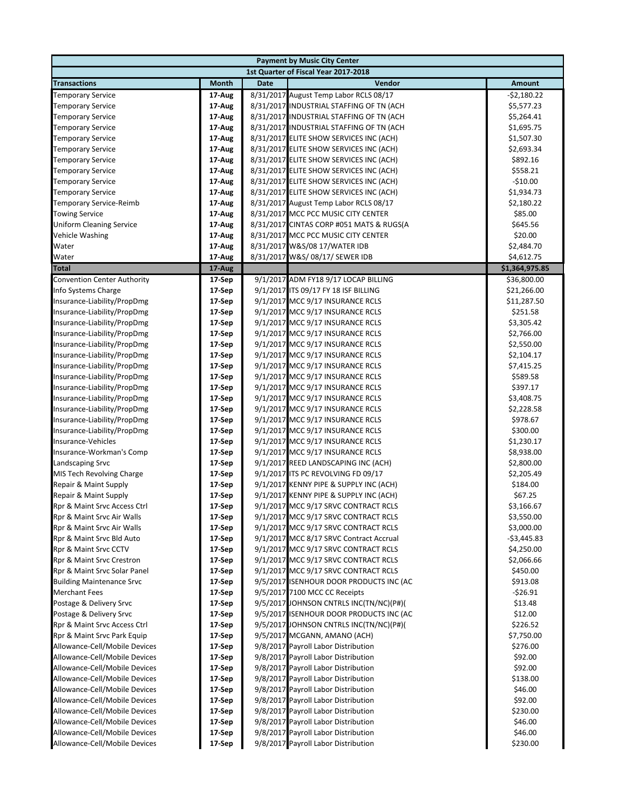| <b>Payment by Music City Center</b>  |              |             |                                                                            |                |
|--------------------------------------|--------------|-------------|----------------------------------------------------------------------------|----------------|
| 1st Quarter of Fiscal Year 2017-2018 |              |             |                                                                            |                |
| <b>Transactions</b>                  | <b>Month</b> | <b>Date</b> | Vendor                                                                     | Amount         |
| Temporary Service                    | 17-Aug       |             | 8/31/2017 August Temp Labor RCLS 08/17                                     | $-52,180.22$   |
| <b>Temporary Service</b>             | 17-Aug       |             | 8/31/2017 INDUSTRIAL STAFFING OF TN (ACH                                   | \$5,577.23     |
| Temporary Service                    | 17-Aug       |             | 8/31/2017 INDUSTRIAL STAFFING OF TN (ACH                                   | \$5,264.41     |
| <b>Temporary Service</b>             | 17-Aug       |             | 8/31/2017 INDUSTRIAL STAFFING OF TN (ACH                                   | \$1,695.75     |
| Temporary Service                    | 17-Aug       |             | 8/31/2017 ELITE SHOW SERVICES INC (ACH)                                    | \$1,507.30     |
| <b>Temporary Service</b>             | 17-Aug       |             | 8/31/2017 ELITE SHOW SERVICES INC (ACH)                                    | \$2,693.34     |
| <b>Temporary Service</b>             | 17-Aug       |             | 8/31/2017 ELITE SHOW SERVICES INC (ACH)                                    | \$892.16       |
| <b>Temporary Service</b>             | 17-Aug       |             | 8/31/2017 ELITE SHOW SERVICES INC (ACH)                                    | \$558.21       |
| Temporary Service                    | 17-Aug       |             | 8/31/2017 ELITE SHOW SERVICES INC (ACH)                                    | $-510.00$      |
| <b>Temporary Service</b>             | 17-Aug       |             | 8/31/2017 ELITE SHOW SERVICES INC (ACH)                                    | \$1,934.73     |
| <b>Temporary Service-Reimb</b>       | 17-Aug       |             | 8/31/2017 August Temp Labor RCLS 08/17                                     | \$2,180.22     |
| <b>Towing Service</b>                | 17-Aug       |             | 8/31/2017 MCC PCC MUSIC CITY CENTER                                        | \$85.00        |
| <b>Uniform Cleaning Service</b>      | 17-Aug       |             | 8/31/2017 CINTAS CORP #051 MATS & RUGS(A                                   | \$645.56       |
| Vehicle Washing                      | 17-Aug       |             | 8/31/2017 MCC PCC MUSIC CITY CENTER                                        | \$20.00        |
| Water                                | 17-Aug       |             | 8/31/2017 W&S/08 17/WATER IDB                                              | \$2,484.70     |
| Water                                | 17-Aug       |             | 8/31/2017 W&S/08/17/ SEWER IDB                                             | \$4,612.75     |
| <b>Total</b>                         | 17-Aug       |             |                                                                            | \$1,364,975.85 |
| <b>Convention Center Authority</b>   | $17-$ Sep    |             | 9/1/2017 ADM FY18 9/17 LOCAP BILLING                                       | \$36,800.00    |
| Info Systems Charge                  | 17-Sep       |             | 9/1/2017 ITS 09/17 FY 18 ISF BILLING                                       | \$21,266.00    |
| Insurance-Liability/PropDmg          | 17-Sep       |             | 9/1/2017 MCC 9/17 INSURANCE RCLS                                           | \$11,287.50    |
| Insurance-Liability/PropDmg          | 17-Sep       |             | 9/1/2017 MCC 9/17 INSURANCE RCLS                                           | \$251.58       |
| Insurance-Liability/PropDmg          | 17-Sep       |             | 9/1/2017 MCC 9/17 INSURANCE RCLS                                           | \$3,305.42     |
| Insurance-Liability/PropDmg          | 17-Sep       |             | 9/1/2017 MCC 9/17 INSURANCE RCLS                                           | \$2,766.00     |
| Insurance-Liability/PropDmg          | 17-Sep       |             | 9/1/2017 MCC 9/17 INSURANCE RCLS                                           | \$2,550.00     |
| Insurance-Liability/PropDmg          | 17-Sep       |             | 9/1/2017 MCC 9/17 INSURANCE RCLS                                           | \$2,104.17     |
| Insurance-Liability/PropDmg          | 17-Sep       |             | 9/1/2017 MCC 9/17 INSURANCE RCLS                                           | \$7,415.25     |
| Insurance-Liability/PropDmg          | 17-Sep       |             | 9/1/2017 MCC 9/17 INSURANCE RCLS                                           | \$589.58       |
| Insurance-Liability/PropDmg          | 17-Sep       |             | 9/1/2017 MCC 9/17 INSURANCE RCLS                                           | \$397.17       |
| Insurance-Liability/PropDmg          | 17-Sep       |             | 9/1/2017 MCC 9/17 INSURANCE RCLS                                           | \$3,408.75     |
| Insurance-Liability/PropDmg          | 17-Sep       |             | 9/1/2017 MCC 9/17 INSURANCE RCLS                                           | \$2,228.58     |
| Insurance-Liability/PropDmg          | 17-Sep       |             | 9/1/2017 MCC 9/17 INSURANCE RCLS                                           | \$978.67       |
| Insurance-Liability/PropDmg          | 17-Sep       |             | 9/1/2017 MCC 9/17 INSURANCE RCLS                                           | \$300.00       |
| Insurance-Vehicles                   | 17-Sep       |             | 9/1/2017 MCC 9/17 INSURANCE RCLS                                           | \$1,230.17     |
| Insurance-Workman's Comp             | 17-Sep       |             | 9/1/2017 MCC 9/17 INSURANCE RCLS                                           | \$8,938.00     |
| Landscaping Srvc                     | 17-Sep       |             | 9/1/2017 REED LANDSCAPING INC (ACH)                                        | \$2,800.00     |
| MIS Tech Revolving Charge            | 17-Sep       |             | 9/1/2017 ITS PC REVOLVING FD 09/17                                         | \$2,205.49     |
| Repair & Maint Supply                | 17-Sep       |             | 9/1/2017 KENNY PIPE & SUPPLY INC (ACH)                                     | \$184.00       |
| Repair & Maint Supply                | 17-Sep       |             | 9/1/2017 KENNY PIPE & SUPPLY INC (ACH)                                     | \$67.25        |
| Rpr & Maint Srvc Access Ctrl         | 17-Sep       |             | 9/1/2017 MCC 9/17 SRVC CONTRACT RCLS                                       | \$3,166.67     |
| Rpr & Maint Srvc Air Walls           | 17-Sep       |             | 9/1/2017 MCC 9/17 SRVC CONTRACT RCLS                                       | \$3,550.00     |
| Rpr & Maint Srvc Air Walls           | 17-Sep       |             | 9/1/2017 MCC 9/17 SRVC CONTRACT RCLS                                       | \$3,000.00     |
| Rpr & Maint Srvc Bld Auto            | 17-Sep       |             | 9/1/2017 MCC 8/17 SRVC Contract Accrual                                    | -\$3,445.83    |
| Rpr & Maint Srvc CCTV                | 17-Sep       |             | 9/1/2017 MCC 9/17 SRVC CONTRACT RCLS                                       | \$4,250.00     |
| Rpr & Maint Srvc Crestron            | 17-Sep       |             | 9/1/2017 MCC 9/17 SRVC CONTRACT RCLS                                       | \$2,066.66     |
| Rpr & Maint Srvc Solar Panel         | 17-Sep       |             | 9/1/2017 MCC 9/17 SRVC CONTRACT RCLS                                       | \$450.00       |
| <b>Building Maintenance Srvc</b>     | 17-Sep       |             | 9/5/2017 ISENHOUR DOOR PRODUCTS INC (AC                                    | \$913.08       |
| <b>Merchant Fees</b>                 | 17-Sep       |             | 9/5/2017 7100 MCC CC Receipts                                              | $-526.91$      |
| Postage & Delivery Srvc              | 17-Sep       |             | 9/5/2017 JOHNSON CNTRLS INC(TN/NC)(P#)(                                    | \$13.48        |
| Postage & Delivery Srvc              | 17-Sep       |             | 9/5/2017 ISENHOUR DOOR PRODUCTS INC (AC                                    | \$12.00        |
| Rpr & Maint Srvc Access Ctrl         | 17-Sep       |             | 9/5/2017 JOHNSON CNTRLS INC(TN/NC)(P#)(                                    | \$226.52       |
| Rpr & Maint Srvc Park Equip          | 17-Sep       |             | 9/5/2017 MCGANN, AMANO (ACH)                                               | \$7,750.00     |
| Allowance-Cell/Mobile Devices        | 17-Sep       |             | 9/8/2017 Payroll Labor Distribution                                        | \$276.00       |
| Allowance-Cell/Mobile Devices        | 17-Sep       |             | 9/8/2017 Payroll Labor Distribution                                        | \$92.00        |
| Allowance-Cell/Mobile Devices        | 17-Sep       |             | 9/8/2017 Payroll Labor Distribution                                        | \$92.00        |
| Allowance-Cell/Mobile Devices        | 17-Sep       |             | 9/8/2017 Payroll Labor Distribution                                        | \$138.00       |
| Allowance-Cell/Mobile Devices        | 17-Sep       |             | 9/8/2017 Payroll Labor Distribution                                        | \$46.00        |
| Allowance-Cell/Mobile Devices        | 17-Sep       |             | 9/8/2017 Payroll Labor Distribution                                        | \$92.00        |
| Allowance-Cell/Mobile Devices        | 17-Sep       |             | 9/8/2017 Payroll Labor Distribution                                        | \$230.00       |
| Allowance-Cell/Mobile Devices        | 17-Sep       |             | 9/8/2017 Payroll Labor Distribution<br>9/8/2017 Payroll Labor Distribution | \$46.00        |
| Allowance-Cell/Mobile Devices        | 17-Sep       |             |                                                                            | \$46.00        |
| Allowance-Cell/Mobile Devices        | 17-Sep       |             | 9/8/2017 Payroll Labor Distribution                                        | \$230.00       |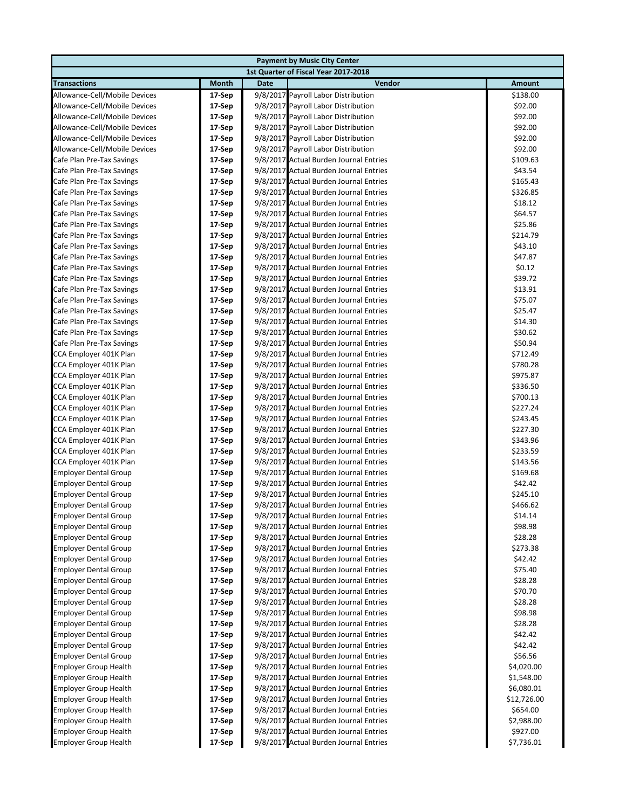| <b>Payment by Music City Center</b>                          |                  |                                                                                  |                    |  |
|--------------------------------------------------------------|------------------|----------------------------------------------------------------------------------|--------------------|--|
| 1st Quarter of Fiscal Year 2017-2018                         |                  |                                                                                  |                    |  |
| <b>Transactions</b>                                          | Month            | <b>Date</b><br>Vendor                                                            | <b>Amount</b>      |  |
| Allowance-Cell/Mobile Devices                                | 17-Sep           | 9/8/2017 Payroll Labor Distribution                                              | \$138.00           |  |
| Allowance-Cell/Mobile Devices                                | 17-Sep           | 9/8/2017 Payroll Labor Distribution                                              | \$92.00            |  |
| Allowance-Cell/Mobile Devices                                | 17-Sep           | 9/8/2017 Payroll Labor Distribution                                              | \$92.00            |  |
| Allowance-Cell/Mobile Devices                                | 17-Sep           | 9/8/2017 Payroll Labor Distribution                                              | \$92.00            |  |
| Allowance-Cell/Mobile Devices                                | 17-Sep           | 9/8/2017 Payroll Labor Distribution                                              | \$92.00            |  |
| Allowance-Cell/Mobile Devices                                | 17-Sep           | 9/8/2017 Payroll Labor Distribution                                              | \$92.00            |  |
| Cafe Plan Pre-Tax Savings                                    | 17-Sep           | 9/8/2017 Actual Burden Journal Entries                                           | \$109.63           |  |
| Cafe Plan Pre-Tax Savings                                    | 17-Sep           | 9/8/2017 Actual Burden Journal Entries                                           | \$43.54            |  |
| Cafe Plan Pre-Tax Savings                                    | 17-Sep           | 9/8/2017 Actual Burden Journal Entries                                           | \$165.43           |  |
| Cafe Plan Pre-Tax Savings                                    | 17-Sep           | 9/8/2017 Actual Burden Journal Entries                                           | \$326.85           |  |
| Cafe Plan Pre-Tax Savings                                    | 17-Sep           | 9/8/2017 Actual Burden Journal Entries                                           | \$18.12            |  |
| Cafe Plan Pre-Tax Savings                                    | 17-Sep           | 9/8/2017 Actual Burden Journal Entries                                           | \$64.57            |  |
| Cafe Plan Pre-Tax Savings                                    | 17-Sep           | 9/8/2017 Actual Burden Journal Entries                                           | \$25.86            |  |
| Cafe Plan Pre-Tax Savings                                    | 17-Sep           | 9/8/2017 Actual Burden Journal Entries                                           | \$214.79           |  |
| Cafe Plan Pre-Tax Savings                                    | 17-Sep           | 9/8/2017 Actual Burden Journal Entries                                           | \$43.10            |  |
| Cafe Plan Pre-Tax Savings                                    | 17-Sep           | 9/8/2017 Actual Burden Journal Entries                                           | \$47.87            |  |
| Cafe Plan Pre-Tax Savings                                    | 17-Sep           | 9/8/2017 Actual Burden Journal Entries                                           | \$0.12             |  |
| Cafe Plan Pre-Tax Savings                                    | 17-Sep           | 9/8/2017 Actual Burden Journal Entries                                           | \$39.72            |  |
| Cafe Plan Pre-Tax Savings                                    | 17-Sep           | 9/8/2017 Actual Burden Journal Entries<br>9/8/2017 Actual Burden Journal Entries | \$13.91<br>\$75.07 |  |
| Cafe Plan Pre-Tax Savings                                    | 17-Sep<br>17-Sep |                                                                                  | \$25.47            |  |
| Cafe Plan Pre-Tax Savings<br>Cafe Plan Pre-Tax Savings       | 17-Sep           | 9/8/2017 Actual Burden Journal Entries<br>9/8/2017 Actual Burden Journal Entries | \$14.30            |  |
| Cafe Plan Pre-Tax Savings                                    | 17-Sep           | 9/8/2017 Actual Burden Journal Entries                                           | \$30.62            |  |
| Cafe Plan Pre-Tax Savings                                    | 17-Sep           | 9/8/2017 Actual Burden Journal Entries                                           | \$50.94            |  |
| CCA Employer 401K Plan                                       | 17-Sep           | 9/8/2017 Actual Burden Journal Entries                                           | \$712.49           |  |
| CCA Employer 401K Plan                                       | 17-Sep           | 9/8/2017 Actual Burden Journal Entries                                           | \$780.28           |  |
| CCA Employer 401K Plan                                       | 17-Sep           | 9/8/2017 Actual Burden Journal Entries                                           | \$975.87           |  |
| CCA Employer 401K Plan                                       | 17-Sep           | 9/8/2017 Actual Burden Journal Entries                                           | \$336.50           |  |
| CCA Employer 401K Plan                                       | 17-Sep           | 9/8/2017 Actual Burden Journal Entries                                           | \$700.13           |  |
| CCA Employer 401K Plan                                       | 17-Sep           | 9/8/2017 Actual Burden Journal Entries                                           | \$227.24           |  |
| CCA Employer 401K Plan                                       | 17-Sep           | 9/8/2017 Actual Burden Journal Entries                                           | \$243.45           |  |
| CCA Employer 401K Plan                                       | 17-Sep           | 9/8/2017 Actual Burden Journal Entries                                           | \$227.30           |  |
| CCA Employer 401K Plan                                       | 17-Sep           | 9/8/2017 Actual Burden Journal Entries                                           | \$343.96           |  |
| CCA Employer 401K Plan                                       | 17-Sep           | 9/8/2017 Actual Burden Journal Entries                                           | \$233.59           |  |
| CCA Employer 401K Plan                                       | 17-Sep           | 9/8/2017 Actual Burden Journal Entries                                           | \$143.56           |  |
| <b>Employer Dental Group</b>                                 | 17-Sep           | 9/8/2017 Actual Burden Journal Entries                                           | \$169.68           |  |
| <b>Employer Dental Group</b>                                 | 17-Sep           | 9/8/2017 Actual Burden Journal Entries                                           | \$42.42            |  |
| <b>Employer Dental Group</b>                                 | 17-Sep           | 9/8/2017 Actual Burden Journal Entries                                           | \$245.10           |  |
| <b>Employer Dental Group</b>                                 | 17-Sep           | 9/8/2017 Actual Burden Journal Entries                                           | \$466.62           |  |
| <b>Employer Dental Group</b>                                 | 17-Sep           | 9/8/2017 Actual Burden Journal Entries                                           | \$14.14            |  |
| <b>Employer Dental Group</b>                                 | 17-Sep           | 9/8/2017 Actual Burden Journal Entries                                           | \$98.98            |  |
| <b>Employer Dental Group</b>                                 | 17-Sep           | 9/8/2017 Actual Burden Journal Entries                                           | \$28.28            |  |
| <b>Employer Dental Group</b>                                 | 17-Sep           | 9/8/2017 Actual Burden Journal Entries                                           | \$273.38           |  |
| <b>Employer Dental Group</b>                                 | 17-Sep           | 9/8/2017 Actual Burden Journal Entries                                           | \$42.42            |  |
| <b>Employer Dental Group</b>                                 | 17-Sep           | 9/8/2017 Actual Burden Journal Entries                                           | \$75.40<br>\$28.28 |  |
| <b>Employer Dental Group</b><br><b>Employer Dental Group</b> | 17-Sep           | 9/8/2017 Actual Burden Journal Entries<br>9/8/2017 Actual Burden Journal Entries | \$70.70            |  |
| <b>Employer Dental Group</b>                                 | 17-Sep<br>17-Sep | 9/8/2017 Actual Burden Journal Entries                                           | \$28.28            |  |
| <b>Employer Dental Group</b>                                 | 17-Sep           | 9/8/2017 Actual Burden Journal Entries                                           | \$98.98            |  |
| <b>Employer Dental Group</b>                                 | 17-Sep           | 9/8/2017 Actual Burden Journal Entries                                           | \$28.28            |  |
| <b>Employer Dental Group</b>                                 | 17-Sep           | 9/8/2017 Actual Burden Journal Entries                                           | \$42.42            |  |
| <b>Employer Dental Group</b>                                 | 17-Sep           | 9/8/2017 Actual Burden Journal Entries                                           | \$42.42            |  |
| <b>Employer Dental Group</b>                                 | 17-Sep           | 9/8/2017 Actual Burden Journal Entries                                           | \$56.56            |  |
| <b>Employer Group Health</b>                                 | 17-Sep           | 9/8/2017 Actual Burden Journal Entries                                           | \$4,020.00         |  |
| <b>Employer Group Health</b>                                 | 17-Sep           | 9/8/2017 Actual Burden Journal Entries                                           | \$1,548.00         |  |
| <b>Employer Group Health</b>                                 | 17-Sep           | 9/8/2017 Actual Burden Journal Entries                                           | \$6,080.01         |  |
| <b>Employer Group Health</b>                                 | 17-Sep           | 9/8/2017 Actual Burden Journal Entries                                           | \$12,726.00        |  |
| <b>Employer Group Health</b>                                 | 17-Sep           | 9/8/2017 Actual Burden Journal Entries                                           | \$654.00           |  |
| <b>Employer Group Health</b>                                 | 17-Sep           | 9/8/2017 Actual Burden Journal Entries                                           | \$2,988.00         |  |
| <b>Employer Group Health</b>                                 | 17-Sep           | 9/8/2017 Actual Burden Journal Entries                                           | \$927.00           |  |
| <b>Employer Group Health</b>                                 | 17-Sep           | 9/8/2017 Actual Burden Journal Entries                                           | \$7,736.01         |  |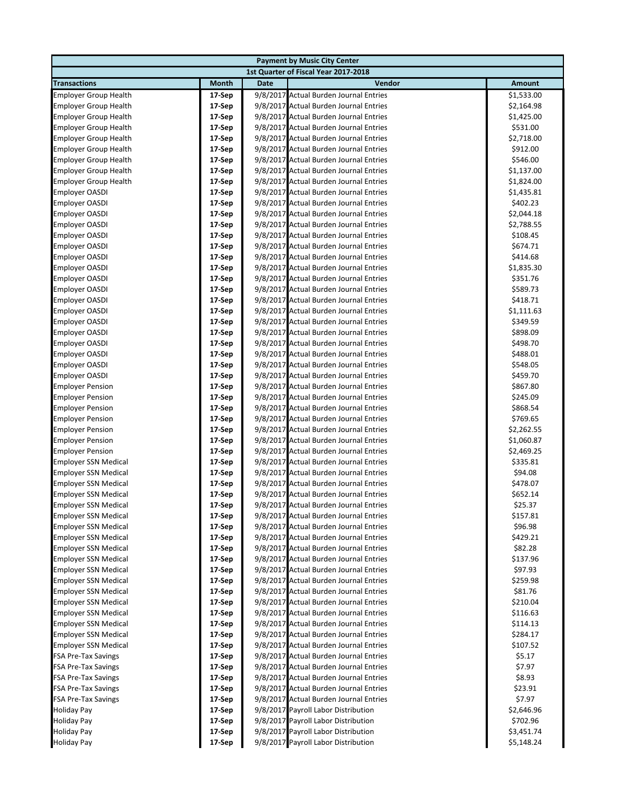| <b>Payment by Music City Center</b>                        |                  |                                                                                  |                      |  |
|------------------------------------------------------------|------------------|----------------------------------------------------------------------------------|----------------------|--|
| 1st Quarter of Fiscal Year 2017-2018                       |                  |                                                                                  |                      |  |
| <b>Transactions</b>                                        | Month            | <b>Date</b><br>Vendor                                                            | Amount               |  |
| <b>Employer Group Health</b>                               | 17-Sep           | 9/8/2017 Actual Burden Journal Entries                                           | \$1,533.00           |  |
| <b>Employer Group Health</b>                               | 17-Sep           | 9/8/2017 Actual Burden Journal Entries                                           | \$2,164.98           |  |
| <b>Employer Group Health</b>                               | 17-Sep           | 9/8/2017 Actual Burden Journal Entries                                           | \$1,425.00           |  |
| <b>Employer Group Health</b>                               | 17-Sep           | 9/8/2017 Actual Burden Journal Entries                                           | \$531.00             |  |
| <b>Employer Group Health</b>                               | 17-Sep           | 9/8/2017 Actual Burden Journal Entries                                           | \$2,718.00           |  |
| <b>Employer Group Health</b>                               | 17-Sep           | 9/8/2017 Actual Burden Journal Entries                                           | \$912.00             |  |
| <b>Employer Group Health</b>                               | 17-Sep           | 9/8/2017 Actual Burden Journal Entries                                           | \$546.00             |  |
| <b>Employer Group Health</b>                               | 17-Sep           | 9/8/2017 Actual Burden Journal Entries                                           | \$1,137.00           |  |
| <b>Employer Group Health</b>                               | 17-Sep           | 9/8/2017 Actual Burden Journal Entries                                           | \$1,824.00           |  |
| <b>Employer OASDI</b>                                      | 17-Sep           | 9/8/2017 Actual Burden Journal Entries                                           | \$1,435.81           |  |
| <b>Employer OASDI</b>                                      | 17-Sep           | 9/8/2017 Actual Burden Journal Entries                                           | \$402.23             |  |
| <b>Employer OASDI</b>                                      | 17-Sep           | 9/8/2017 Actual Burden Journal Entries                                           | \$2,044.18           |  |
| <b>Employer OASDI</b>                                      | 17-Sep           | 9/8/2017 Actual Burden Journal Entries                                           | \$2,788.55           |  |
| <b>Employer OASDI</b>                                      | 17-Sep           | 9/8/2017 Actual Burden Journal Entries                                           | \$108.45             |  |
| <b>Employer OASDI</b>                                      | 17-Sep           | 9/8/2017 Actual Burden Journal Entries                                           | \$674.71             |  |
| <b>Employer OASDI</b>                                      | 17-Sep           | 9/8/2017 Actual Burden Journal Entries                                           | \$414.68             |  |
| <b>Employer OASDI</b>                                      | 17-Sep           | 9/8/2017 Actual Burden Journal Entries                                           | \$1,835.30           |  |
| <b>Employer OASDI</b>                                      | 17-Sep           | 9/8/2017 Actual Burden Journal Entries                                           | \$351.76             |  |
| <b>Employer OASDI</b>                                      | 17-Sep           | 9/8/2017 Actual Burden Journal Entries                                           | \$589.73             |  |
| <b>Employer OASDI</b>                                      | 17-Sep           | 9/8/2017 Actual Burden Journal Entries                                           | \$418.71             |  |
| <b>Employer OASDI</b>                                      | 17-Sep           | 9/8/2017 Actual Burden Journal Entries                                           | \$1,111.63           |  |
| <b>Employer OASDI</b>                                      | 17-Sep           | 9/8/2017 Actual Burden Journal Entries                                           | \$349.59             |  |
| <b>Employer OASDI</b>                                      | 17-Sep           | 9/8/2017 Actual Burden Journal Entries                                           | \$898.09             |  |
| <b>Employer OASDI</b>                                      | 17-Sep           | 9/8/2017 Actual Burden Journal Entries                                           | \$498.70             |  |
| <b>Employer OASDI</b>                                      | 17-Sep           | 9/8/2017 Actual Burden Journal Entries                                           | \$488.01             |  |
| <b>Employer OASDI</b>                                      | 17-Sep           | 9/8/2017 Actual Burden Journal Entries                                           | \$548.05             |  |
| <b>Employer OASDI</b>                                      | 17-Sep           | 9/8/2017 Actual Burden Journal Entries                                           | \$459.70             |  |
| <b>Employer Pension</b>                                    | 17-Sep           | 9/8/2017 Actual Burden Journal Entries                                           | \$867.80             |  |
| <b>Employer Pension</b>                                    | 17-Sep           | 9/8/2017 Actual Burden Journal Entries                                           | \$245.09             |  |
| <b>Employer Pension</b>                                    | 17-Sep           | 9/8/2017 Actual Burden Journal Entries                                           | \$868.54             |  |
| <b>Employer Pension</b>                                    | 17-Sep           | 9/8/2017 Actual Burden Journal Entries                                           | \$769.65             |  |
| <b>Employer Pension</b>                                    | 17-Sep           | 9/8/2017 Actual Burden Journal Entries                                           | \$2,262.55           |  |
| <b>Employer Pension</b>                                    | 17-Sep           | 9/8/2017 Actual Burden Journal Entries                                           | \$1,060.87           |  |
| <b>Employer Pension</b>                                    | 17-Sep           | 9/8/2017 Actual Burden Journal Entries                                           | \$2,469.25           |  |
| <b>Employer SSN Medical</b>                                | 17-Sep           | 9/8/2017 Actual Burden Journal Entries                                           | \$335.81             |  |
| <b>Employer SSN Medical</b>                                | 17-Sep           | 9/8/2017 Actual Burden Journal Entries                                           | \$94.08              |  |
| <b>Employer SSN Medical</b>                                | 17-Sep           | 9/8/2017 Actual Burden Journal Entries                                           | \$478.07             |  |
| <b>Employer SSN Medical</b>                                | 17-Sep           | 9/8/2017 Actual Burden Journal Entries                                           | \$652.14             |  |
| <b>Employer SSN Medical</b>                                | 17-Sep           | 9/8/2017 Actual Burden Journal Entries                                           | \$25.37              |  |
| Employer SSN Medical                                       | 17-Sep           | 9/8/2017 Actual Burden Journal Entries                                           | \$157.81             |  |
| <b>Employer SSN Medical</b>                                | 17-Sep           | 9/8/2017 Actual Burden Journal Entries                                           | \$96.98              |  |
| <b>Employer SSN Medical</b>                                | 17-Sep           | 9/8/2017 Actual Burden Journal Entries                                           | \$429.21             |  |
| <b>Employer SSN Medical</b>                                | 17-Sep           | 9/8/2017 Actual Burden Journal Entries                                           | \$82.28              |  |
| <b>Employer SSN Medical</b>                                | 17-Sep           | 9/8/2017 Actual Burden Journal Entries                                           | \$137.96             |  |
| <b>Employer SSN Medical</b>                                | 17-Sep           | 9/8/2017 Actual Burden Journal Entries                                           | \$97.93              |  |
| <b>Employer SSN Medical</b>                                | 17-Sep           | 9/8/2017 Actual Burden Journal Entries                                           | \$259.98             |  |
| <b>Employer SSN Medical</b>                                | 17-Sep           | 9/8/2017 Actual Burden Journal Entries                                           | \$81.76              |  |
| <b>Employer SSN Medical</b>                                | 17-Sep           | 9/8/2017 Actual Burden Journal Entries                                           | \$210.04             |  |
| <b>Employer SSN Medical</b><br><b>Employer SSN Medical</b> | 17-Sep<br>17-Sep | 9/8/2017 Actual Burden Journal Entries<br>9/8/2017 Actual Burden Journal Entries | \$116.63<br>\$114.13 |  |
|                                                            |                  |                                                                                  |                      |  |
| <b>Employer SSN Medical</b>                                | 17-Sep           | 9/8/2017 Actual Burden Journal Entries<br>9/8/2017 Actual Burden Journal Entries | \$284.17<br>\$107.52 |  |
| <b>Employer SSN Medical</b><br><b>FSA Pre-Tax Savings</b>  | 17-Sep           | 9/8/2017 Actual Burden Journal Entries                                           | \$5.17               |  |
|                                                            | 17-Sep<br>17-Sep | 9/8/2017 Actual Burden Journal Entries                                           | \$7.97               |  |
| <b>FSA Pre-Tax Savings</b><br><b>FSA Pre-Tax Savings</b>   | 17-Sep           | 9/8/2017 Actual Burden Journal Entries                                           | \$8.93               |  |
| <b>FSA Pre-Tax Savings</b>                                 |                  | 9/8/2017 Actual Burden Journal Entries                                           | \$23.91              |  |
| <b>FSA Pre-Tax Savings</b>                                 | 17-Sep           | 9/8/2017 Actual Burden Journal Entries                                           | \$7.97               |  |
| <b>Holiday Pay</b>                                         | 17-Sep           | 9/8/2017 Payroll Labor Distribution                                              | \$2,646.96           |  |
| <b>Holiday Pay</b>                                         | 17-Sep<br>17-Sep | 9/8/2017 Payroll Labor Distribution                                              | \$702.96             |  |
| <b>Holiday Pay</b>                                         | 17-Sep           | 9/8/2017 Payroll Labor Distribution                                              | \$3,451.74           |  |
| <b>Holiday Pay</b>                                         | 17-Sep           | 9/8/2017 Payroll Labor Distribution                                              |                      |  |
|                                                            |                  |                                                                                  | \$5,148.24           |  |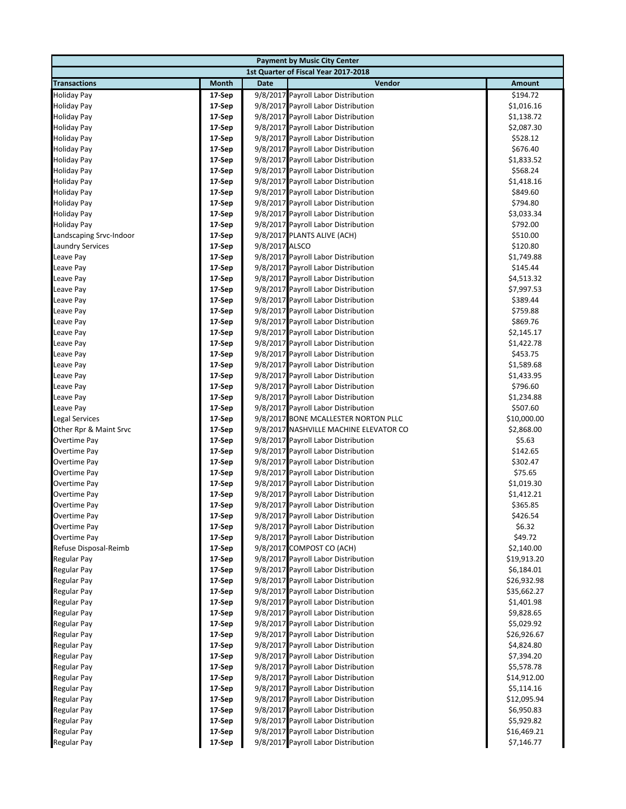| <b>Payment by Music City Center</b>         |                  |                                                                  |                           |  |
|---------------------------------------------|------------------|------------------------------------------------------------------|---------------------------|--|
| 1st Quarter of Fiscal Year 2017-2018        |                  |                                                                  |                           |  |
| <b>Transactions</b>                         | Month            | <b>Date</b><br>Vendor                                            | Amount                    |  |
| Holiday Pay                                 | 17-Sep           | 9/8/2017 Payroll Labor Distribution                              | \$194.72                  |  |
| <b>Holiday Pay</b>                          | 17-Sep           | 9/8/2017 Payroll Labor Distribution                              | \$1,016.16                |  |
| Holiday Pay                                 | 17-Sep           | 9/8/2017 Payroll Labor Distribution                              | \$1,138.72                |  |
| Holiday Pay                                 | 17-Sep           | 9/8/2017 Payroll Labor Distribution                              | \$2,087.30                |  |
| <b>Holiday Pay</b>                          | 17-Sep           | 9/8/2017 Payroll Labor Distribution                              | \$528.12                  |  |
| <b>Holiday Pay</b>                          | 17-Sep           | 9/8/2017 Payroll Labor Distribution                              | \$676.40                  |  |
| Holiday Pay                                 | 17-Sep           | 9/8/2017 Payroll Labor Distribution                              | \$1,833.52                |  |
| Holiday Pay                                 | 17-Sep           | 9/8/2017 Payroll Labor Distribution                              | \$568.24                  |  |
| <b>Holiday Pay</b>                          | 17-Sep           | 9/8/2017 Payroll Labor Distribution                              | \$1,418.16                |  |
| Holiday Pay                                 | 17-Sep           | 9/8/2017 Payroll Labor Distribution                              | \$849.60                  |  |
| <b>Holiday Pay</b>                          | 17-Sep           | 9/8/2017 Payroll Labor Distribution                              | \$794.80                  |  |
| <b>Holiday Pay</b>                          | 17-Sep           | 9/8/2017 Payroll Labor Distribution                              | \$3,033.34                |  |
| Holiday Pay                                 | 17-Sep           | 9/8/2017 Payroll Labor Distribution                              | \$792.00                  |  |
| Landscaping Srvc-Indoor                     | 17-Sep           | 9/8/2017 PLANTS ALIVE (ACH)                                      | \$510.00                  |  |
| <b>Laundry Services</b>                     | 17-Sep           | 9/8/2017 ALSCO                                                   | \$120.80                  |  |
| Leave Pay                                   | 17-Sep           | 9/8/2017 Payroll Labor Distribution                              | \$1,749.88                |  |
| Leave Pay                                   | 17-Sep           | 9/8/2017 Payroll Labor Distribution                              | \$145.44                  |  |
| Leave Pay                                   | 17-Sep           | 9/8/2017 Payroll Labor Distribution                              | \$4,513.32                |  |
| Leave Pay                                   | 17-Sep           | 9/8/2017 Payroll Labor Distribution                              | \$7,997.53                |  |
| Leave Pay                                   | 17-Sep           | 9/8/2017 Payroll Labor Distribution                              | \$389.44                  |  |
| Leave Pay                                   | 17-Sep           | 9/8/2017 Payroll Labor Distribution                              | \$759.88                  |  |
| Leave Pay                                   | 17-Sep           | 9/8/2017 Payroll Labor Distribution                              | \$869.76                  |  |
| Leave Pay                                   | 17-Sep           | 9/8/2017 Payroll Labor Distribution                              | \$2,145.17                |  |
| Leave Pay                                   | 17-Sep           | 9/8/2017 Payroll Labor Distribution                              | \$1,422.78                |  |
| Leave Pay                                   | 17-Sep           | 9/8/2017 Payroll Labor Distribution                              | \$453.75                  |  |
| Leave Pay                                   | 17-Sep           | 9/8/2017 Payroll Labor Distribution                              | \$1,589.68                |  |
| Leave Pay                                   | 17-Sep           | 9/8/2017 Payroll Labor Distribution                              | \$1,433.95                |  |
| Leave Pay                                   | 17-Sep           | 9/8/2017 Payroll Labor Distribution                              | \$796.60                  |  |
| Leave Pay                                   | 17-Sep           | 9/8/2017 Payroll Labor Distribution                              | \$1,234.88                |  |
| Leave Pay                                   | 17-Sep           | 9/8/2017 Payroll Labor Distribution                              | \$507.60                  |  |
| Legal Services                              | 17-Sep           | 9/8/2017 BONE MCALLESTER NORTON PLLC                             | \$10,000.00               |  |
| Other Rpr & Maint Srvc                      | 17-Sep           | 9/8/2017 NASHVILLE MACHINE ELEVATOR CO                           | \$2,868.00                |  |
| Overtime Pay                                | 17-Sep           | 9/8/2017 Payroll Labor Distribution                              | \$5.63                    |  |
| Overtime Pay                                | 17-Sep           | 9/8/2017 Payroll Labor Distribution                              | \$142.65                  |  |
| Overtime Pay                                | 17-Sep           | 9/8/2017 Payroll Labor Distribution                              | \$302.47                  |  |
| Overtime Pay                                | 17-Sep           | 9/8/2017 Payroll Labor Distribution                              | \$75.65                   |  |
| Overtime Pay                                | 17-Sep           | 9/8/2017 Payroll Labor Distribution                              | \$1,019.30                |  |
| Overtime Pay                                | 17-Sep           | 9/8/2017 Payroll Labor Distribution                              | \$1,412.21                |  |
| Overtime Pay                                | 17-Sep           | 9/8/2017 Payroll Labor Distribution                              | \$365.85                  |  |
| Overtime Pay                                | 17-Sep           | 9/8/2017 Payroll Labor Distribution                              | \$426.54                  |  |
| Overtime Pay                                | 17-Sep           | 9/8/2017 Payroll Labor Distribution                              | \$6.32                    |  |
| Overtime Pay                                | 17-Sep<br>17-Sep | 9/8/2017 Payroll Labor Distribution                              | \$49.72                   |  |
| Refuse Disposal-Reimb<br><b>Regular Pay</b> | 17-Sep           | 9/8/2017 COMPOST CO (ACH)<br>9/8/2017 Payroll Labor Distribution | \$2,140.00<br>\$19,913.20 |  |
| <b>Regular Pay</b>                          | 17-Sep           | 9/8/2017 Payroll Labor Distribution                              | \$6,184.01                |  |
| Regular Pay                                 | 17-Sep           | 9/8/2017 Payroll Labor Distribution                              | \$26,932.98               |  |
| <b>Regular Pay</b>                          | 17-Sep           | 9/8/2017 Payroll Labor Distribution                              | \$35,662.27               |  |
| <b>Regular Pay</b>                          | 17-Sep           | 9/8/2017 Payroll Labor Distribution                              | \$1,401.98                |  |
| <b>Regular Pay</b>                          | 17-Sep           | 9/8/2017 Payroll Labor Distribution                              | \$9,828.65                |  |
| Regular Pay                                 | 17-Sep           | 9/8/2017 Payroll Labor Distribution                              | \$5,029.92                |  |
| <b>Regular Pay</b>                          | 17-Sep           | 9/8/2017 Payroll Labor Distribution                              | \$26,926.67               |  |
| <b>Regular Pay</b>                          | 17-Sep           | 9/8/2017 Payroll Labor Distribution                              | \$4,824.80                |  |
| Regular Pay                                 | 17-Sep           | 9/8/2017 Payroll Labor Distribution                              | \$7,394.20                |  |
| <b>Regular Pay</b>                          | 17-Sep           | 9/8/2017 Payroll Labor Distribution                              | \$5,578.78                |  |
| <b>Regular Pay</b>                          | 17-Sep           | 9/8/2017 Payroll Labor Distribution                              | \$14,912.00               |  |
| <b>Regular Pay</b>                          | 17-Sep           | 9/8/2017 Payroll Labor Distribution                              | \$5,114.16                |  |
| <b>Regular Pay</b>                          | 17-Sep           | 9/8/2017 Payroll Labor Distribution                              | \$12,095.94               |  |
| <b>Regular Pay</b>                          | 17-Sep           | 9/8/2017 Payroll Labor Distribution                              | \$6,950.83                |  |
| <b>Regular Pay</b>                          | 17-Sep           | 9/8/2017 Payroll Labor Distribution                              | \$5,929.82                |  |
| <b>Regular Pay</b>                          | 17-Sep           | 9/8/2017 Payroll Labor Distribution                              | \$16,469.21               |  |
| <b>Regular Pay</b>                          | 17-Sep           | 9/8/2017 Payroll Labor Distribution                              | \$7,146.77                |  |
|                                             |                  |                                                                  |                           |  |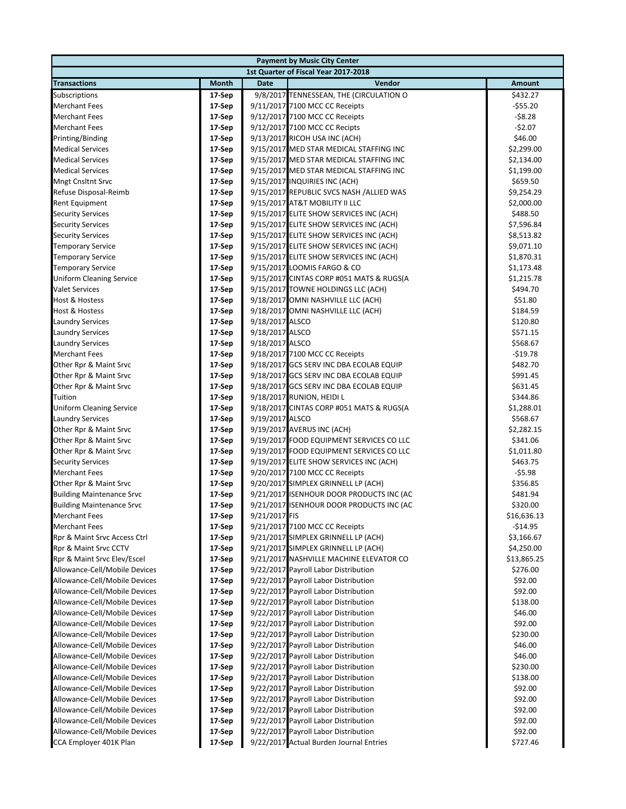| <b>Payment by Music City Center</b>                   |                  |                                                                            |                          |  |
|-------------------------------------------------------|------------------|----------------------------------------------------------------------------|--------------------------|--|
| 1st Quarter of Fiscal Year 2017-2018                  |                  |                                                                            |                          |  |
| <b>Transactions</b>                                   | Month            | Vendor<br><b>Date</b>                                                      | Amount                   |  |
| Subscriptions                                         | 17-Sep           | 9/8/2017 TENNESSEAN, THE (CIRCULATION O                                    | \$432.27                 |  |
| <b>Merchant Fees</b>                                  | 17-Sep           | 9/11/2017 7100 MCC CC Receipts                                             | $-555.20$                |  |
| <b>Merchant Fees</b>                                  | 17-Sep           | 9/12/2017 7100 MCC CC Receipts                                             | $-$ \$8.28               |  |
| <b>Merchant Fees</b>                                  | 17-Sep           | 9/12/2017 7100 MCC CC Recipts                                              | $-52.07$                 |  |
| Printing/Binding                                      | 17-Sep           | 9/13/2017 RICOH USA INC (ACH)                                              | \$46.00                  |  |
| <b>Medical Services</b>                               | 17-Sep           | 9/15/2017 MED STAR MEDICAL STAFFING INC                                    | \$2,299.00               |  |
| <b>Medical Services</b>                               | 17-Sep           | 9/15/2017 MED STAR MEDICAL STAFFING INC                                    | \$2,134.00               |  |
| <b>Medical Services</b>                               | 17-Sep           | 9/15/2017 MED STAR MEDICAL STAFFING INC                                    | \$1,199.00               |  |
| <b>Mngt Cnsltnt Srvc</b>                              | 17-Sep           | 9/15/2017 INQUIRIES INC (ACH)                                              | \$659.50                 |  |
| Refuse Disposal-Reimb                                 | 17-Sep           | 9/15/2017 REPUBLIC SVCS NASH /ALLIED WAS                                   | \$9,254.29               |  |
| <b>Rent Equipment</b>                                 | 17-Sep           | 9/15/2017 AT&T MOBILITY II LLC                                             | \$2,000.00               |  |
| <b>Security Services</b>                              | 17-Sep           | 9/15/2017 ELITE SHOW SERVICES INC (ACH)                                    | \$488.50                 |  |
| <b>Security Services</b>                              | 17-Sep           | 9/15/2017 ELITE SHOW SERVICES INC (ACH)                                    | \$7,596.84               |  |
| <b>Security Services</b>                              | 17-Sep           | 9/15/2017 ELITE SHOW SERVICES INC (ACH)                                    | \$8,513.82               |  |
| <b>Temporary Service</b>                              | 17-Sep           | 9/15/2017 ELITE SHOW SERVICES INC (ACH)                                    | \$9,071.10               |  |
| <b>Temporary Service</b>                              | 17-Sep           | 9/15/2017 ELITE SHOW SERVICES INC (ACH)                                    | \$1,870.31               |  |
| <b>Temporary Service</b>                              | 17-Sep           | 9/15/2017 LOOMIS FARGO & CO                                                | \$1,173.48               |  |
| <b>Uniform Cleaning Service</b>                       | 17-Sep           | 9/15/2017 CINTAS CORP #051 MATS & RUGS(A                                   | \$1,215.78               |  |
| <b>Valet Services</b>                                 | 17-Sep           | 9/15/2017 TOWNE HOLDINGS LLC (ACH)                                         | \$494.70                 |  |
| Host & Hostess                                        | 17-Sep           | 9/18/2017 OMNI NASHVILLE LLC (ACH)                                         | \$51.80                  |  |
| Host & Hostess                                        | 17-Sep           | 9/18/2017 OMNI NASHVILLE LLC (ACH)                                         | \$184.59                 |  |
| <b>Laundry Services</b>                               | 17-Sep           | 9/18/2017 ALSCO                                                            | \$120.80                 |  |
| <b>Laundry Services</b>                               | 17-Sep           | 9/18/2017 ALSCO                                                            | \$571.15                 |  |
| <b>Laundry Services</b>                               | 17-Sep           | 9/18/2017 ALSCO                                                            | \$568.67                 |  |
| <b>Merchant Fees</b>                                  | 17-Sep           | 9/18/2017 7100 MCC CC Receipts                                             | $-519.78$                |  |
| Other Rpr & Maint Srvc                                | 17-Sep           | 9/18/2017 GCS SERV INC DBA ECOLAB EQUIP                                    | \$482.70                 |  |
| Other Rpr & Maint Srvc                                | 17-Sep           | 9/18/2017 GCS SERV INC DBA ECOLAB EQUIP                                    | \$991.45                 |  |
| Other Rpr & Maint Srvc                                | 17-Sep           | 9/18/2017 GCS SERV INC DBA ECOLAB EQUIP                                    | \$631.45                 |  |
| Tuition                                               | 17-Sep           | 9/18/2017 RUNION, HEIDI L                                                  | \$344.86                 |  |
| <b>Uniform Cleaning Service</b>                       | 17-Sep           | 9/18/2017 CINTAS CORP #051 MATS & RUGS(A                                   | \$1,288.01               |  |
| <b>Laundry Services</b>                               | 17-Sep           | 9/19/2017 ALSCO                                                            | \$568.67                 |  |
| Other Rpr & Maint Srvc                                | 17-Sep           | 9/19/2017 AVERUS INC (ACH)                                                 | \$2,282.15               |  |
| Other Rpr & Maint Srvc                                | 17-Sep           | 9/19/2017 FOOD EQUIPMENT SERVICES CO LLC                                   | \$341.06                 |  |
| Other Rpr & Maint Srvc                                | 17-Sep           | 9/19/2017 FOOD EQUIPMENT SERVICES CO LLC                                   | \$1,011.80               |  |
| <b>Security Services</b>                              | 17-Sep           | 9/19/2017 ELITE SHOW SERVICES INC (ACH)                                    | \$463.75                 |  |
| <b>Merchant Fees</b>                                  | 17-Sep           | 9/20/2017 7100 MCC CC Receipts                                             | $-55.98$                 |  |
| Other Rpr & Maint Srvc                                | 17-Sep           | 9/20/2017 SIMPLEX GRINNELL LP (ACH)                                        | \$356.85                 |  |
| <b>Building Maintenance Srvc</b>                      | 17-Sep           | 9/21/2017 ISENHOUR DOOR PRODUCTS INC (AC                                   | \$481.94                 |  |
| <b>Building Maintenance Srvc</b>                      | 17-Sep           | 9/21/2017 ISENHOUR DOOR PRODUCTS INC (AC                                   | \$320.00                 |  |
| <b>Merchant Fees</b>                                  | 17-Sep           | 9/21/2017 FIS                                                              | \$16,636.13              |  |
| <b>Merchant Fees</b>                                  | 17-Sep           | 9/21/2017 7100 MCC CC Receipts                                             | $-$14.95$                |  |
| Rpr & Maint Srvc Access Ctrl<br>Rpr & Maint Srvc CCTV | 17-Sep           | 9/21/2017 SIMPLEX GRINNELL LP (ACH)<br>9/21/2017 SIMPLEX GRINNELL LP (ACH) | \$3,166.67<br>\$4,250.00 |  |
| Rpr & Maint Srvc Elev/Escel                           | 17-Sep<br>17-Sep | 9/21/2017 NASHVILLE MACHINE ELEVATOR CO                                    | \$13,865.25              |  |
| Allowance-Cell/Mobile Devices                         | 17-Sep           | 9/22/2017 Payroll Labor Distribution                                       | \$276.00                 |  |
| Allowance-Cell/Mobile Devices                         | 17-Sep           | 9/22/2017 Payroll Labor Distribution                                       | \$92.00                  |  |
| Allowance-Cell/Mobile Devices                         | 17-Sep           | 9/22/2017 Payroll Labor Distribution                                       | \$92.00                  |  |
| Allowance-Cell/Mobile Devices                         | 17-Sep           | 9/22/2017 Payroll Labor Distribution                                       | \$138.00                 |  |
| Allowance-Cell/Mobile Devices                         | 17-Sep           | 9/22/2017 Payroll Labor Distribution                                       | \$46.00                  |  |
| Allowance-Cell/Mobile Devices                         | 17-Sep           | 9/22/2017 Payroll Labor Distribution                                       | \$92.00                  |  |
| Allowance-Cell/Mobile Devices                         | 17-Sep           | 9/22/2017 Payroll Labor Distribution                                       | \$230.00                 |  |
| Allowance-Cell/Mobile Devices                         | 17-Sep           | 9/22/2017 Payroll Labor Distribution                                       | \$46.00                  |  |
| Allowance-Cell/Mobile Devices                         | 17-Sep           | 9/22/2017 Payroll Labor Distribution                                       | \$46.00                  |  |
| Allowance-Cell/Mobile Devices                         | 17-Sep           | 9/22/2017 Payroll Labor Distribution                                       | \$230.00                 |  |
| Allowance-Cell/Mobile Devices                         | 17-Sep           | 9/22/2017 Payroll Labor Distribution                                       | \$138.00                 |  |
| Allowance-Cell/Mobile Devices                         | 17-Sep           | 9/22/2017 Payroll Labor Distribution                                       | \$92.00                  |  |
| Allowance-Cell/Mobile Devices                         | 17-Sep           | 9/22/2017 Payroll Labor Distribution                                       | \$92.00                  |  |
| Allowance-Cell/Mobile Devices                         | 17-Sep           | 9/22/2017 Payroll Labor Distribution                                       | \$92.00                  |  |
| Allowance-Cell/Mobile Devices                         | 17-Sep           | 9/22/2017 Payroll Labor Distribution                                       | \$92.00                  |  |
| Allowance-Cell/Mobile Devices                         | 17-Sep           | 9/22/2017 Payroll Labor Distribution                                       | \$92.00                  |  |
| CCA Employer 401K Plan                                | 17-Sep           | 9/22/2017 Actual Burden Journal Entries                                    | \$727.46                 |  |
|                                                       |                  |                                                                            |                          |  |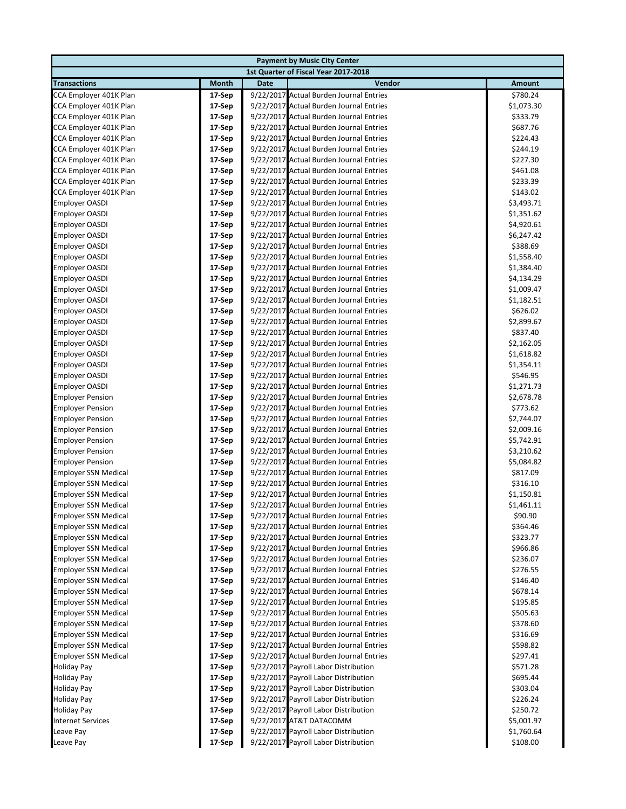| <b>Payment by Music City Center</b>                        |                  |                                                                                    |                      |  |
|------------------------------------------------------------|------------------|------------------------------------------------------------------------------------|----------------------|--|
| 1st Quarter of Fiscal Year 2017-2018                       |                  |                                                                                    |                      |  |
| <b>Transactions</b>                                        | <b>Month</b>     | <b>Date</b><br>Vendor                                                              | <b>Amount</b>        |  |
| CCA Employer 401K Plan                                     | 17-Sep           | 9/22/2017 Actual Burden Journal Entries                                            | \$780.24             |  |
| CCA Employer 401K Plan                                     | 17-Sep           | 9/22/2017 Actual Burden Journal Entries                                            | \$1,073.30           |  |
| CCA Employer 401K Plan                                     | 17-Sep           | 9/22/2017 Actual Burden Journal Entries                                            | \$333.79             |  |
| CCA Employer 401K Plan                                     | 17-Sep           | 9/22/2017 Actual Burden Journal Entries                                            | \$687.76             |  |
| CCA Employer 401K Plan                                     | 17-Sep           | 9/22/2017 Actual Burden Journal Entries                                            | \$224.43             |  |
| CCA Employer 401K Plan                                     | 17-Sep           | 9/22/2017 Actual Burden Journal Entries                                            | \$244.19             |  |
| CCA Employer 401K Plan                                     | 17-Sep           | 9/22/2017 Actual Burden Journal Entries                                            | \$227.30             |  |
| CCA Employer 401K Plan                                     | 17-Sep           | 9/22/2017 Actual Burden Journal Entries                                            | \$461.08             |  |
| CCA Employer 401K Plan                                     | 17-Sep           | 9/22/2017 Actual Burden Journal Entries                                            | \$233.39             |  |
| CCA Employer 401K Plan                                     | 17-Sep           | 9/22/2017 Actual Burden Journal Entries                                            | \$143.02             |  |
| <b>Employer OASDI</b>                                      | 17-Sep           | 9/22/2017 Actual Burden Journal Entries                                            | \$3,493.71           |  |
| <b>Employer OASDI</b>                                      | 17-Sep           | 9/22/2017 Actual Burden Journal Entries                                            | \$1,351.62           |  |
| <b>Employer OASDI</b>                                      | 17-Sep           | 9/22/2017 Actual Burden Journal Entries                                            | \$4,920.61           |  |
| <b>Employer OASDI</b>                                      | 17-Sep           | 9/22/2017 Actual Burden Journal Entries                                            | \$6,247.42           |  |
| <b>Employer OASDI</b>                                      | 17-Sep           | 9/22/2017 Actual Burden Journal Entries                                            | \$388.69             |  |
| <b>Employer OASDI</b>                                      | 17-Sep           | 9/22/2017 Actual Burden Journal Entries                                            | \$1,558.40           |  |
| <b>Employer OASDI</b>                                      | 17-Sep           | 9/22/2017 Actual Burden Journal Entries                                            | \$1,384.40           |  |
| <b>Employer OASDI</b>                                      | 17-Sep           | 9/22/2017 Actual Burden Journal Entries                                            | \$4,134.29           |  |
| <b>Employer OASDI</b>                                      | 17-Sep           | 9/22/2017 Actual Burden Journal Entries                                            | \$1,009.47           |  |
| <b>Employer OASDI</b>                                      | 17-Sep           | 9/22/2017 Actual Burden Journal Entries                                            | \$1,182.51           |  |
| <b>Employer OASDI</b>                                      | 17-Sep           | 9/22/2017 Actual Burden Journal Entries                                            | \$626.02             |  |
| <b>Employer OASDI</b>                                      | 17-Sep           | 9/22/2017 Actual Burden Journal Entries                                            | \$2,899.67           |  |
| <b>Employer OASDI</b>                                      | 17-Sep           | 9/22/2017 Actual Burden Journal Entries                                            | \$837.40             |  |
| <b>Employer OASDI</b>                                      | 17-Sep           | 9/22/2017 Actual Burden Journal Entries                                            | \$2,162.05           |  |
| <b>Employer OASDI</b>                                      | 17-Sep           | 9/22/2017 Actual Burden Journal Entries                                            | \$1,618.82           |  |
| <b>Employer OASDI</b>                                      | 17-Sep           | 9/22/2017 Actual Burden Journal Entries                                            | \$1,354.11           |  |
| <b>Employer OASDI</b>                                      | 17-Sep           | 9/22/2017 Actual Burden Journal Entries                                            | \$546.95             |  |
| <b>Employer OASDI</b>                                      | 17-Sep           | 9/22/2017 Actual Burden Journal Entries                                            | \$1,271.73           |  |
| <b>Employer Pension</b>                                    | 17-Sep           | 9/22/2017 Actual Burden Journal Entries                                            | \$2,678.78           |  |
| <b>Employer Pension</b>                                    | 17-Sep           | 9/22/2017 Actual Burden Journal Entries                                            | \$773.62             |  |
| <b>Employer Pension</b>                                    | 17-Sep           | 9/22/2017 Actual Burden Journal Entries                                            | \$2,744.07           |  |
| <b>Employer Pension</b>                                    | 17-Sep           | 9/22/2017 Actual Burden Journal Entries                                            | \$2,009.16           |  |
| <b>Employer Pension</b>                                    | 17-Sep           | 9/22/2017 Actual Burden Journal Entries                                            | \$5,742.91           |  |
| <b>Employer Pension</b>                                    | 17-Sep           | 9/22/2017 Actual Burden Journal Entries                                            | \$3,210.62           |  |
| <b>Employer Pension</b>                                    | 17-Sep           | 9/22/2017 Actual Burden Journal Entries                                            | \$5,084.82           |  |
| <b>Employer SSN Medical</b>                                | 17-Sep           | 9/22/2017 Actual Burden Journal Entries                                            | \$817.09             |  |
| <b>Employer SSN Medical</b>                                | 17-Sep           | 9/22/2017 Actual Burden Journal Entries                                            | \$316.10             |  |
| <b>Employer SSN Medical</b>                                | 17-Sep           | 9/22/2017 Actual Burden Journal Entries                                            | \$1,150.81           |  |
| <b>Employer SSN Medical</b>                                | 17-Sep           | 9/22/2017 Actual Burden Journal Entries                                            | \$1,461.11           |  |
| <b>Employer SSN Medical</b>                                | 17-Sep           | 9/22/2017 Actual Burden Journal Entries                                            | \$90.90              |  |
| <b>Employer SSN Medical</b>                                | 17-Sep           | 9/22/2017 Actual Burden Journal Entries                                            | \$364.46             |  |
| <b>Employer SSN Medical</b>                                | 17-Sep           | 9/22/2017 Actual Burden Journal Entries                                            | \$323.77             |  |
| <b>Employer SSN Medical</b>                                | 17-Sep           | 9/22/2017 Actual Burden Journal Entries                                            | \$966.86             |  |
| <b>Employer SSN Medical</b>                                | 17-Sep           | 9/22/2017 Actual Burden Journal Entries                                            | \$236.07             |  |
| <b>Employer SSN Medical</b>                                | 17-Sep           | 9/22/2017 Actual Burden Journal Entries                                            | \$276.55             |  |
| <b>Employer SSN Medical</b>                                | 17-Sep<br>17-Sep | 9/22/2017 Actual Burden Journal Entries                                            | \$146.40             |  |
| <b>Employer SSN Medical</b>                                |                  | 9/22/2017 Actual Burden Journal Entries                                            | \$678.14             |  |
| <b>Employer SSN Medical</b><br><b>Employer SSN Medical</b> | 17-Sep           | 9/22/2017 Actual Burden Journal Entries<br>9/22/2017 Actual Burden Journal Entries | \$195.85<br>\$505.63 |  |
|                                                            | 17-Sep<br>17-Sep | 9/22/2017 Actual Burden Journal Entries                                            | \$378.60             |  |
| <b>Employer SSN Medical</b><br><b>Employer SSN Medical</b> | 17-Sep           | 9/22/2017 Actual Burden Journal Entries                                            | \$316.69             |  |
| <b>Employer SSN Medical</b>                                | 17-Sep           | 9/22/2017 Actual Burden Journal Entries                                            | \$598.82             |  |
| <b>Employer SSN Medical</b>                                | 17-Sep           | 9/22/2017 Actual Burden Journal Entries                                            | \$297.41             |  |
| Holiday Pay                                                | 17-Sep           | 9/22/2017 Payroll Labor Distribution                                               | \$571.28             |  |
| <b>Holiday Pay</b>                                         | 17-Sep           | 9/22/2017 Payroll Labor Distribution                                               | \$695.44             |  |
| <b>Holiday Pay</b>                                         | 17-Sep           | 9/22/2017 Payroll Labor Distribution                                               | \$303.04             |  |
| <b>Holiday Pay</b>                                         | 17-Sep           | 9/22/2017 Payroll Labor Distribution                                               | \$226.24             |  |
| Holiday Pay                                                | 17-Sep           | 9/22/2017 Payroll Labor Distribution                                               | \$250.72             |  |
| <b>Internet Services</b>                                   | 17-Sep           | 9/22/2017 AT&T DATACOMM                                                            | \$5,001.97           |  |
| Leave Pay                                                  | 17-Sep           | 9/22/2017 Payroll Labor Distribution                                               | \$1,760.64           |  |
| Leave Pay                                                  | 17-Sep           | 9/22/2017 Payroll Labor Distribution                                               | \$108.00             |  |
|                                                            |                  |                                                                                    |                      |  |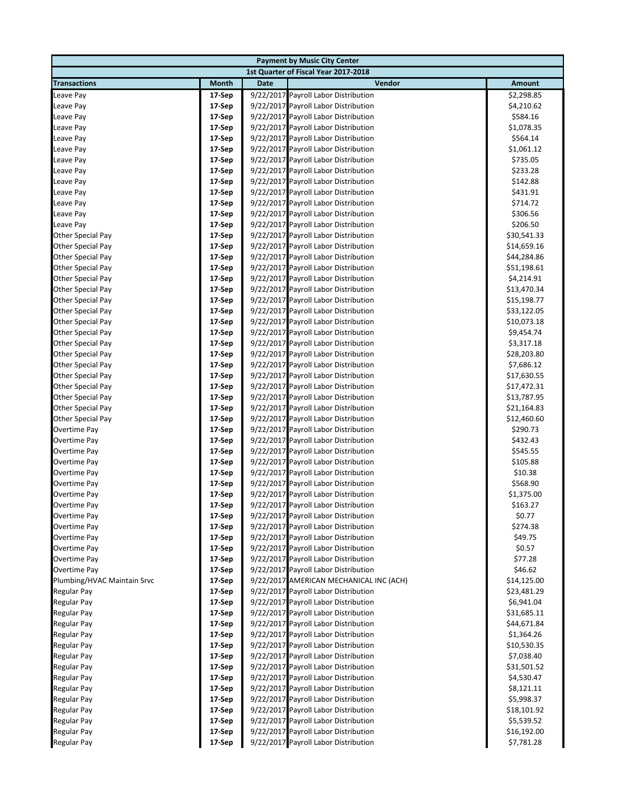| <b>Payment by Music City Center</b>    |                  |                                                                              |                           |  |
|----------------------------------------|------------------|------------------------------------------------------------------------------|---------------------------|--|
| 1st Quarter of Fiscal Year 2017-2018   |                  |                                                                              |                           |  |
| <b>Transactions</b>                    | Month            | <b>Date</b><br>Vendor                                                        | Amount                    |  |
| Leave Pay                              | 17-Sep           | 9/22/2017 Payroll Labor Distribution                                         | \$2,298.85                |  |
| Leave Pay                              | 17-Sep           | 9/22/2017 Payroll Labor Distribution                                         | \$4,210.62                |  |
| Leave Pay                              | 17-Sep           | 9/22/2017 Payroll Labor Distribution                                         | \$584.16                  |  |
| Leave Pay                              | 17-Sep           | 9/22/2017 Payroll Labor Distribution                                         | \$1,078.35                |  |
| Leave Pay                              | 17-Sep           | 9/22/2017 Payroll Labor Distribution                                         | \$564.14                  |  |
| Leave Pay                              | 17-Sep           | 9/22/2017 Payroll Labor Distribution                                         | \$1,061.12                |  |
| Leave Pay                              | 17-Sep           | 9/22/2017 Payroll Labor Distribution                                         | \$735.05                  |  |
| Leave Pay                              | 17-Sep           | 9/22/2017 Payroll Labor Distribution                                         | \$233.28                  |  |
| Leave Pay                              | 17-Sep           | 9/22/2017 Payroll Labor Distribution                                         | \$142.88                  |  |
| Leave Pay                              | 17-Sep           | 9/22/2017 Payroll Labor Distribution                                         | \$431.91                  |  |
| Leave Pay                              | 17-Sep           | 9/22/2017 Payroll Labor Distribution                                         | \$714.72                  |  |
| Leave Pay                              | 17-Sep           | 9/22/2017 Payroll Labor Distribution                                         | \$306.56                  |  |
| Leave Pay                              | 17-Sep           | 9/22/2017 Payroll Labor Distribution                                         | \$206.50                  |  |
| Other Special Pay                      | 17-Sep           | 9/22/2017 Payroll Labor Distribution                                         | \$30,541.33               |  |
| Other Special Pay                      | 17-Sep           | 9/22/2017 Payroll Labor Distribution                                         | \$14,659.16               |  |
| Other Special Pay                      | 17-Sep           | 9/22/2017 Payroll Labor Distribution                                         | \$44,284.86               |  |
| Other Special Pay<br>Other Special Pay | 17-Sep<br>17-Sep | 9/22/2017 Payroll Labor Distribution<br>9/22/2017 Payroll Labor Distribution | \$51,198.61<br>\$4,214.91 |  |
| Other Special Pay                      | 17-Sep           | 9/22/2017 Payroll Labor Distribution                                         | \$13,470.34               |  |
| Other Special Pay                      | 17-Sep           | 9/22/2017 Payroll Labor Distribution                                         | \$15,198.77               |  |
| Other Special Pay                      | 17-Sep           | 9/22/2017 Payroll Labor Distribution                                         | \$33,122.05               |  |
| Other Special Pay                      | 17-Sep           | 9/22/2017 Payroll Labor Distribution                                         | \$10,073.18               |  |
| Other Special Pay                      | 17-Sep           | 9/22/2017 Payroll Labor Distribution                                         | \$9,454.74                |  |
| <b>Other Special Pay</b>               | 17-Sep           | 9/22/2017 Payroll Labor Distribution                                         | \$3,317.18                |  |
| Other Special Pay                      | 17-Sep           | 9/22/2017 Payroll Labor Distribution                                         | \$28,203.80               |  |
| Other Special Pay                      | 17-Sep           | 9/22/2017 Payroll Labor Distribution                                         | \$7,686.12                |  |
| <b>Other Special Pay</b>               | 17-Sep           | 9/22/2017 Payroll Labor Distribution                                         | \$17,630.55               |  |
| Other Special Pay                      | 17-Sep           | 9/22/2017 Payroll Labor Distribution                                         | \$17,472.31               |  |
| Other Special Pay                      | 17-Sep           | 9/22/2017 Payroll Labor Distribution                                         | \$13,787.95               |  |
| <b>Other Special Pay</b>               | 17-Sep           | 9/22/2017 Payroll Labor Distribution                                         | \$21,164.83               |  |
| <b>Other Special Pay</b>               | 17-Sep           | 9/22/2017 Payroll Labor Distribution                                         | \$12,460.60               |  |
| Overtime Pay                           | 17-Sep           | 9/22/2017 Payroll Labor Distribution                                         | \$290.73                  |  |
| Overtime Pay                           | 17-Sep           | 9/22/2017 Payroll Labor Distribution                                         | \$432.43                  |  |
| Overtime Pay                           | 17-Sep           | 9/22/2017 Payroll Labor Distribution                                         | \$545.55                  |  |
| Overtime Pay                           | 17-Sep           | 9/22/2017 Payroll Labor Distribution                                         | \$105.88                  |  |
| Overtime Pay                           | 17-Sep           | 9/22/2017 Payroll Labor Distribution                                         | \$10.38                   |  |
| Overtime Pay                           | 17-Sep           | 9/22/2017 Payroll Labor Distribution                                         | \$568.90                  |  |
| Overtime Pay                           | 17-Sep           | 9/22/2017 Payroll Labor Distribution                                         | \$1,375.00                |  |
| Overtime Pay                           | 17-Sep           | 9/22/2017 Payroll Labor Distribution                                         | \$163.27                  |  |
| Overtime Pay                           | 17-Sep           | 9/22/2017 Payroll Labor Distribution                                         | \$0.77                    |  |
| Overtime Pay                           | 17-Sep           | 9/22/2017 Payroll Labor Distribution                                         | \$274.38                  |  |
| Overtime Pay                           | 17-Sep           | 9/22/2017 Payroll Labor Distribution                                         | \$49.75                   |  |
| Overtime Pay                           | 17-Sep           | 9/22/2017 Payroll Labor Distribution                                         | \$0.57                    |  |
| Overtime Pay<br>Overtime Pay           | 17-Sep<br>17-Sep | 9/22/2017 Payroll Labor Distribution<br>9/22/2017 Payroll Labor Distribution | \$77.28<br>\$46.62        |  |
| Plumbing/HVAC Maintain Srvc            | 17-Sep           | 9/22/2017 AMERICAN MECHANICAL INC (ACH)                                      | \$14,125.00               |  |
| <b>Regular Pay</b>                     | 17-Sep           | 9/22/2017 Payroll Labor Distribution                                         | \$23,481.29               |  |
| <b>Regular Pay</b>                     | 17-Sep           | 9/22/2017 Payroll Labor Distribution                                         | \$6,941.04                |  |
| <b>Regular Pay</b>                     | 17-Sep           | 9/22/2017 Payroll Labor Distribution                                         | \$31,685.11               |  |
| Regular Pay                            | 17-Sep           | 9/22/2017 Payroll Labor Distribution                                         | \$44,671.84               |  |
| <b>Regular Pay</b>                     | 17-Sep           | 9/22/2017 Payroll Labor Distribution                                         | \$1,364.26                |  |
| <b>Regular Pay</b>                     | 17-Sep           | 9/22/2017 Payroll Labor Distribution                                         | \$10,530.35               |  |
| Regular Pay                            | 17-Sep           | 9/22/2017 Payroll Labor Distribution                                         | \$7,038.40                |  |
| Regular Pay                            | 17-Sep           | 9/22/2017 Payroll Labor Distribution                                         | \$31,501.52               |  |
| <b>Regular Pay</b>                     | 17-Sep           | 9/22/2017 Payroll Labor Distribution                                         | \$4,530.47                |  |
| <b>Regular Pay</b>                     | 17-Sep           | 9/22/2017 Payroll Labor Distribution                                         | \$8,121.11                |  |
| <b>Regular Pay</b>                     | 17-Sep           | 9/22/2017 Payroll Labor Distribution                                         | \$5,998.37                |  |
| <b>Regular Pay</b>                     | 17-Sep           | 9/22/2017 Payroll Labor Distribution                                         | \$18,101.92               |  |
| <b>Regular Pay</b>                     | 17-Sep           | 9/22/2017 Payroll Labor Distribution                                         | \$5,539.52                |  |
| <b>Regular Pay</b>                     | 17-Sep           | 9/22/2017 Payroll Labor Distribution                                         | \$16,192.00               |  |
| <b>Regular Pay</b>                     | 17-Sep           | 9/22/2017 Payroll Labor Distribution                                         | \$7,781.28                |  |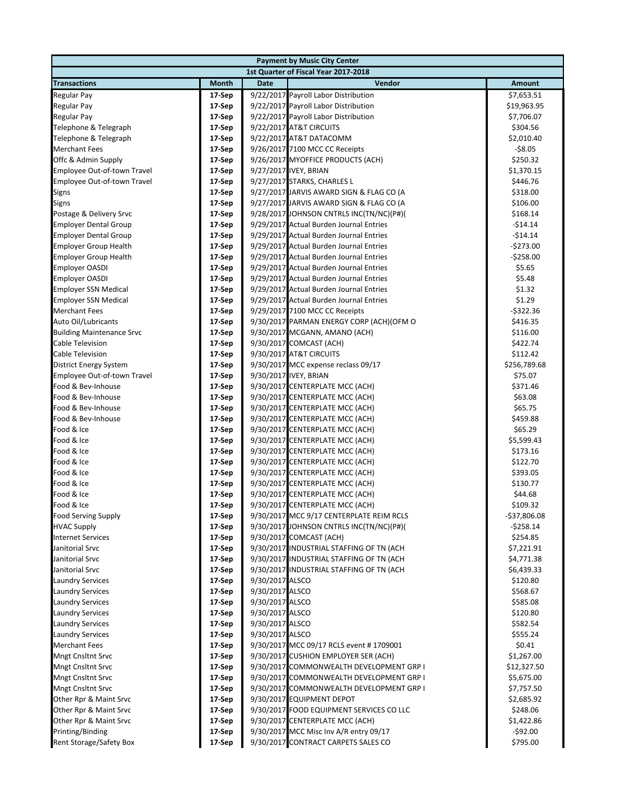| <b>Payment by Music City Center</b>  |              |                 |                                          |              |
|--------------------------------------|--------------|-----------------|------------------------------------------|--------------|
| 1st Quarter of Fiscal Year 2017-2018 |              |                 |                                          |              |
| <b>Transactions</b>                  | <b>Month</b> | <b>Date</b>     | Vendor                                   | Amount       |
| Regular Pay                          | 17-Sep       |                 | 9/22/2017 Payroll Labor Distribution     | \$7,653.51   |
| Regular Pay                          | 17-Sep       |                 | 9/22/2017 Payroll Labor Distribution     | \$19,963.95  |
| <b>Regular Pay</b>                   | 17-Sep       |                 | 9/22/2017 Payroll Labor Distribution     | \$7,706.07   |
| Telephone & Telegraph                | 17-Sep       |                 | 9/22/2017 AT&T CIRCUITS                  | \$304.56     |
| Telephone & Telegraph                | 17-Sep       |                 | 9/22/2017 AT&T DATACOMM                  | \$2,010.40   |
| <b>Merchant Fees</b>                 | 17-Sep       |                 | 9/26/2017 7100 MCC CC Receipts           | $-$ \$8.05   |
| Offc & Admin Supply                  | 17-Sep       |                 | 9/26/2017 MYOFFICE PRODUCTS (ACH)        | \$250.32     |
| Employee Out-of-town Travel          | 17-Sep       |                 | 9/27/2017 IVEY, BRIAN                    | \$1,370.15   |
| Employee Out-of-town Travel          | 17-Sep       |                 | 9/27/2017 STARKS, CHARLES L              | \$446.76     |
| Signs                                | 17-Sep       |                 | 9/27/2017 JARVIS AWARD SIGN & FLAG CO (A | \$318.00     |
| Signs                                | 17-Sep       |                 | 9/27/2017 JARVIS AWARD SIGN & FLAG CO (A | \$106.00     |
| Postage & Delivery Srvc              | 17-Sep       |                 | 9/28/2017 JOHNSON CNTRLS INC(TN/NC)(P#)( | \$168.14     |
| <b>Employer Dental Group</b>         | 17-Sep       |                 | 9/29/2017 Actual Burden Journal Entries  | $-514.14$    |
| <b>Employer Dental Group</b>         | 17-Sep       |                 | 9/29/2017 Actual Burden Journal Entries  | $-514.14$    |
| <b>Employer Group Health</b>         | 17-Sep       |                 | 9/29/2017 Actual Burden Journal Entries  | $-$273.00$   |
| <b>Employer Group Health</b>         | 17-Sep       |                 | 9/29/2017 Actual Burden Journal Entries  | $-$258.00$   |
| <b>Employer OASDI</b>                | 17-Sep       |                 | 9/29/2017 Actual Burden Journal Entries  | \$5.65       |
| <b>Employer OASDI</b>                | 17-Sep       |                 | 9/29/2017 Actual Burden Journal Entries  | \$5.48       |
| <b>Employer SSN Medical</b>          | 17-Sep       |                 | 9/29/2017 Actual Burden Journal Entries  | \$1.32       |
| <b>Employer SSN Medical</b>          | 17-Sep       |                 | 9/29/2017 Actual Burden Journal Entries  | \$1.29       |
| <b>Merchant Fees</b>                 | 17-Sep       |                 | 9/29/2017 7100 MCC CC Receipts           | $-$ \$322.36 |
| Auto Oil/Lubricants                  | 17-Sep       |                 | 9/30/2017 PARMAN ENERGY CORP (ACH)(OFM O | \$416.35     |
| <b>Building Maintenance Srvc</b>     | 17-Sep       |                 | 9/30/2017 MCGANN, AMANO (ACH)            | \$116.00     |
| Cable Television                     | 17-Sep       |                 | 9/30/2017 COMCAST (ACH)                  | \$422.74     |
| Cable Television                     | 17-Sep       |                 | 9/30/2017 AT&T CIRCUITS                  | \$112.42     |
| <b>District Energy System</b>        | 17-Sep       |                 | 9/30/2017 MCC expense reclass 09/17      | \$256,789.68 |
| Employee Out-of-town Travel          | 17-Sep       |                 | 9/30/2017 IVEY, BRIAN                    | \$75.07      |
| Food & Bev-Inhouse                   | 17-Sep       |                 | 9/30/2017 CENTERPLATE MCC (ACH)          | \$371.46     |
| Food & Bev-Inhouse                   | 17-Sep       |                 | 9/30/2017 CENTERPLATE MCC (ACH)          | \$63.08      |
| Food & Bev-Inhouse                   | 17-Sep       |                 | 9/30/2017 CENTERPLATE MCC (ACH)          | \$65.75      |
| Food & Bev-Inhouse                   | 17-Sep       |                 | 9/30/2017 CENTERPLATE MCC (ACH)          | \$459.88     |
| Food & Ice                           | 17-Sep       |                 | 9/30/2017 CENTERPLATE MCC (ACH)          | \$65.29      |
| Food & Ice                           | 17-Sep       |                 | 9/30/2017 CENTERPLATE MCC (ACH)          | \$5,599.43   |
| Food & Ice                           | 17-Sep       |                 | 9/30/2017 CENTERPLATE MCC (ACH)          | \$173.16     |
| Food & Ice                           | 17-Sep       |                 | 9/30/2017 CENTERPLATE MCC (ACH)          | \$122.70     |
| Food & Ice                           | 17-Sep       |                 | 9/30/2017 CENTERPLATE MCC (ACH)          | \$393.05     |
| Food & Ice                           | 17-Sep       |                 | 9/30/2017 CENTERPLATE MCC (ACH)          | \$130.77     |
| Food & Ice                           | 17-Sep       |                 | 9/30/2017 CENTERPLATE MCC (ACH)          | \$44.68      |
| Food & Ice                           | 17-Sep       |                 | 9/30/2017 CENTERPLATE MCC (ACH)          | \$109.32     |
| <b>Food Serving Supply</b>           | 17-Sep       |                 | 9/30/2017 MCC 9/17 CENTERPLATE REIM RCLS | -\$37,806.08 |
| <b>HVAC Supply</b>                   | 17-Sep       |                 | 9/30/2017 JOHNSON CNTRLS INC(TN/NC)(P#)( | $-5258.14$   |
| <b>Internet Services</b>             | 17-Sep       |                 | 9/30/2017 COMCAST (ACH)                  | \$254.85     |
| Janitorial Srvc                      | 17-Sep       |                 | 9/30/2017 INDUSTRIAL STAFFING OF TN (ACH | \$7,221.91   |
| Janitorial Srvc                      | 17-Sep       |                 | 9/30/2017 INDUSTRIAL STAFFING OF TN (ACH | \$4,771.38   |
| Janitorial Srvc                      | 17-Sep       |                 | 9/30/2017 INDUSTRIAL STAFFING OF TN (ACH | \$6,439.33   |
| <b>Laundry Services</b>              | 17-Sep       | 9/30/2017 ALSCO |                                          | \$120.80     |
| <b>Laundry Services</b>              | 17-Sep       | 9/30/2017 ALSCO |                                          | \$568.67     |
| <b>Laundry Services</b>              | 17-Sep       | 9/30/2017 ALSCO |                                          | \$585.08     |
| <b>Laundry Services</b>              | 17-Sep       | 9/30/2017 ALSCO |                                          | \$120.80     |
| <b>Laundry Services</b>              | 17-Sep       | 9/30/2017 ALSCO |                                          | \$582.54     |
| <b>Laundry Services</b>              | 17-Sep       | 9/30/2017 ALSCO |                                          | \$555.24     |
| <b>Merchant Fees</b>                 | 17-Sep       |                 | 9/30/2017 MCC 09/17 RCLS event #1709001  | \$0.41       |
| <b>Mngt Cnsltnt Srvc</b>             | 17-Sep       |                 | 9/30/2017 CUSHION EMPLOYER SER (ACH)     | \$1,267.00   |
| <b>Mngt Cnsltnt Srvc</b>             | 17-Sep       |                 | 9/30/2017 COMMONWEALTH DEVELOPMENT GRP I | \$12,327.50  |
| <b>Mngt Cnsltnt Srvc</b>             | 17-Sep       |                 | 9/30/2017 COMMONWEALTH DEVELOPMENT GRP I | \$5,675.00   |
| <b>Mngt Cnsltnt Srvc</b>             | 17-Sep       |                 | 9/30/2017 COMMONWEALTH DEVELOPMENT GRP I | \$7,757.50   |
| Other Rpr & Maint Srvc               | 17-Sep       |                 | 9/30/2017 EQUIPMENT DEPOT                | \$2,685.92   |
| Other Rpr & Maint Srvc               | 17-Sep       |                 | 9/30/2017 FOOD EQUIPMENT SERVICES CO LLC | \$248.06     |
| Other Rpr & Maint Srvc               | 17-Sep       |                 | 9/30/2017 CENTERPLATE MCC (ACH)          | \$1,422.86   |
| Printing/Binding                     | 17-Sep       |                 | 9/30/2017 MCC Misc Inv A/R entry 09/17   | $-$ \$92.00  |
| Rent Storage/Safety Box              | 17-Sep       |                 | 9/30/2017 CONTRACT CARPETS SALES CO      | \$795.00     |